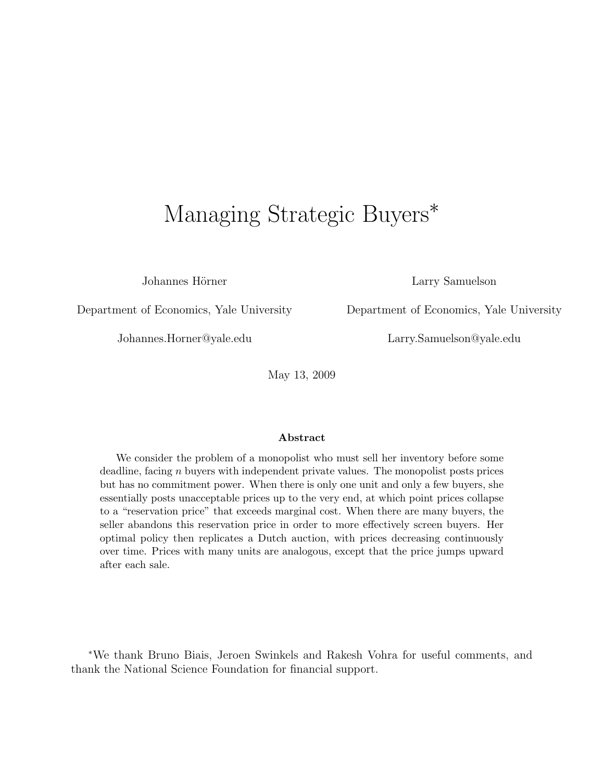# Managing Strategic Buyers<sup>\*</sup>

Johannes Hörner Larry Samuelson

Department of Economics, Yale University Department of Economics, Yale University

Johannes.Horner@yale.edu Larry.Samuelson@yale.edu

May 13, 2009

#### Abstract

We consider the problem of a monopolist who must sell her inventory before some deadline, facing *n* buyers with independent private values. The monopolist posts prices but has no commitment power. When there is only one unit and only a few buyers, she essentially posts unacceptable prices up to the very end, at which point prices collapse to a "reservation price" that exceeds marginal cost. When there are many buyers, the seller abandons this reservation price in order to more effectively screen buyers. Her optimal policy then replicates a Dutch auction, with prices decreasing continuously over time. Prices with many units are analogous, except that the price jumps upward after each sale.

<sup>∗</sup>We thank Bruno Biais, Jeroen Swinkels and Rakesh Vohra for useful comments, and thank the National Science Foundation for financial support.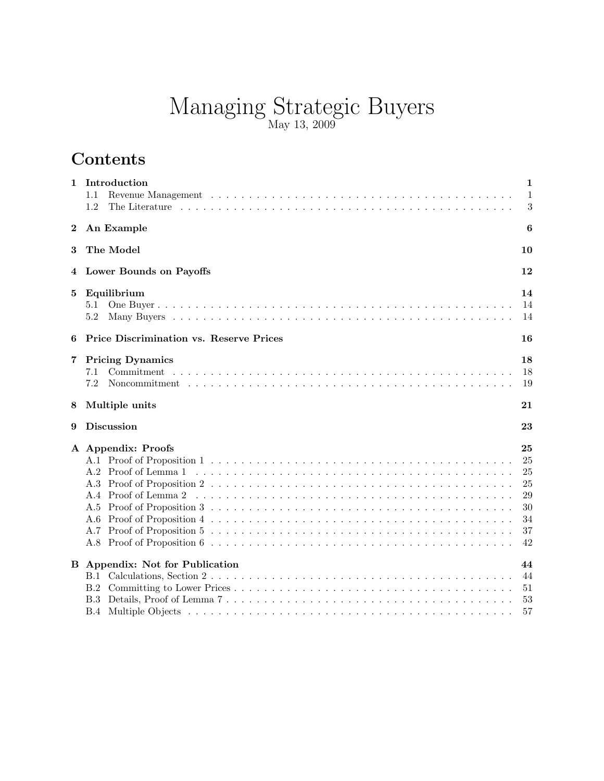# Managing Strategic Buyers May 13, 2009

# Contents

| 1        | Introduction<br>$1.1\,$<br>1.2                           | 1<br>$\mathbf{1}$<br>3                             |
|----------|----------------------------------------------------------|----------------------------------------------------|
| $\bf{2}$ | An Example                                               | 6                                                  |
| 3        | The Model                                                | 10                                                 |
| 4        | Lower Bounds on Payoffs                                  | 12                                                 |
| 5        | Equilibrium<br>$5.1\,$<br>5.2                            | 14<br>14<br>14                                     |
| 6        | <b>Price Discrimination vs. Reserve Prices</b>           | 16                                                 |
| 7        | <b>Pricing Dynamics</b><br>7.1<br>7.2                    | 18<br>18<br>19                                     |
| 8        | Multiple units                                           | 21                                                 |
| 9        | <b>Discussion</b>                                        | 23                                                 |
|          |                                                          |                                                    |
|          | A Appendix: Proofs<br>A.4 Proof of Lemma 2<br>A.6<br>A.7 | 25<br>25<br>25<br>25<br>29<br>30<br>34<br>37<br>42 |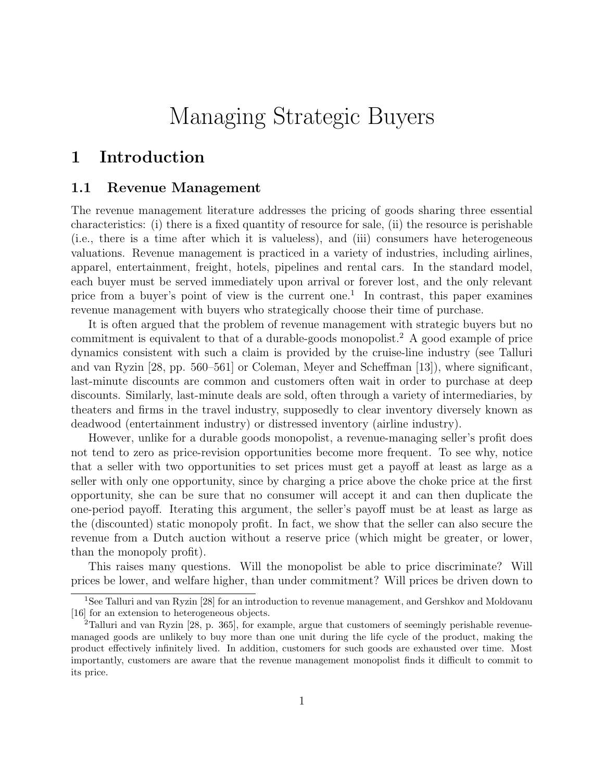# Managing Strategic Buyers

# 1 Introduction

### 1.1 Revenue Management

The revenue management literature addresses the pricing of goods sharing three essential characteristics: (i) there is a fixed quantity of resource for sale, (ii) the resource is perishable (i.e., there is a time after which it is valueless), and (iii) consumers have heterogeneous valuations. Revenue management is practiced in a variety of industries, including airlines, apparel, entertainment, freight, hotels, pipelines and rental cars. In the standard model, each buyer must be served immediately upon arrival or forever lost, and the only relevant price from a buyer's point of view is the current one.<sup>1</sup> In contrast, this paper examines revenue management with buyers who strategically choose their time of purchase.

It is often argued that the problem of revenue management with strategic buyers but no commitment is equivalent to that of a durable-goods monopolist.<sup>2</sup> A good example of price dynamics consistent with such a claim is provided by the cruise-line industry (see Talluri and van Ryzin [28, pp. 560–561] or Coleman, Meyer and Scheffman [13]), where significant, last-minute discounts are common and customers often wait in order to purchase at deep discounts. Similarly, last-minute deals are sold, often through a variety of intermediaries, by theaters and firms in the travel industry, supposedly to clear inventory diversely known as deadwood (entertainment industry) or distressed inventory (airline industry).

However, unlike for a durable goods monopolist, a revenue-managing seller's profit does not tend to zero as price-revision opportunities become more frequent. To see why, notice that a seller with two opportunities to set prices must get a payoff at least as large as a seller with only one opportunity, since by charging a price above the choke price at the first opportunity, she can be sure that no consumer will accept it and can then duplicate the one-period payoff. Iterating this argument, the seller's payoff must be at least as large as the (discounted) static monopoly profit. In fact, we show that the seller can also secure the revenue from a Dutch auction without a reserve price (which might be greater, or lower, than the monopoly profit).

This raises many questions. Will the monopolist be able to price discriminate? Will prices be lower, and welfare higher, than under commitment? Will prices be driven down to

<sup>&</sup>lt;sup>1</sup>See Talluri and van Ryzin [28] for an introduction to revenue management, and Gershkov and Moldovanu [16] for an extension to heterogeneous objects.

<sup>&</sup>lt;sup>2</sup>Talluri and van Ryzin [28, p. 365], for example, argue that customers of seemingly perishable revenuemanaged goods are unlikely to buy more than one unit during the life cycle of the product, making the product effectively infinitely lived. In addition, customers for such goods are exhausted over time. Most importantly, customers are aware that the revenue management monopolist finds it difficult to commit to its price.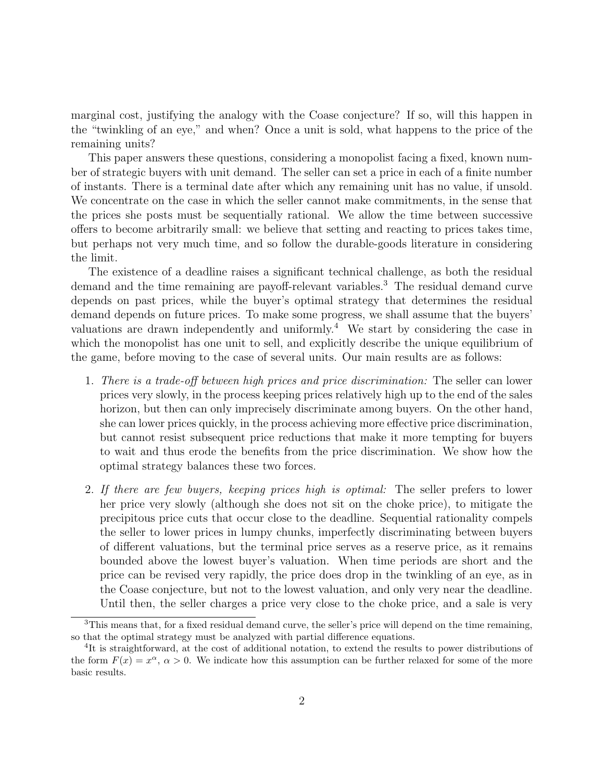marginal cost, justifying the analogy with the Coase conjecture? If so, will this happen in the "twinkling of an eye," and when? Once a unit is sold, what happens to the price of the remaining units?

This paper answers these questions, considering a monopolist facing a fixed, known number of strategic buyers with unit demand. The seller can set a price in each of a finite number of instants. There is a terminal date after which any remaining unit has no value, if unsold. We concentrate on the case in which the seller cannot make commitments, in the sense that the prices she posts must be sequentially rational. We allow the time between successive offers to become arbitrarily small: we believe that setting and reacting to prices takes time, but perhaps not very much time, and so follow the durable-goods literature in considering the limit.

The existence of a deadline raises a significant technical challenge, as both the residual demand and the time remaining are payoff-relevant variables.<sup>3</sup> The residual demand curve depends on past prices, while the buyer's optimal strategy that determines the residual demand depends on future prices. To make some progress, we shall assume that the buyers' valuations are drawn independently and uniformly.<sup>4</sup> We start by considering the case in which the monopolist has one unit to sell, and explicitly describe the unique equilibrium of the game, before moving to the case of several units. Our main results are as follows:

- 1. There is a trade-off between high prices and price discrimination: The seller can lower prices very slowly, in the process keeping prices relatively high up to the end of the sales horizon, but then can only imprecisely discriminate among buyers. On the other hand, she can lower prices quickly, in the process achieving more effective price discrimination, but cannot resist subsequent price reductions that make it more tempting for buyers to wait and thus erode the benefits from the price discrimination. We show how the optimal strategy balances these two forces.
- 2. If there are few buyers, keeping prices high is optimal: The seller prefers to lower her price very slowly (although she does not sit on the choke price), to mitigate the precipitous price cuts that occur close to the deadline. Sequential rationality compels the seller to lower prices in lumpy chunks, imperfectly discriminating between buyers of different valuations, but the terminal price serves as a reserve price, as it remains bounded above the lowest buyer's valuation. When time periods are short and the price can be revised very rapidly, the price does drop in the twinkling of an eye, as in the Coase conjecture, but not to the lowest valuation, and only very near the deadline. Until then, the seller charges a price very close to the choke price, and a sale is very

<sup>&</sup>lt;sup>3</sup>This means that, for a fixed residual demand curve, the seller's price will depend on the time remaining, so that the optimal strategy must be analyzed with partial difference equations.

<sup>&</sup>lt;sup>4</sup>It is straightforward, at the cost of additional notation, to extend the results to power distributions of the form  $F(x) = x^{\alpha}, \alpha > 0$ . We indicate how this assumption can be further relaxed for some of the more basic results.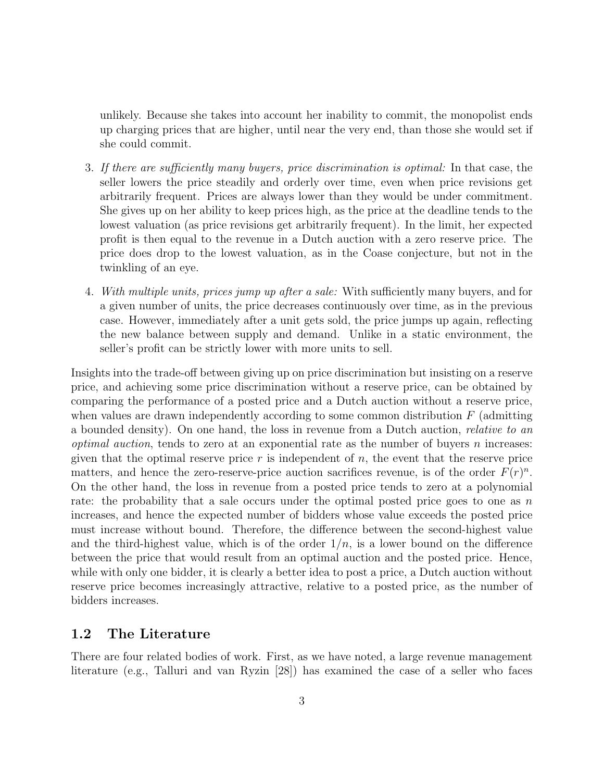unlikely. Because she takes into account her inability to commit, the monopolist ends up charging prices that are higher, until near the very end, than those she would set if she could commit.

- 3. If there are sufficiently many buyers, price discrimination is optimal: In that case, the seller lowers the price steadily and orderly over time, even when price revisions get arbitrarily frequent. Prices are always lower than they would be under commitment. She gives up on her ability to keep prices high, as the price at the deadline tends to the lowest valuation (as price revisions get arbitrarily frequent). In the limit, her expected profit is then equal to the revenue in a Dutch auction with a zero reserve price. The price does drop to the lowest valuation, as in the Coase conjecture, but not in the twinkling of an eye.
- 4. With multiple units, prices jump up after a sale: With sufficiently many buyers, and for a given number of units, the price decreases continuously over time, as in the previous case. However, immediately after a unit gets sold, the price jumps up again, reflecting the new balance between supply and demand. Unlike in a static environment, the seller's profit can be strictly lower with more units to sell.

Insights into the trade-off between giving up on price discrimination but insisting on a reserve price, and achieving some price discrimination without a reserve price, can be obtained by comparing the performance of a posted price and a Dutch auction without a reserve price, when values are drawn independently according to some common distribution  $F$  (admitting a bounded density). On one hand, the loss in revenue from a Dutch auction, relative to an *optimal auction*, tends to zero at an exponential rate as the number of buyers  $n$  increases: given that the optimal reserve price  $r$  is independent of  $n$ , the event that the reserve price matters, and hence the zero-reserve-price auction sacrifices revenue, is of the order  $F(r)^n$ . On the other hand, the loss in revenue from a posted price tends to zero at a polynomial rate: the probability that a sale occurs under the optimal posted price goes to one as  $n$ increases, and hence the expected number of bidders whose value exceeds the posted price must increase without bound. Therefore, the difference between the second-highest value and the third-highest value, which is of the order  $1/n$ , is a lower bound on the difference between the price that would result from an optimal auction and the posted price. Hence, while with only one bidder, it is clearly a better idea to post a price, a Dutch auction without reserve price becomes increasingly attractive, relative to a posted price, as the number of bidders increases.

### 1.2 The Literature

There are four related bodies of work. First, as we have noted, a large revenue management literature (e.g., Talluri and van Ryzin [28]) has examined the case of a seller who faces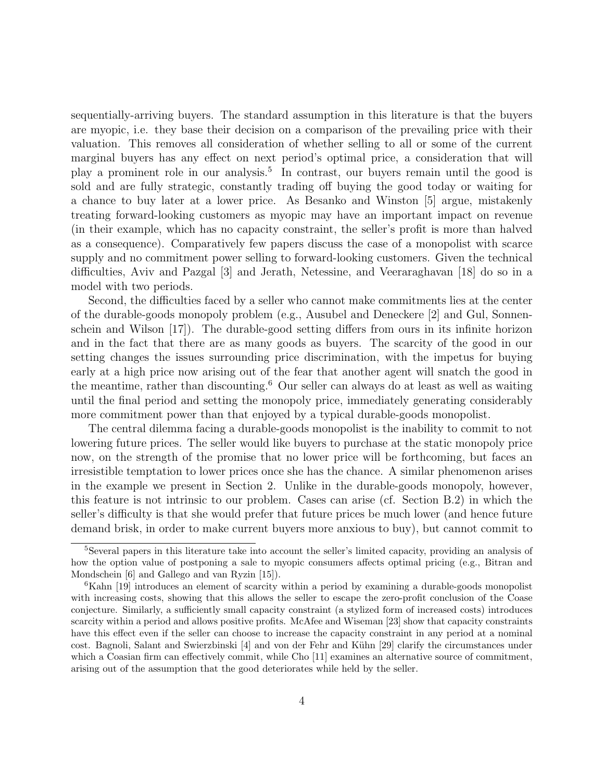sequentially-arriving buyers. The standard assumption in this literature is that the buyers are myopic, i.e. they base their decision on a comparison of the prevailing price with their valuation. This removes all consideration of whether selling to all or some of the current marginal buyers has any effect on next period's optimal price, a consideration that will play a prominent role in our analysis.<sup>5</sup> In contrast, our buyers remain until the good is sold and are fully strategic, constantly trading off buying the good today or waiting for a chance to buy later at a lower price. As Besanko and Winston [5] argue, mistakenly treating forward-looking customers as myopic may have an important impact on revenue (in their example, which has no capacity constraint, the seller's profit is more than halved as a consequence). Comparatively few papers discuss the case of a monopolist with scarce supply and no commitment power selling to forward-looking customers. Given the technical difficulties, Aviv and Pazgal [3] and Jerath, Netessine, and Veeraraghavan [18] do so in a model with two periods.

Second, the difficulties faced by a seller who cannot make commitments lies at the center of the durable-goods monopoly problem (e.g., Ausubel and Deneckere [2] and Gul, Sonnenschein and Wilson [17]). The durable-good setting differs from ours in its infinite horizon and in the fact that there are as many goods as buyers. The scarcity of the good in our setting changes the issues surrounding price discrimination, with the impetus for buying early at a high price now arising out of the fear that another agent will snatch the good in the meantime, rather than discounting.<sup>6</sup> Our seller can always do at least as well as waiting until the final period and setting the monopoly price, immediately generating considerably more commitment power than that enjoyed by a typical durable-goods monopolist.

The central dilemma facing a durable-goods monopolist is the inability to commit to not lowering future prices. The seller would like buyers to purchase at the static monopoly price now, on the strength of the promise that no lower price will be forthcoming, but faces an irresistible temptation to lower prices once she has the chance. A similar phenomenon arises in the example we present in Section 2. Unlike in the durable-goods monopoly, however, this feature is not intrinsic to our problem. Cases can arise (cf. Section B.2) in which the seller's difficulty is that she would prefer that future prices be much lower (and hence future demand brisk, in order to make current buyers more anxious to buy), but cannot commit to

<sup>5</sup>Several papers in this literature take into account the seller's limited capacity, providing an analysis of how the option value of postponing a sale to myopic consumers affects optimal pricing (e.g., Bitran and Mondschein [6] and Gallego and van Ryzin [15]).

 ${}^6$ Kahn [19] introduces an element of scarcity within a period by examining a durable-goods monopolist with increasing costs, showing that this allows the seller to escape the zero-profit conclusion of the Coase conjecture. Similarly, a sufficiently small capacity constraint (a stylized form of increased costs) introduces scarcity within a period and allows positive profits. McAfee and Wiseman [23] show that capacity constraints have this effect even if the seller can choose to increase the capacity constraint in any period at a nominal cost. Bagnoli, Salant and Swierzbinski [4] and von der Fehr and Kühn [29] clarify the circumstances under which a Coasian firm can effectively commit, while Cho [11] examines an alternative source of commitment, arising out of the assumption that the good deteriorates while held by the seller.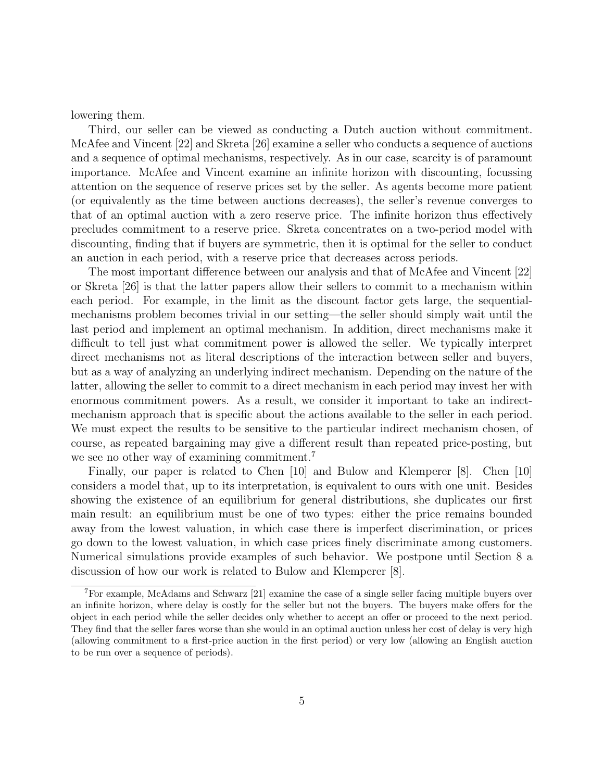lowering them.

Third, our seller can be viewed as conducting a Dutch auction without commitment. McAfee and Vincent [22] and Skreta [26] examine a seller who conducts a sequence of auctions and a sequence of optimal mechanisms, respectively. As in our case, scarcity is of paramount importance. McAfee and Vincent examine an infinite horizon with discounting, focussing attention on the sequence of reserve prices set by the seller. As agents become more patient (or equivalently as the time between auctions decreases), the seller's revenue converges to that of an optimal auction with a zero reserve price. The infinite horizon thus effectively precludes commitment to a reserve price. Skreta concentrates on a two-period model with discounting, finding that if buyers are symmetric, then it is optimal for the seller to conduct an auction in each period, with a reserve price that decreases across periods.

The most important difference between our analysis and that of McAfee and Vincent [22] or Skreta [26] is that the latter papers allow their sellers to commit to a mechanism within each period. For example, in the limit as the discount factor gets large, the sequentialmechanisms problem becomes trivial in our setting—the seller should simply wait until the last period and implement an optimal mechanism. In addition, direct mechanisms make it difficult to tell just what commitment power is allowed the seller. We typically interpret direct mechanisms not as literal descriptions of the interaction between seller and buyers, but as a way of analyzing an underlying indirect mechanism. Depending on the nature of the latter, allowing the seller to commit to a direct mechanism in each period may invest her with enormous commitment powers. As a result, we consider it important to take an indirectmechanism approach that is specific about the actions available to the seller in each period. We must expect the results to be sensitive to the particular indirect mechanism chosen, of course, as repeated bargaining may give a different result than repeated price-posting, but we see no other way of examining commitment.<sup>7</sup>

Finally, our paper is related to Chen [10] and Bulow and Klemperer [8]. Chen [10] considers a model that, up to its interpretation, is equivalent to ours with one unit. Besides showing the existence of an equilibrium for general distributions, she duplicates our first main result: an equilibrium must be one of two types: either the price remains bounded away from the lowest valuation, in which case there is imperfect discrimination, or prices go down to the lowest valuation, in which case prices finely discriminate among customers. Numerical simulations provide examples of such behavior. We postpone until Section 8 a discussion of how our work is related to Bulow and Klemperer [8].

<sup>7</sup>For example, McAdams and Schwarz [21] examine the case of a single seller facing multiple buyers over an infinite horizon, where delay is costly for the seller but not the buyers. The buyers make offers for the object in each period while the seller decides only whether to accept an offer or proceed to the next period. They find that the seller fares worse than she would in an optimal auction unless her cost of delay is very high (allowing commitment to a first-price auction in the first period) or very low (allowing an English auction to be run over a sequence of periods).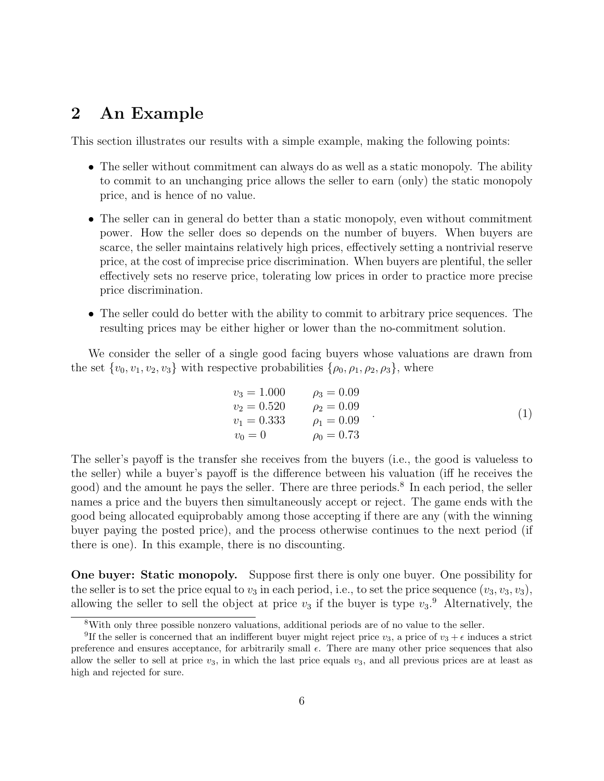# 2 An Example

This section illustrates our results with a simple example, making the following points:

- The seller without commitment can always do as well as a static monopoly. The ability to commit to an unchanging price allows the seller to earn (only) the static monopoly price, and is hence of no value.
- The seller can in general do better than a static monopoly, even without commitment power. How the seller does so depends on the number of buyers. When buyers are scarce, the seller maintains relatively high prices, effectively setting a nontrivial reserve price, at the cost of imprecise price discrimination. When buyers are plentiful, the seller effectively sets no reserve price, tolerating low prices in order to practice more precise price discrimination.
- The seller could do better with the ability to commit to arbitrary price sequences. The resulting prices may be either higher or lower than the no-commitment solution.

We consider the seller of a single good facing buyers whose valuations are drawn from the set  $\{v_0, v_1, v_2, v_3\}$  with respective probabilities  $\{\rho_0, \rho_1, \rho_2, \rho_3\}$ , where

$$
v_3 = 1.000 \n v_2 = 0.520 \n v_1 = 0.333 \n v_0 = 0 \n v_1 = 0.73
$$
\n
$$
(1)
$$

The seller's payoff is the transfer she receives from the buyers (i.e., the good is valueless to the seller) while a buyer's payoff is the difference between his valuation (iff he receives the good) and the amount he pays the seller. There are three periods.<sup>8</sup> In each period, the seller names a price and the buyers then simultaneously accept or reject. The game ends with the good being allocated equiprobably among those accepting if there are any (with the winning buyer paying the posted price), and the process otherwise continues to the next period (if there is one). In this example, there is no discounting.

One buyer: Static monopoly. Suppose first there is only one buyer. One possibility for the seller is to set the price equal to  $v_3$  in each period, i.e., to set the price sequence  $(v_3, v_3, v_3)$ , allowing the seller to sell the object at price  $v_3$  if the buyer is type  $v_3$ .<sup>9</sup> Alternatively, the

<sup>8</sup>With only three possible nonzero valuations, additional periods are of no value to the seller.

<sup>&</sup>lt;sup>9</sup>If the seller is concerned that an indifferent buyer might reject price  $v_3$ , a price of  $v_3 + \epsilon$  induces a strict preference and ensures acceptance, for arbitrarily small  $\epsilon$ . There are many other price sequences that also allow the seller to sell at price  $v_3$ , in which the last price equals  $v_3$ , and all previous prices are at least as high and rejected for sure.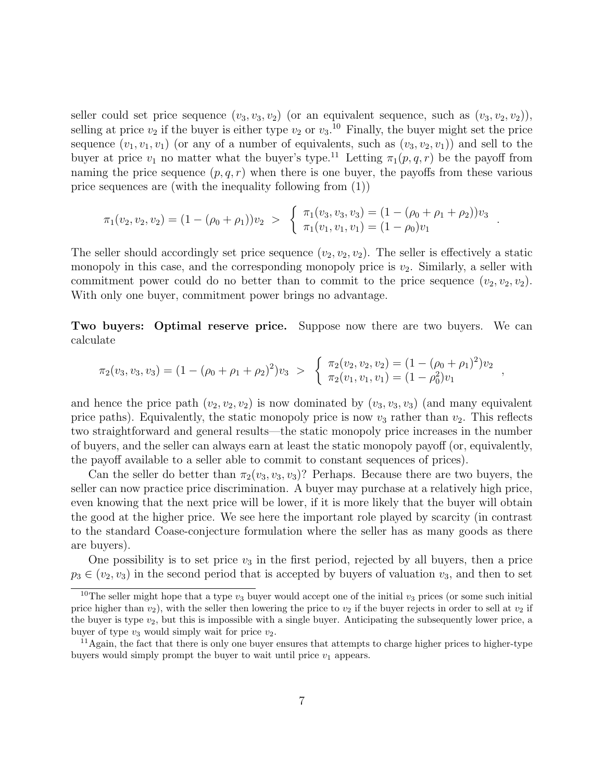seller could set price sequence  $(v_3, v_3, v_2)$  (or an equivalent sequence, such as  $(v_3, v_2, v_2)$ ), selling at price  $v_2$  if the buyer is either type  $v_2$  or  $v_3$ .<sup>10</sup> Finally, the buyer might set the price sequence  $(v_1, v_1, v_1)$  (or any of a number of equivalents, such as  $(v_3, v_2, v_1)$ ) and sell to the buyer at price  $v_1$  no matter what the buyer's type.<sup>11</sup> Letting  $\pi_1(p,q,r)$  be the payoff from naming the price sequence  $(p, q, r)$  when there is one buyer, the payoffs from these various price sequences are (with the inequality following from (1))

$$
\pi_1(v_2, v_2, v_2) = (1 - (\rho_0 + \rho_1))v_2 > \begin{cases} \pi_1(v_3, v_3, v_3) = (1 - (\rho_0 + \rho_1 + \rho_2))v_3 \\ \pi_1(v_1, v_1, v_1) = (1 - \rho_0)v_1 \end{cases}
$$

.

,

The seller should accordingly set price sequence  $(v_2, v_2, v_2)$ . The seller is effectively a static monopoly in this case, and the corresponding monopoly price is  $v_2$ . Similarly, a seller with commitment power could do no better than to commit to the price sequence  $(v_2, v_2, v_2)$ . With only one buyer, commitment power brings no advantage.

Two buyers: Optimal reserve price. Suppose now there are two buyers. We can calculate

$$
\pi_2(v_3, v_3, v_3) = (1 - (\rho_0 + \rho_1 + \rho_2)^2)v_3 > \begin{cases} \pi_2(v_2, v_2, v_2) = (1 - (\rho_0 + \rho_1)^2)v_2 \\ \pi_2(v_1, v_1, v_1) = (1 - \rho_0^2)v_1 \end{cases}
$$

and hence the price path  $(v_2, v_2, v_2)$  is now dominated by  $(v_3, v_3, v_3)$  (and many equivalent price paths). Equivalently, the static monopoly price is now  $v_3$  rather than  $v_2$ . This reflects two straightforward and general results—the static monopoly price increases in the number of buyers, and the seller can always earn at least the static monopoly payoff (or, equivalently, the payoff available to a seller able to commit to constant sequences of prices).

Can the seller do better than  $\pi_2(v_3, v_3, v_3)$ ? Perhaps. Because there are two buyers, the seller can now practice price discrimination. A buyer may purchase at a relatively high price, even knowing that the next price will be lower, if it is more likely that the buyer will obtain the good at the higher price. We see here the important role played by scarcity (in contrast to the standard Coase-conjecture formulation where the seller has as many goods as there are buyers).

One possibility is to set price  $v_3$  in the first period, rejected by all buyers, then a price  $p_3 \in (v_2, v_3)$  in the second period that is accepted by buyers of valuation  $v_3$ , and then to set

<sup>&</sup>lt;sup>10</sup>The seller might hope that a type  $v_3$  buyer would accept one of the initial  $v_3$  prices (or some such initial price higher than  $v_2$ ), with the seller then lowering the price to  $v_2$  if the buyer rejects in order to sell at  $v_2$  if the buyer is type  $v_2$ , but this is impossible with a single buyer. Anticipating the subsequently lower price, a buyer of type  $v_3$  would simply wait for price  $v_2$ .

 $11$ Again, the fact that there is only one buyer ensures that attempts to charge higher prices to higher-type buyers would simply prompt the buyer to wait until price  $v_1$  appears.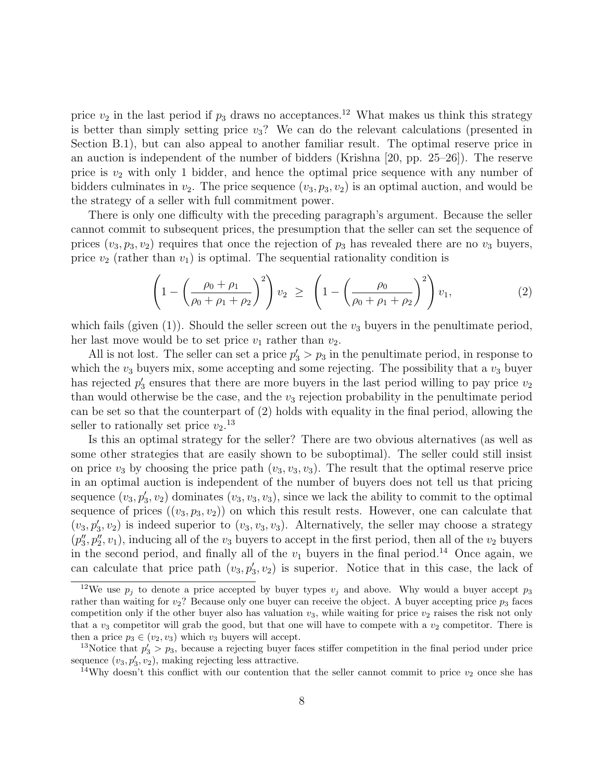price  $v_2$  in the last period if  $p_3$  draws no acceptances.<sup>12</sup> What makes us think this strategy is better than simply setting price  $v_3$ ? We can do the relevant calculations (presented in Section B.1), but can also appeal to another familiar result. The optimal reserve price in an auction is independent of the number of bidders (Krishna [20, pp. 25–26]). The reserve price is  $v_2$  with only 1 bidder, and hence the optimal price sequence with any number of bidders culminates in  $v_2$ . The price sequence  $(v_3, p_3, v_2)$  is an optimal auction, and would be the strategy of a seller with full commitment power.

There is only one difficulty with the preceding paragraph's argument. Because the seller cannot commit to subsequent prices, the presumption that the seller can set the sequence of prices  $(v_3, p_3, v_2)$  requires that once the rejection of  $p_3$  has revealed there are no  $v_3$  buyers, price  $v_2$  (rather than  $v_1$ ) is optimal. The sequential rationality condition is

$$
\left(1 - \left(\frac{\rho_0 + \rho_1}{\rho_0 + \rho_1 + \rho_2}\right)^2\right)v_2 \ge \left(1 - \left(\frac{\rho_0}{\rho_0 + \rho_1 + \rho_2}\right)^2\right)v_1,\tag{2}
$$

which fails (given  $(1)$ ). Should the seller screen out the  $v_3$  buyers in the penultimate period, her last move would be to set price  $v_1$  rather than  $v_2$ .

All is not lost. The seller can set a price  $p'_3 > p_3$  in the penultimate period, in response to which the  $v_3$  buyers mix, some accepting and some rejecting. The possibility that a  $v_3$  buyer has rejected  $p'_3$  ensures that there are more buyers in the last period willing to pay price  $v_2$ than would otherwise be the case, and the  $v_3$  rejection probability in the penultimate period can be set so that the counterpart of (2) holds with equality in the final period, allowing the seller to rationally set price  $v_2$ <sup>13</sup>

Is this an optimal strategy for the seller? There are two obvious alternatives (as well as some other strategies that are easily shown to be suboptimal). The seller could still insist on price  $v_3$  by choosing the price path  $(v_3, v_3, v_3)$ . The result that the optimal reserve price in an optimal auction is independent of the number of buyers does not tell us that pricing sequence  $(v_3, p'_3, v_2)$  dominates  $(v_3, v_3, v_3)$ , since we lack the ability to commit to the optimal sequence of prices  $((v_3, p_3, v_2))$  on which this result rests. However, one can calculate that  $(v_3, p'_3, v_2)$  is indeed superior to  $(v_3, v_3, v_3)$ . Alternatively, the seller may choose a strategy  $(p''_3, p''_2, v_1)$ , inducing all of the  $v_3$  buyers to accept in the first period, then all of the  $v_2$  buyers in the second period, and finally all of the  $v_1$  buyers in the final period.<sup>14</sup> Once again, we can calculate that price path  $(v_3, p'_3, v_2)$  is superior. Notice that in this case, the lack of

<sup>&</sup>lt;sup>12</sup>We use  $p_j$  to denote a price accepted by buyer types  $v_j$  and above. Why would a buyer accept  $p_3$ rather than waiting for  $v_2$ ? Because only one buyer can receive the object. A buyer accepting price  $p_3$  faces competition only if the other buyer also has valuation  $v_3$ , while waiting for price  $v_2$  raises the risk not only that a  $v_3$  competitor will grab the good, but that one will have to compete with a  $v_2$  competitor. There is then a price  $p_3 \in (v_2, v_3)$  which  $v_3$  buyers will accept.

<sup>&</sup>lt;sup>13</sup>Notice that  $p'_3 > p_3$ , because a rejecting buyer faces stiffer competition in the final period under price sequence  $(v_3, p'_3, v_2)$ , making rejecting less attractive.

<sup>&</sup>lt;sup>14</sup>Why doesn't this conflict with our contention that the seller cannot commit to price  $v_2$  once she has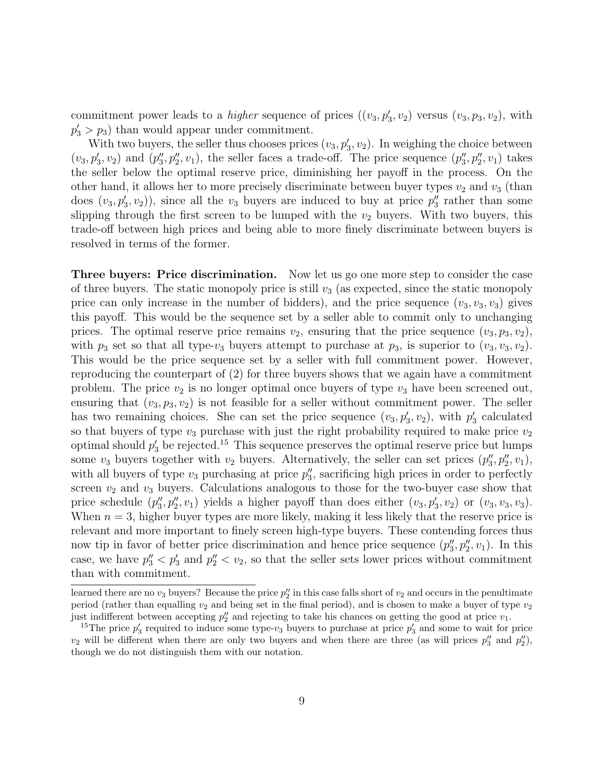commitment power leads to a *higher* sequence of prices  $((v_3, p'_3, v_2)$  versus  $(v_3, p_3, v_2)$ , with  $p'_3 > p_3$ ) than would appear under commitment.

With two buyers, the seller thus chooses prices  $(v_3, p'_3, v_2)$ . In weighing the choice between  $(v_3, p'_3, v_2)$  and  $(p''_3, p''_2, v_1)$ , the seller faces a trade-off. The price sequence  $(p''_3, p''_2, v_1)$  takes the seller below the optimal reserve price, diminishing her payoff in the process. On the other hand, it allows her to more precisely discriminate between buyer types  $v_2$  and  $v_3$  (than does  $(v_3, p'_3, v_2)$ , since all the  $v_3$  buyers are induced to buy at price  $p''_3$  rather than some slipping through the first screen to be lumped with the  $v_2$  buyers. With two buyers, this trade-off between high prices and being able to more finely discriminate between buyers is resolved in terms of the former.

Three buyers: Price discrimination. Now let us go one more step to consider the case of three buyers. The static monopoly price is still  $v_3$  (as expected, since the static monopoly price can only increase in the number of bidders), and the price sequence  $(v_3, v_3, v_3)$  gives this payoff. This would be the sequence set by a seller able to commit only to unchanging prices. The optimal reserve price remains  $v_2$ , ensuring that the price sequence  $(v_3, p_3, v_2)$ , with  $p_3$  set so that all type- $v_3$  buyers attempt to purchase at  $p_3$ , is superior to  $(v_3, v_3, v_2)$ . This would be the price sequence set by a seller with full commitment power. However, reproducing the counterpart of (2) for three buyers shows that we again have a commitment problem. The price  $v_2$  is no longer optimal once buyers of type  $v_3$  have been screened out, ensuring that  $(v_3, p_3, v_2)$  is not feasible for a seller without commitment power. The seller has two remaining choices. She can set the price sequence  $(v_3, p'_3, v_2)$ , with  $p'_3$  calculated so that buyers of type  $v_3$  purchase with just the right probability required to make price  $v_2$ optimal should  $p'_3$  be rejected.<sup>15</sup> This sequence preserves the optimal reserve price but lumps some  $v_3$  buyers together with  $v_2$  buyers. Alternatively, the seller can set prices  $(p_3'', p_2'', v_1)$ , with all buyers of type  $v_3$  purchasing at price  $p_3$ , sacrificing high prices in order to perfectly screen  $v_2$  and  $v_3$  buyers. Calculations analogous to those for the two-buyer case show that price schedule  $(p_3', p_2'', v_1)$  yields a higher payoff than does either  $(v_3, p_3', v_2)$  or  $(v_3, v_3, v_3)$ . When  $n = 3$ , higher buyer types are more likely, making it less likely that the reserve price is relevant and more important to finely screen high-type buyers. These contending forces thus now tip in favor of better price discrimination and hence price sequence  $(p_3', p_2'', v_1)$ . In this case, we have  $p''_3 < p'_3$  and  $p''_2 < v_2$ , so that the seller sets lower prices without commitment than with commitment.

learned there are no  $v_3$  buyers? Because the price  $p_2''$  in this case falls short of  $v_2$  and occurs in the penultimate period (rather than equalling  $v_2$  and being set in the final period), and is chosen to make a buyer of type  $v_2$ just indifferent between accepting  $p_2''$  and rejecting to take his chances on getting the good at price  $v_1$ .

<sup>&</sup>lt;sup>15</sup>The price  $p'_3$  required to induce some type- $v_3$  buyers to purchase at price  $p'_3$  and some to wait for price  $v_2$  will be different when there are only two buyers and when there are three (as will prices  $p_3''$  and  $p_2''$ ), though we do not distinguish them with our notation.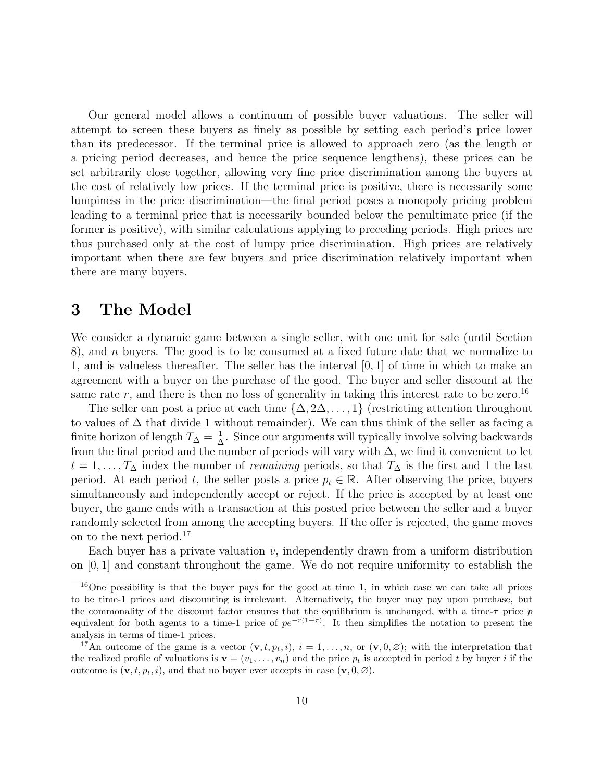Our general model allows a continuum of possible buyer valuations. The seller will attempt to screen these buyers as finely as possible by setting each period's price lower than its predecessor. If the terminal price is allowed to approach zero (as the length or a pricing period decreases, and hence the price sequence lengthens), these prices can be set arbitrarily close together, allowing very fine price discrimination among the buyers at the cost of relatively low prices. If the terminal price is positive, there is necessarily some lumpiness in the price discrimination—the final period poses a monopoly pricing problem leading to a terminal price that is necessarily bounded below the penultimate price (if the former is positive), with similar calculations applying to preceding periods. High prices are thus purchased only at the cost of lumpy price discrimination. High prices are relatively important when there are few buyers and price discrimination relatively important when there are many buyers.

# 3 The Model

We consider a dynamic game between a single seller, with one unit for sale (until Section 8), and  $n$  buyers. The good is to be consumed at a fixed future date that we normalize to 1, and is valueless thereafter. The seller has the interval [0, 1] of time in which to make an agreement with a buyer on the purchase of the good. The buyer and seller discount at the same rate r, and there is then no loss of generality in taking this interest rate to be zero.<sup>16</sup>

The seller can post a price at each time  $\{\Delta, 2\Delta, \ldots, 1\}$  (restricting attention throughout to values of  $\Delta$  that divide 1 without remainder). We can thus think of the seller as facing a finite horizon of length  $T_{\Delta} = \frac{1}{\Delta}$  $\frac{1}{\Delta}$ . Since our arguments will typically involve solving backwards from the final period and the number of periods will vary with  $\Delta$ , we find it convenient to let  $t = 1, \ldots, T_{\Delta}$  index the number of *remaining* periods, so that  $T_{\Delta}$  is the first and 1 the last period. At each period t, the seller posts a price  $p_t \in \mathbb{R}$ . After observing the price, buyers simultaneously and independently accept or reject. If the price is accepted by at least one buyer, the game ends with a transaction at this posted price between the seller and a buyer randomly selected from among the accepting buyers. If the offer is rejected, the game moves on to the next period.<sup>17</sup>

Each buyer has a private valuation  $v$ , independently drawn from a uniform distribution on [0, 1] and constant throughout the game. We do not require uniformity to establish the

 $16$ One possibility is that the buyer pays for the good at time 1, in which case we can take all prices to be time-1 prices and discounting is irrelevant. Alternatively, the buyer may pay upon purchase, but the commonality of the discount factor ensures that the equilibrium is unchanged, with a time- $\tau$  price p equivalent for both agents to a time-1 price of  $pe^{-r(1-\tau)}$ . It then simplifies the notation to present the analysis in terms of time-1 prices.

<sup>&</sup>lt;sup>17</sup>An outcome of the game is a vector  $(\mathbf{v}, t, p_t, i)$ ,  $i = 1, \ldots, n$ , or  $(\mathbf{v}, 0, \emptyset)$ ; with the interpretation that the realized profile of valuations is  $\mathbf{v} = (v_1, \ldots, v_n)$  and the price  $p_t$  is accepted in period t by buyer i if the outcome is  $(\mathbf{v}, t, p_t, i)$ , and that no buyer ever accepts in case  $(\mathbf{v}, 0, \varnothing)$ .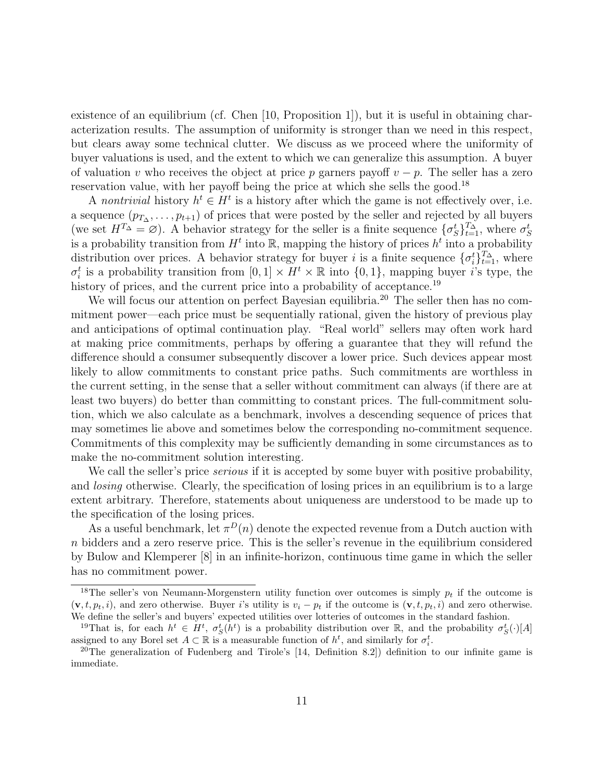existence of an equilibrium (cf. Chen [10, Proposition 1]), but it is useful in obtaining characterization results. The assumption of uniformity is stronger than we need in this respect, but clears away some technical clutter. We discuss as we proceed where the uniformity of buyer valuations is used, and the extent to which we can generalize this assumption. A buyer of valuation v who receives the object at price p garners payoff  $v - p$ . The seller has a zero reservation value, with her payoff being the price at which she sells the good.<sup>18</sup>

A nontrivial history  $h^t \in H^t$  is a history after which the game is not effectively over, i.e. a sequence  $(p_{T_{\Delta}}, \ldots, p_{t+1})$  of prices that were posted by the seller and rejected by all buyers (we set  $H^{T_{\Delta}} = \varnothing$ ). A behavior strategy for the seller is a finite sequence  $\{\sigma_S^t\}_{t=1}^{T_{\Delta}}$ , where  $\sigma_S^t$ is a probability transition from  $H^t$  into  $\mathbb R$ , mapping the history of prices  $h^t$  into a probability distribution over prices. A behavior strategy for buyer i is a finite sequence  $\{\sigma_i^t\}_{t=1}^{T_{\Delta}}$ , where  $\sigma_i^t$  is a probability transition from  $[0,1] \times H^t \times \mathbb{R}$  into  $\{0,1\}$ , mapping buyer i's type, the history of prices, and the current price into a probability of acceptance.<sup>19</sup>

We will focus our attention on perfect Bayesian equilibria.<sup>20</sup> The seller then has no commitment power—each price must be sequentially rational, given the history of previous play and anticipations of optimal continuation play. "Real world" sellers may often work hard at making price commitments, perhaps by offering a guarantee that they will refund the difference should a consumer subsequently discover a lower price. Such devices appear most likely to allow commitments to constant price paths. Such commitments are worthless in the current setting, in the sense that a seller without commitment can always (if there are at least two buyers) do better than committing to constant prices. The full-commitment solution, which we also calculate as a benchmark, involves a descending sequence of prices that may sometimes lie above and sometimes below the corresponding no-commitment sequence. Commitments of this complexity may be sufficiently demanding in some circumstances as to make the no-commitment solution interesting.

We call the seller's price *serious* if it is accepted by some buyer with positive probability, and *losing* otherwise. Clearly, the specification of losing prices in an equilibrium is to a large extent arbitrary. Therefore, statements about uniqueness are understood to be made up to the specification of the losing prices.

As a useful benchmark, let  $\pi^{D}(n)$  denote the expected revenue from a Dutch auction with n bidders and a zero reserve price. This is the seller's revenue in the equilibrium considered by Bulow and Klemperer [8] in an infinite-horizon, continuous time game in which the seller has no commitment power.

<sup>&</sup>lt;sup>18</sup>The seller's von Neumann-Morgenstern utility function over outcomes is simply  $p_t$  if the outcome is  $(v, t, p_t, i)$ , and zero otherwise. Buyer i's utility is  $v_i - p_t$  if the outcome is  $(v, t, p_t, i)$  and zero otherwise. We define the seller's and buyers' expected utilities over lotteries of outcomes in the standard fashion.

<sup>&</sup>lt;sup>19</sup>That is, for each  $h^t \in H^t$ ,  $\sigma_S^t(h^t)$  is a probability distribution over R, and the probability  $\sigma_S^t(\cdot)[A]$ assigned to any Borel set  $A \subset \mathbb{R}$  is a measurable function of  $h^t$ , and similarly for  $\sigma_i^t$ .

<sup>20</sup>The generalization of Fudenberg and Tirole's [14, Definition 8.2]) definition to our infinite game is immediate.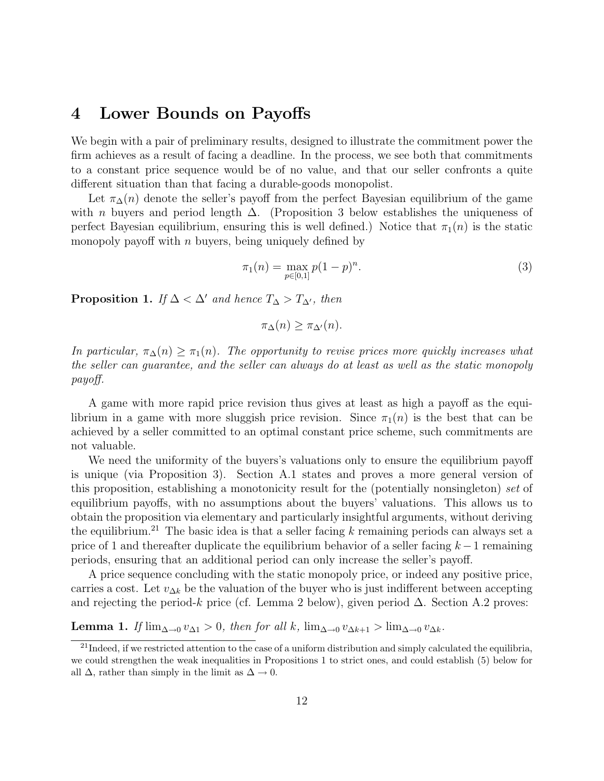# 4 Lower Bounds on Payoffs

We begin with a pair of preliminary results, designed to illustrate the commitment power the firm achieves as a result of facing a deadline. In the process, we see both that commitments to a constant price sequence would be of no value, and that our seller confronts a quite different situation than that facing a durable-goods monopolist.

Let  $\pi_{\Delta}(n)$  denote the seller's payoff from the perfect Bayesian equilibrium of the game with *n* buyers and period length  $\Delta$ . (Proposition 3 below establishes the uniqueness of perfect Bayesian equilibrium, ensuring this is well defined.) Notice that  $\pi_1(n)$  is the static monopoly payoff with  $n$  buyers, being uniquely defined by

$$
\pi_1(n) = \max_{p \in [0,1]} p(1-p)^n.
$$
\n(3)

**Proposition 1.** If  $\Delta < \Delta'$  and hence  $T_{\Delta} > T_{\Delta'}$ , then

$$
\pi_{\Delta}(n) \ge \pi_{\Delta'}(n).
$$

In particular,  $\pi_{\Delta}(n) \geq \pi_1(n)$ . The opportunity to revise prices more quickly increases what the seller can guarantee, and the seller can always do at least as well as the static monopoly payoff.

A game with more rapid price revision thus gives at least as high a payoff as the equilibrium in a game with more sluggish price revision. Since  $\pi_1(n)$  is the best that can be achieved by a seller committed to an optimal constant price scheme, such commitments are not valuable.

We need the uniformity of the buyers's valuations only to ensure the equilibrium payoff is unique (via Proposition 3). Section A.1 states and proves a more general version of this proposition, establishing a monotonicity result for the (potentially nonsingleton) set of equilibrium payoffs, with no assumptions about the buyers' valuations. This allows us to obtain the proposition via elementary and particularly insightful arguments, without deriving the equilibrium.<sup>21</sup> The basic idea is that a seller facing k remaining periods can always set a price of 1 and thereafter duplicate the equilibrium behavior of a seller facing  $k-1$  remaining periods, ensuring that an additional period can only increase the seller's payoff.

A price sequence concluding with the static monopoly price, or indeed any positive price, carries a cost. Let  $v_{\Delta k}$  be the valuation of the buyer who is just indifferent between accepting and rejecting the period-k price (cf. Lemma 2 below), given period  $\Delta$ . Section A.2 proves:

Lemma 1. If  $\lim_{\Delta \to 0} v_{\Delta 1} > 0$ , then for all k,  $\lim_{\Delta \to 0} v_{\Delta k+1} > \lim_{\Delta \to 0} v_{\Delta k}$ .

 $^{21}$ Indeed, if we restricted attention to the case of a uniform distribution and simply calculated the equilibria, we could strengthen the weak inequalities in Propositions 1 to strict ones, and could establish (5) below for all  $\Delta$ , rather than simply in the limit as  $\Delta \rightarrow 0$ .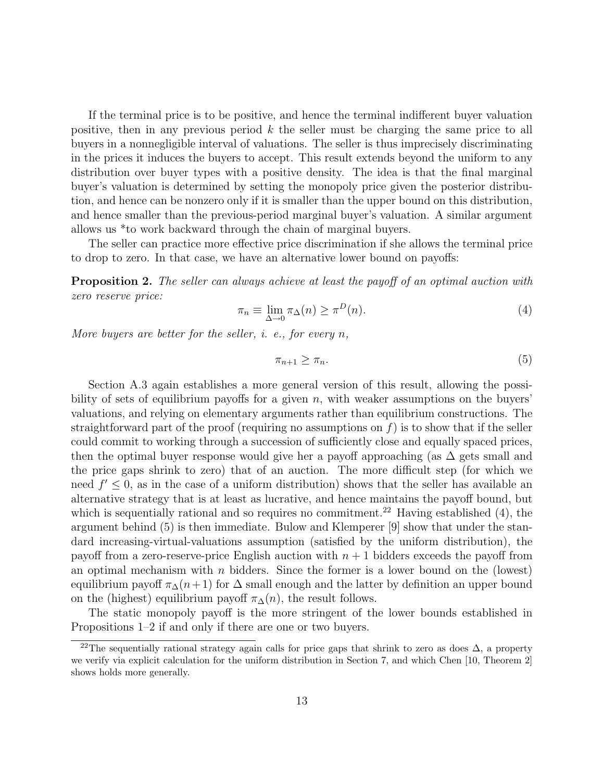If the terminal price is to be positive, and hence the terminal indifferent buyer valuation positive, then in any previous period k the seller must be charging the same price to all buyers in a nonnegligible interval of valuations. The seller is thus imprecisely discriminating in the prices it induces the buyers to accept. This result extends beyond the uniform to any distribution over buyer types with a positive density. The idea is that the final marginal buyer's valuation is determined by setting the monopoly price given the posterior distribution, and hence can be nonzero only if it is smaller than the upper bound on this distribution, and hence smaller than the previous-period marginal buyer's valuation. A similar argument allows us \*to work backward through the chain of marginal buyers.

The seller can practice more effective price discrimination if she allows the terminal price to drop to zero. In that case, we have an alternative lower bound on payoffs:

**Proposition 2.** The seller can always achieve at least the payoff of an optimal auction with zero reserve price:

$$
\pi_n \equiv \lim_{\Delta \to 0} \pi_\Delta(n) \ge \pi^D(n). \tag{4}
$$

More buyers are better for the seller, *i.* e., for every  $n$ ,

$$
\pi_{n+1} \ge \pi_n. \tag{5}
$$

Section A.3 again establishes a more general version of this result, allowing the possibility of sets of equilibrium payoffs for a given  $n$ , with weaker assumptions on the buyers' valuations, and relying on elementary arguments rather than equilibrium constructions. The straightforward part of the proof (requiring no assumptions on  $f$ ) is to show that if the seller could commit to working through a succession of sufficiently close and equally spaced prices, then the optimal buyer response would give her a payoff approaching (as  $\Delta$  gets small and the price gaps shrink to zero) that of an auction. The more difficult step (for which we need  $f' \leq 0$ , as in the case of a uniform distribution) shows that the seller has available an alternative strategy that is at least as lucrative, and hence maintains the payoff bound, but which is sequentially rational and so requires no commitment.<sup>22</sup> Having established  $(4)$ , the argument behind (5) is then immediate. Bulow and Klemperer [9] show that under the standard increasing-virtual-valuations assumption (satisfied by the uniform distribution), the payoff from a zero-reserve-price English auction with  $n + 1$  bidders exceeds the payoff from an optimal mechanism with  $n$  bidders. Since the former is a lower bound on the (lowest) equilibrium payoff  $\pi_{\Delta}(n+1)$  for  $\Delta$  small enough and the latter by definition an upper bound on the (highest) equilibrium payoff  $\pi_{\Delta}(n)$ , the result follows.

The static monopoly payoff is the more stringent of the lower bounds established in Propositions 1–2 if and only if there are one or two buyers.

<sup>&</sup>lt;sup>22</sup>The sequentially rational strategy again calls for price gaps that shrink to zero as does  $\Delta$ , a property we verify via explicit calculation for the uniform distribution in Section 7, and which Chen [10, Theorem 2] shows holds more generally.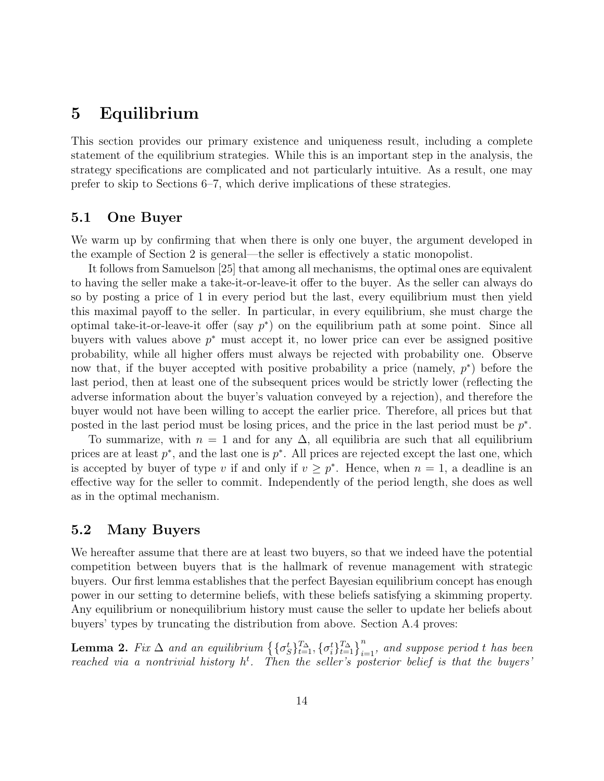# 5 Equilibrium

This section provides our primary existence and uniqueness result, including a complete statement of the equilibrium strategies. While this is an important step in the analysis, the strategy specifications are complicated and not particularly intuitive. As a result, one may prefer to skip to Sections 6–7, which derive implications of these strategies.

### 5.1 One Buyer

We warm up by confirming that when there is only one buyer, the argument developed in the example of Section 2 is general—the seller is effectively a static monopolist.

It follows from Samuelson [25] that among all mechanisms, the optimal ones are equivalent to having the seller make a take-it-or-leave-it offer to the buyer. As the seller can always do so by posting a price of 1 in every period but the last, every equilibrium must then yield this maximal payoff to the seller. In particular, in every equilibrium, she must charge the optimal take-it-or-leave-it offer (say  $p^*$ ) on the equilibrium path at some point. Since all buyers with values above  $p^*$  must accept it, no lower price can ever be assigned positive probability, while all higher offers must always be rejected with probability one. Observe now that, if the buyer accepted with positive probability a price (namely,  $p^*$ ) before the last period, then at least one of the subsequent prices would be strictly lower (reflecting the adverse information about the buyer's valuation conveyed by a rejection), and therefore the buyer would not have been willing to accept the earlier price. Therefore, all prices but that posted in the last period must be losing prices, and the price in the last period must be  $p^*$ .

To summarize, with  $n = 1$  and for any  $\Delta$ , all equilibria are such that all equilibrium prices are at least  $p^*$ , and the last one is  $p^*$ . All prices are rejected except the last one, which is accepted by buyer of type v if and only if  $v \geq p^*$ . Hence, when  $n = 1$ , a deadline is an effective way for the seller to commit. Independently of the period length, she does as well as in the optimal mechanism.

### 5.2 Many Buyers

We hereafter assume that there are at least two buyers, so that we indeed have the potential competition between buyers that is the hallmark of revenue management with strategic buyers. Our first lemma establishes that the perfect Bayesian equilibrium concept has enough power in our setting to determine beliefs, with these beliefs satisfying a skimming property. Any equilibrium or nonequilibrium history must cause the seller to update her beliefs about buyers' types by truncating the distribution from above. Section A.4 proves:

**Lemma 2.** Fix  $\Delta$  and an equilibrium  $\{\{\sigma_s^t\}_{t=1}^{T_{\Delta}}, \{\sigma_i^t\}_{t=1}^{T_{\Delta}}\}_{i=1}^n$ , and suppose period t has been reached via a nontrivial history  $h^t$ . Then the seller's posterior belief is that the buyers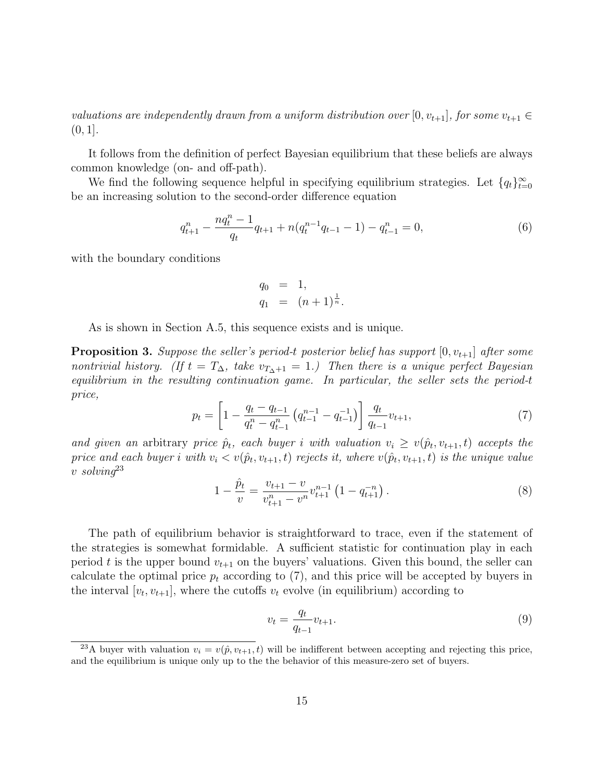valuations are independently drawn from a uniform distribution over [0,  $v_{t+1}$ ], for some  $v_{t+1} \in$  $(0, 1].$ 

It follows from the definition of perfect Bayesian equilibrium that these beliefs are always common knowledge (on- and off-path).

We find the following sequence helpful in specifying equilibrium strategies. Let  $\{q_t\}_{t=0}^{\infty}$ be an increasing solution to the second-order difference equation

$$
q_{t+1}^n - \frac{nq_t^n - 1}{q_t}q_{t+1} + n(q_t^{n-1}q_{t-1} - 1) - q_{t-1}^n = 0,
$$
\n
$$
(6)
$$

with the boundary conditions

$$
q_0 = 1,
$$
  
\n $q_1 = (n+1)^{\frac{1}{n}}.$ 

As is shown in Section A.5, this sequence exists and is unique.

**Proposition 3.** Suppose the seller's period-t posterior belief has support  $[0, v_{t+1}]$  after some nontrivial history. (If  $t = T_{\Delta}$ , take  $v_{T_{\Delta}+1} = 1$ .) Then there is a unique perfect Bayesian equilibrium in the resulting continuation game. In particular, the seller sets the period-t price,

$$
p_t = \left[1 - \frac{q_t - q_{t-1}}{q_t^n - q_{t-1}^n} \left(q_{t-1}^{n-1} - q_{t-1}^{-1}\right)\right] \frac{q_t}{q_{t-1}} v_{t+1},\tag{7}
$$

and given an arbitrary price  $\hat{p}_t$ , each buyer i with valuation  $v_i \ge v(\hat{p}_t, v_{t+1}, t)$  accepts the price and each buyer i with  $v_i < v(\hat{p}_t, v_{t+1}, t)$  rejects it, where  $v(\hat{p}_t, v_{t+1}, t)$  is the unique value v solvin $q^{23}$ 

$$
1 - \frac{\hat{p}_t}{v} = \frac{v_{t+1} - v}{v_{t+1}^n - v^n} v_{t+1}^{n-1} \left( 1 - q_{t+1}^{-n} \right). \tag{8}
$$

The path of equilibrium behavior is straightforward to trace, even if the statement of the strategies is somewhat formidable. A sufficient statistic for continuation play in each period t is the upper bound  $v_{t+1}$  on the buyers' valuations. Given this bound, the seller can calculate the optimal price  $p_t$  according to (7), and this price will be accepted by buyers in the interval  $[v_t, v_{t+1}]$ , where the cutoffs  $v_t$  evolve (in equilibrium) according to

$$
v_t = \frac{q_t}{q_{t-1}} v_{t+1}.
$$
\n(9)

<sup>&</sup>lt;sup>23</sup>A buyer with valuation  $v_i = v(\hat{p}, v_{t+1}, t)$  will be indifferent between accepting and rejecting this price, and the equilibrium is unique only up to the the behavior of this measure-zero set of buyers.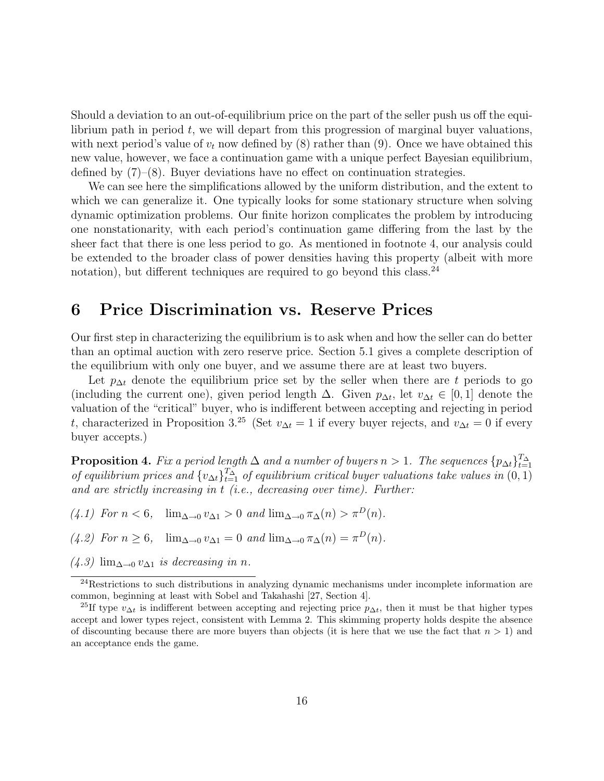Should a deviation to an out-of-equilibrium price on the part of the seller push us off the equilibrium path in period  $t$ , we will depart from this progression of marginal buyer valuations, with next period's value of  $v_t$  now defined by (8) rather than (9). Once we have obtained this new value, however, we face a continuation game with a unique perfect Bayesian equilibrium, defined by  $(7)-(8)$ . Buyer deviations have no effect on continuation strategies.

We can see here the simplifications allowed by the uniform distribution, and the extent to which we can generalize it. One typically looks for some stationary structure when solving dynamic optimization problems. Our finite horizon complicates the problem by introducing one nonstationarity, with each period's continuation game differing from the last by the sheer fact that there is one less period to go. As mentioned in footnote 4, our analysis could be extended to the broader class of power densities having this property (albeit with more notation), but different techniques are required to go beyond this class. $^{24}$ 

# 6 Price Discrimination vs. Reserve Prices

Our first step in characterizing the equilibrium is to ask when and how the seller can do better than an optimal auction with zero reserve price. Section 5.1 gives a complete description of the equilibrium with only one buyer, and we assume there are at least two buyers.

Let  $p_{\Delta t}$  denote the equilibrium price set by the seller when there are t periods to go (including the current one), given period length  $\Delta$ . Given  $p_{\Delta t}$ , let  $v_{\Delta t} \in [0,1]$  denote the valuation of the "critical" buyer, who is indifferent between accepting and rejecting in period t, characterized in Proposition 3.<sup>25</sup> (Set  $v_{\Delta t} = 1$  if every buyer rejects, and  $v_{\Delta t} = 0$  if every buyer accepts.)

**Proposition 4.** Fix a period length  $\Delta$  and a number of buyers  $n > 1$ . The sequences  $\{p_{\Delta t}\}_{t=1}^{T_{\Delta}}$ of equilibrium prices and  $\{v_{\Delta t}\}_{t=1}^{T_{\Delta}}$  of equilibrium critical buyer valuations take values in  $(0,1)$ and are strictly increasing in  $t$  (i.e., decreasing over time). Further:

- $(4.1)$  For  $n < 6$ ,  $\lim_{\Delta \to 0} v_{\Delta 1} > 0$  and  $\lim_{\Delta \to 0} \pi_{\Delta}(n) > \pi^{D}(n)$ .
- $(4.2)$  For  $n \ge 6$ ,  $\lim_{\Delta \to 0} v_{\Delta 1} = 0$  and  $\lim_{\Delta \to 0} \pi_{\Delta}(n) = \pi^{D}(n)$ .
- $(4.3)$  lim<sub>∆→0</sub>  $v_{\Delta1}$  *is decreasing in n*.

<sup>&</sup>lt;sup>24</sup>Restrictions to such distributions in analyzing dynamic mechanisms under incomplete information are common, beginning at least with Sobel and Takahashi [27, Section 4].

<sup>&</sup>lt;sup>25</sup>If type  $v_{\Delta t}$  is indifferent between accepting and rejecting price  $p_{\Delta t}$ , then it must be that higher types accept and lower types reject, consistent with Lemma 2. This skimming property holds despite the absence of discounting because there are more buyers than objects (it is here that we use the fact that  $n > 1$ ) and an acceptance ends the game.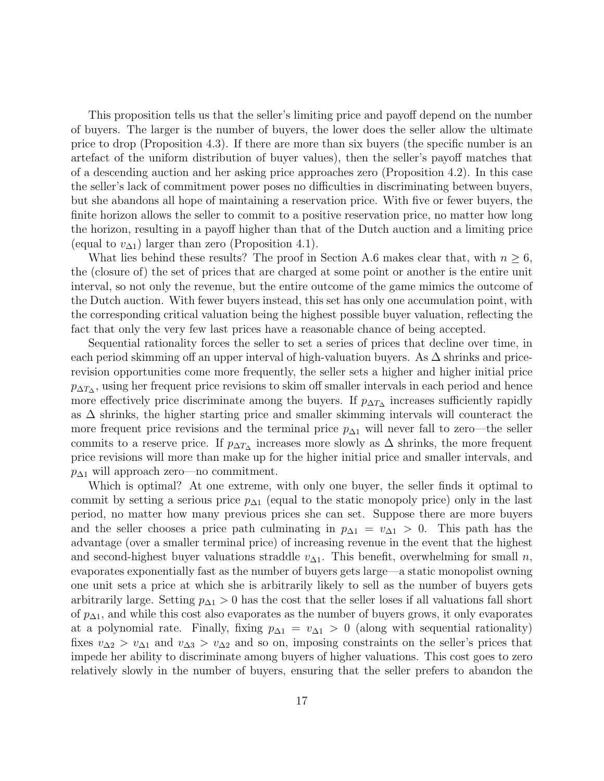This proposition tells us that the seller's limiting price and payoff depend on the number of buyers. The larger is the number of buyers, the lower does the seller allow the ultimate price to drop (Proposition 4.3). If there are more than six buyers (the specific number is an artefact of the uniform distribution of buyer values), then the seller's payoff matches that of a descending auction and her asking price approaches zero (Proposition 4.2). In this case the seller's lack of commitment power poses no difficulties in discriminating between buyers, but she abandons all hope of maintaining a reservation price. With five or fewer buyers, the finite horizon allows the seller to commit to a positive reservation price, no matter how long the horizon, resulting in a payoff higher than that of the Dutch auction and a limiting price (equal to  $v_{\Delta 1}$ ) larger than zero (Proposition 4.1).

What lies behind these results? The proof in Section A.6 makes clear that, with  $n \geq 6$ , the (closure of) the set of prices that are charged at some point or another is the entire unit interval, so not only the revenue, but the entire outcome of the game mimics the outcome of the Dutch auction. With fewer buyers instead, this set has only one accumulation point, with the corresponding critical valuation being the highest possible buyer valuation, reflecting the fact that only the very few last prices have a reasonable chance of being accepted.

Sequential rationality forces the seller to set a series of prices that decline over time, in each period skimming off an upper interval of high-valuation buyers. As  $\Delta$  shrinks and pricerevision opportunities come more frequently, the seller sets a higher and higher initial price  $p_{\Delta T_{\Delta}}$ , using her frequent price revisions to skim off smaller intervals in each period and hence more effectively price discriminate among the buyers. If  $p_{\Delta T_{\Delta}}$  increases sufficiently rapidly as ∆ shrinks, the higher starting price and smaller skimming intervals will counteract the more frequent price revisions and the terminal price  $p_{\Delta1}$  will never fall to zero—the seller commits to a reserve price. If  $p_{\Delta T_{\Delta}}$  increases more slowly as  $\Delta$  shrinks, the more frequent price revisions will more than make up for the higher initial price and smaller intervals, and  $p_{\Delta1}$  will approach zero—no commitment.

Which is optimal? At one extreme, with only one buyer, the seller finds it optimal to commit by setting a serious price  $p_{\Delta 1}$  (equal to the static monopoly price) only in the last period, no matter how many previous prices she can set. Suppose there are more buyers and the seller chooses a price path culminating in  $p_{\Delta 1} = v_{\Delta 1} > 0$ . This path has the advantage (over a smaller terminal price) of increasing revenue in the event that the highest and second-highest buyer valuations straddle  $v_{\Delta 1}$ . This benefit, overwhelming for small n, evaporates exponentially fast as the number of buyers gets large—a static monopolist owning one unit sets a price at which she is arbitrarily likely to sell as the number of buyers gets arbitrarily large. Setting  $p_{\Delta1} > 0$  has the cost that the seller loses if all valuations fall short of  $p_{\Delta 1}$ , and while this cost also evaporates as the number of buyers grows, it only evaporates at a polynomial rate. Finally, fixing  $p_{\Delta 1} = v_{\Delta 1} > 0$  (along with sequential rationality) fixes  $v_{\Delta 2} > v_{\Delta 1}$  and  $v_{\Delta 3} > v_{\Delta 2}$  and so on, imposing constraints on the seller's prices that impede her ability to discriminate among buyers of higher valuations. This cost goes to zero relatively slowly in the number of buyers, ensuring that the seller prefers to abandon the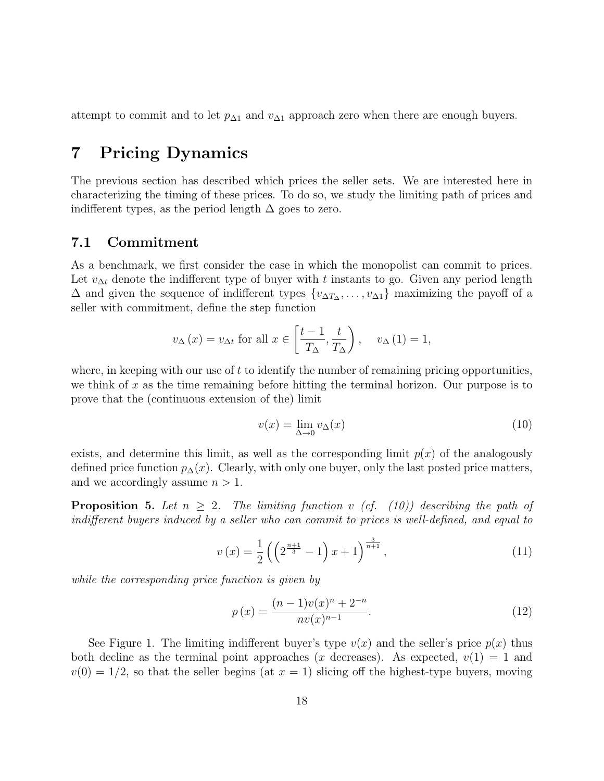attempt to commit and to let  $p_{\Delta 1}$  and  $v_{\Delta 1}$  approach zero when there are enough buyers.

# 7 Pricing Dynamics

The previous section has described which prices the seller sets. We are interested here in characterizing the timing of these prices. To do so, we study the limiting path of prices and indifferent types, as the period length  $\Delta$  goes to zero.

### 7.1 Commitment

As a benchmark, we first consider the case in which the monopolist can commit to prices. Let  $v_{\Delta t}$  denote the indifferent type of buyer with t instants to go. Given any period length  $\Delta$  and given the sequence of indifferent types  $\{v_{\Delta T_{\Delta}}, \ldots, v_{\Delta 1}\}\$  maximizing the payoff of a seller with commitment, define the step function

$$
v_{\Delta}(x) = v_{\Delta t}
$$
 for all  $x \in \left[\frac{t-1}{T_{\Delta}}, \frac{t}{T_{\Delta}}\right)$ ,  $v_{\Delta}(1) = 1$ ,

where, in keeping with our use of  $t$  to identify the number of remaining pricing opportunities, we think of x as the time remaining before hitting the terminal horizon. Our purpose is to prove that the (continuous extension of the) limit

$$
v(x) = \lim_{\Delta \to 0} v_{\Delta}(x) \tag{10}
$$

exists, and determine this limit, as well as the corresponding limit  $p(x)$  of the analogously defined price function  $p_{\Delta}(x)$ . Clearly, with only one buyer, only the last posted price matters, and we accordingly assume  $n > 1$ .

**Proposition 5.** Let  $n \geq 2$ . The limiting function v (cf. (10)) describing the path of indifferent buyers induced by a seller who can commit to prices is well-defined, and equal to

$$
v(x) = \frac{1}{2} \left( \left( 2^{\frac{n+1}{3}} - 1 \right) x + 1 \right)^{\frac{3}{n+1}}, \tag{11}
$$

while the corresponding price function is given by

$$
p(x) = \frac{(n-1)v(x)^{n} + 2^{-n}}{nv(x)^{n-1}}.
$$
\n(12)

See Figure 1. The limiting indifferent buyer's type  $v(x)$  and the seller's price  $p(x)$  thus both decline as the terminal point approaches (x decreases). As expected,  $v(1) = 1$  and  $v(0) = 1/2$ , so that the seller begins (at  $x = 1$ ) slicing off the highest-type buyers, moving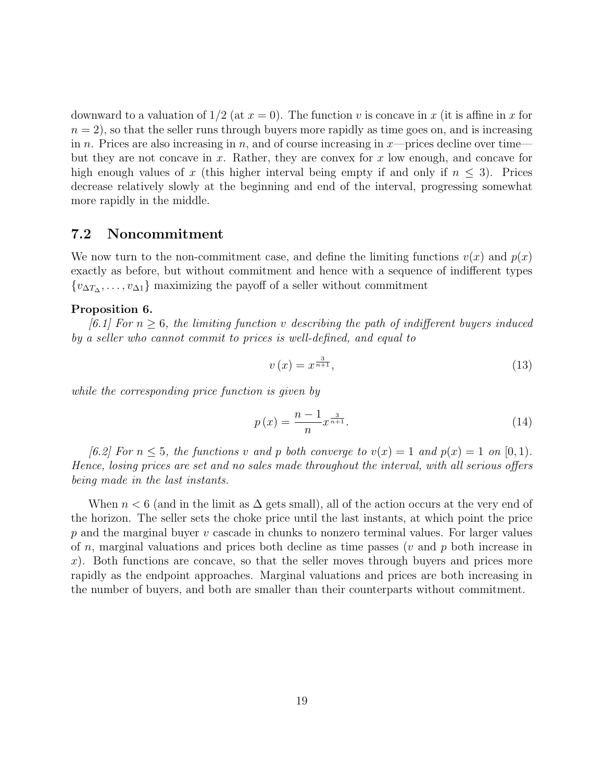downward to a valuation of  $1/2$  (at  $x = 0$ ). The function v is concave in x (it is affine in x for  $n = 2$ , so that the seller runs through buyers more rapidly as time goes on, and is increasing in n. Prices are also increasing in n, and of course increasing in  $x$ —prices decline over time but they are not concave in x. Rather, they are convex for x low enough, and concave for high enough values of x (this higher interval being empty if and only if  $n \leq 3$ ). Prices decrease relatively slowly at the beginning and end of the interval, progressing somewhat more rapidly in the middle.

### 7.2 Noncommitment

We now turn to the non-commitment case, and define the limiting functions  $v(x)$  and  $p(x)$ exactly as before, but without commitment and hence with a sequence of indifferent types  $\{v_{\Delta T_{\Delta}}, \ldots, v_{\Delta 1}\}\$  maximizing the payoff of a seller without commitment

#### Proposition 6.

[6.1] For  $n \geq 6$ , the limiting function v describing the path of indifferent buyers induced by a seller who cannot commit to prices is well-defined, and equal to

$$
v\left(x\right) = x^{\frac{3}{n+1}},\tag{13}
$$

while the corresponding price function is given by

$$
p(x) = \frac{n-1}{n} x^{\frac{3}{n+1}}.
$$
\n(14)

[6.2] For  $n \leq 5$ , the functions v and p both converge to  $v(x) = 1$  and  $p(x) = 1$  on [0,1]. Hence, losing prices are set and no sales made throughout the interval, with all serious offers being made in the last instants.

When  $n < 6$  (and in the limit as  $\Delta$  gets small), all of the action occurs at the very end of the horizon. The seller sets the choke price until the last instants, at which point the price  $p$  and the marginal buyer  $v$  cascade in chunks to nonzero terminal values. For larger values of n, marginal valuations and prices both decline as time passes ( $v$  and  $p$  both increase in x). Both functions are concave, so that the seller moves through buyers and prices more rapidly as the endpoint approaches. Marginal valuations and prices are both increasing in the number of buyers, and both are smaller than their counterparts without commitment.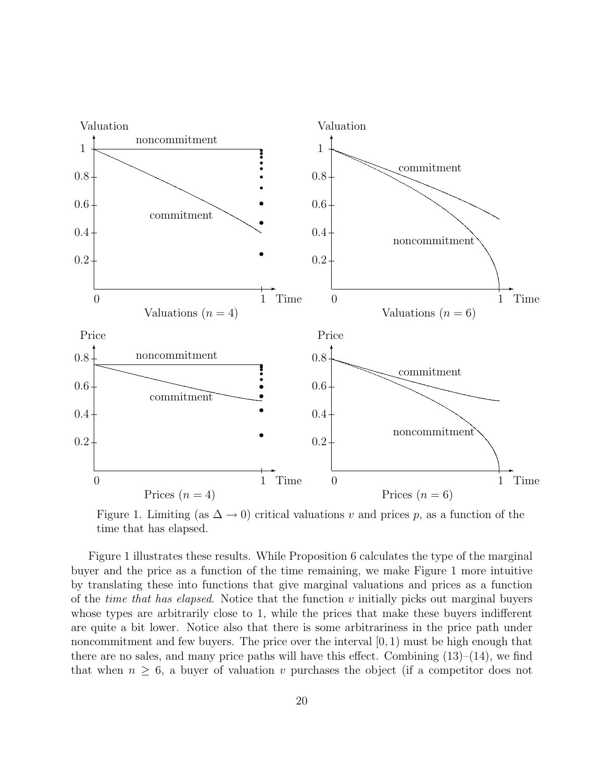

Figure 1. Limiting (as  $\Delta \to 0$ ) critical valuations v and prices p, as a function of the time that has elapsed.

Figure 1 illustrates these results. While Proposition 6 calculates the type of the marginal buyer and the price as a function of the time remaining, we make Figure 1 more intuitive by translating these into functions that give marginal valuations and prices as a function of the *time that has elapsed*. Notice that the function  $v$  initially picks out marginal buyers whose types are arbitrarily close to 1, while the prices that make these buyers indifferent are quite a bit lower. Notice also that there is some arbitrariness in the price path under noncommitment and few buyers. The price over the interval  $[0, 1)$  must be high enough that there are no sales, and many price paths will have this effect. Combining  $(13)$ – $(14)$ , we find that when  $n \geq 6$ , a buyer of valuation v purchases the object (if a competitor does not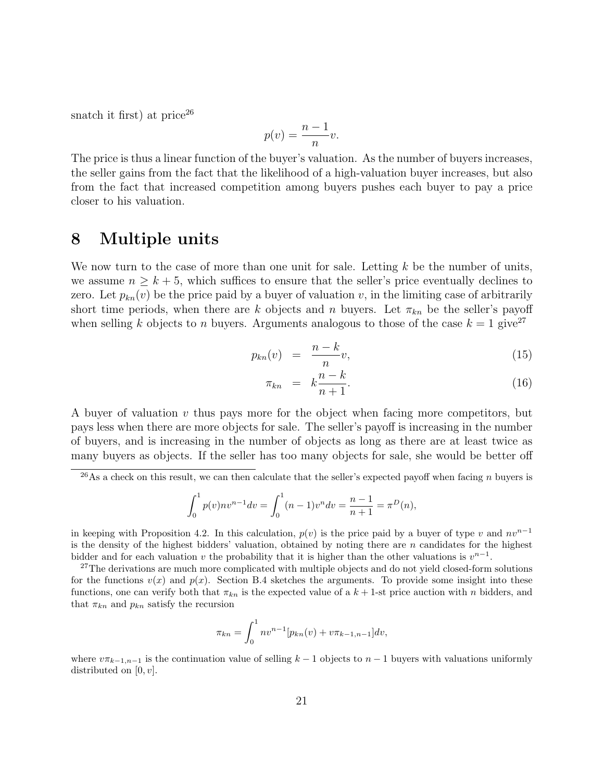snatch it first) at price  $26$ 

$$
p(v) = \frac{n-1}{n}v.
$$

The price is thus a linear function of the buyer's valuation. As the number of buyers increases, the seller gains from the fact that the likelihood of a high-valuation buyer increases, but also from the fact that increased competition among buyers pushes each buyer to pay a price closer to his valuation.

# 8 Multiple units

We now turn to the case of more than one unit for sale. Letting  $k$  be the number of units, we assume  $n \geq k+5$ , which suffices to ensure that the seller's price eventually declines to zero. Let  $p_{kn}(v)$  be the price paid by a buyer of valuation v, in the limiting case of arbitrarily short time periods, when there are k objects and n buyers. Let  $\pi_{kn}$  be the seller's payoff when selling k objects to n buyers. Arguments analogous to those of the case  $k = 1$  give<sup>27</sup>

$$
p_{kn}(v) = \frac{n-k}{n}v,\tag{15}
$$

$$
\pi_{kn} = k \frac{n-k}{n+1}.
$$
\n
$$
(16)
$$

A buyer of valuation  $v$  thus pays more for the object when facing more competitors, but pays less when there are more objects for sale. The seller's payoff is increasing in the number of buyers, and is increasing in the number of objects as long as there are at least twice as many buyers as objects. If the seller has too many objects for sale, she would be better off

$$
\int_0^1 p(v)nv^{n-1}dv = \int_0^1 (n-1)v^n dv = \frac{n-1}{n+1} = \pi^D(n),
$$

in keeping with Proposition 4.2. In this calculation,  $p(v)$  is the price paid by a buyer of type v and  $nv^{n-1}$ is the density of the highest bidders' valuation, obtained by noting there are  $n$  candidates for the highest bidder and for each valuation v the probability that it is higher than the other valuations is  $v^{n-1}$ .

<sup>27</sup>The derivations are much more complicated with multiple objects and do not yield closed-form solutions for the functions  $v(x)$  and  $p(x)$ . Section B.4 sketches the arguments. To provide some insight into these functions, one can verify both that  $\pi_{kn}$  is the expected value of a  $k + 1$ -st price auction with n bidders, and that  $\pi_{kn}$  and  $p_{kn}$  satisfy the recursion

$$
\pi_{kn} = \int_0^1 n v^{n-1} [p_{kn}(v) + v \pi_{k-1,n-1}] dv,
$$

where  $v\pi_{k-1,n-1}$  is the continuation value of selling  $k-1$  objects to  $n-1$  buyers with valuations uniformly distributed on  $[0, v]$ .

 $^{26}$ As a check on this result, we can then calculate that the seller's expected payoff when facing n buyers is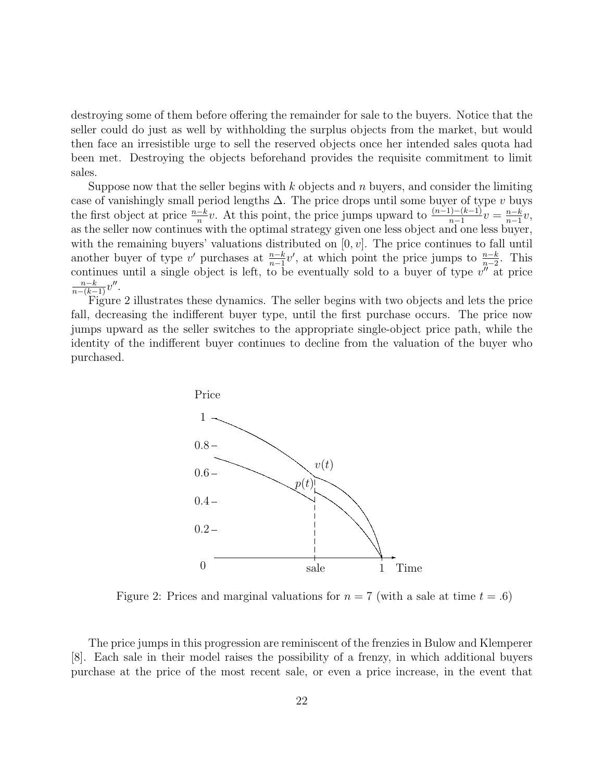destroying some of them before offering the remainder for sale to the buyers. Notice that the seller could do just as well by withholding the surplus objects from the market, but would then face an irresistible urge to sell the reserved objects once her intended sales quota had been met. Destroying the objects beforehand provides the requisite commitment to limit sales.

Suppose now that the seller begins with k objects and n buyers, and consider the limiting case of vanishingly small period lengths  $\Delta$ . The price drops until some buyer of type v buys the first object at price  $\frac{n-k}{n}v$ . At this point, the price jumps upward to  $\frac{(n-1)-(k-1)}{n-1}v = \frac{n-k}{n-1}$  $\frac{n-k}{n-1}v,$ as the seller now continues with the optimal strategy given one less object and one less buyer, with the remaining buyers' valuations distributed on  $[0, v]$ . The price continues to fall until another buyer of type v' purchases at  $\frac{n-k}{n-1}v'$ , at which point the price jumps to  $\frac{n-k}{n-2}$ . This continues until a single object is left, to be eventually sold to a buyer of type  $v''$  at price  $\frac{n-k}{n-(k-1)}v''$ .

Figure 2 illustrates these dynamics. The seller begins with two objects and lets the price fall, decreasing the indifferent buyer type, until the first purchase occurs. The price now jumps upward as the seller switches to the appropriate single-object price path, while the identity of the indifferent buyer continues to decline from the valuation of the buyer who purchased.



Figure 2: Prices and marginal valuations for  $n = 7$  (with a sale at time  $t = .6$ )

The price jumps in this progression are reminiscent of the frenzies in Bulow and Klemperer [8]. Each sale in their model raises the possibility of a frenzy, in which additional buyers purchase at the price of the most recent sale, or even a price increase, in the event that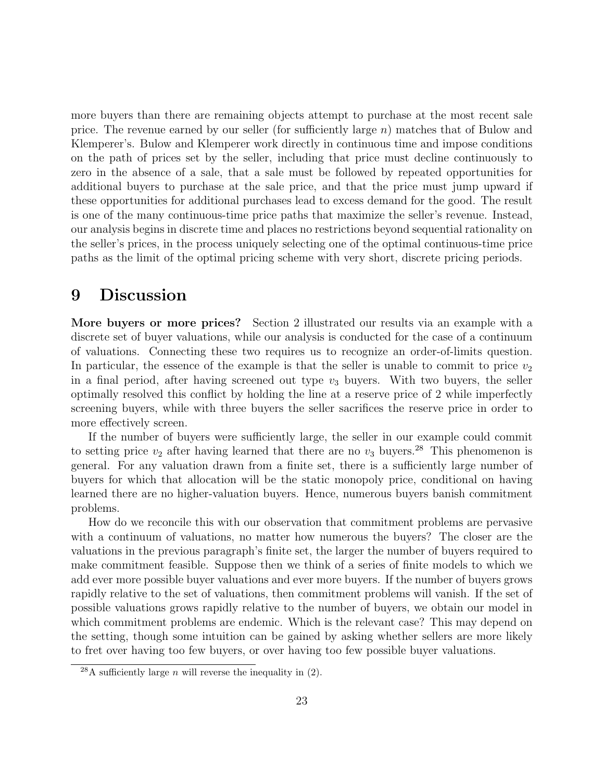more buyers than there are remaining objects attempt to purchase at the most recent sale price. The revenue earned by our seller (for sufficiently large n) matches that of Bulow and Klemperer's. Bulow and Klemperer work directly in continuous time and impose conditions on the path of prices set by the seller, including that price must decline continuously to zero in the absence of a sale, that a sale must be followed by repeated opportunities for additional buyers to purchase at the sale price, and that the price must jump upward if these opportunities for additional purchases lead to excess demand for the good. The result is one of the many continuous-time price paths that maximize the seller's revenue. Instead, our analysis begins in discrete time and places no restrictions beyond sequential rationality on the seller's prices, in the process uniquely selecting one of the optimal continuous-time price paths as the limit of the optimal pricing scheme with very short, discrete pricing periods.

# 9 Discussion

More buyers or more prices? Section 2 illustrated our results via an example with a discrete set of buyer valuations, while our analysis is conducted for the case of a continuum of valuations. Connecting these two requires us to recognize an order-of-limits question. In particular, the essence of the example is that the seller is unable to commit to price  $v_2$ in a final period, after having screened out type  $v_3$  buyers. With two buyers, the seller optimally resolved this conflict by holding the line at a reserve price of 2 while imperfectly screening buyers, while with three buyers the seller sacrifices the reserve price in order to more effectively screen.

If the number of buyers were sufficiently large, the seller in our example could commit to setting price  $v_2$  after having learned that there are no  $v_3$  buyers.<sup>28</sup> This phenomenon is general. For any valuation drawn from a finite set, there is a sufficiently large number of buyers for which that allocation will be the static monopoly price, conditional on having learned there are no higher-valuation buyers. Hence, numerous buyers banish commitment problems.

How do we reconcile this with our observation that commitment problems are pervasive with a continuum of valuations, no matter how numerous the buyers? The closer are the valuations in the previous paragraph's finite set, the larger the number of buyers required to make commitment feasible. Suppose then we think of a series of finite models to which we add ever more possible buyer valuations and ever more buyers. If the number of buyers grows rapidly relative to the set of valuations, then commitment problems will vanish. If the set of possible valuations grows rapidly relative to the number of buyers, we obtain our model in which commitment problems are endemic. Which is the relevant case? This may depend on the setting, though some intuition can be gained by asking whether sellers are more likely to fret over having too few buyers, or over having too few possible buyer valuations.

<sup>&</sup>lt;sup>28</sup>A sufficiently large *n* will reverse the inequality in  $(2)$ .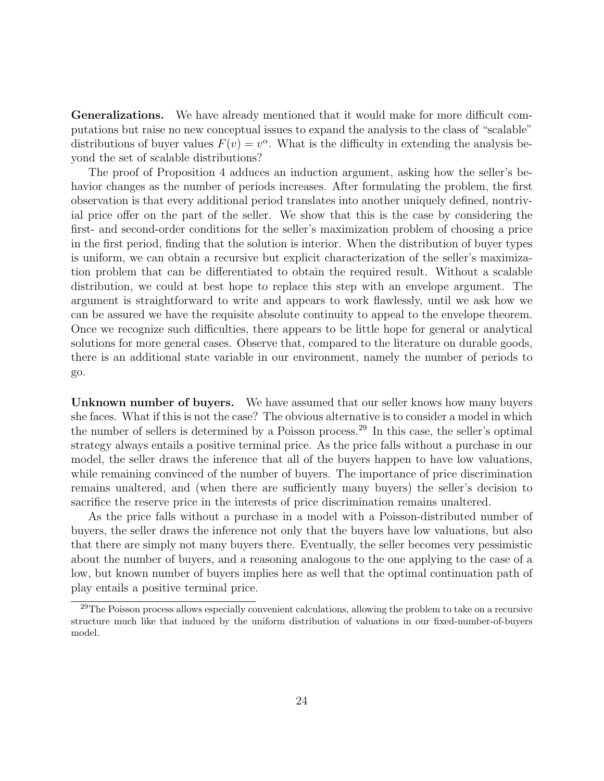Generalizations. We have already mentioned that it would make for more difficult computations but raise no new conceptual issues to expand the analysis to the class of "scalable" distributions of buyer values  $F(v) = v^{\alpha}$ . What is the difficulty in extending the analysis beyond the set of scalable distributions?

The proof of Proposition 4 adduces an induction argument, asking how the seller's behavior changes as the number of periods increases. After formulating the problem, the first observation is that every additional period translates into another uniquely defined, nontrivial price offer on the part of the seller. We show that this is the case by considering the first- and second-order conditions for the seller's maximization problem of choosing a price in the first period, finding that the solution is interior. When the distribution of buyer types is uniform, we can obtain a recursive but explicit characterization of the seller's maximization problem that can be differentiated to obtain the required result. Without a scalable distribution, we could at best hope to replace this step with an envelope argument. The argument is straightforward to write and appears to work flawlessly, until we ask how we can be assured we have the requisite absolute continuity to appeal to the envelope theorem. Once we recognize such difficulties, there appears to be little hope for general or analytical solutions for more general cases. Observe that, compared to the literature on durable goods, there is an additional state variable in our environment, namely the number of periods to go.

Unknown number of buyers. We have assumed that our seller knows how many buyers she faces. What if this is not the case? The obvious alternative is to consider a model in which the number of sellers is determined by a Poisson process.<sup>29</sup> In this case, the seller's optimal strategy always entails a positive terminal price. As the price falls without a purchase in our model, the seller draws the inference that all of the buyers happen to have low valuations, while remaining convinced of the number of buyers. The importance of price discrimination remains unaltered, and (when there are sufficiently many buyers) the seller's decision to sacrifice the reserve price in the interests of price discrimination remains unaltered.

As the price falls without a purchase in a model with a Poisson-distributed number of buyers, the seller draws the inference not only that the buyers have low valuations, but also that there are simply not many buyers there. Eventually, the seller becomes very pessimistic about the number of buyers, and a reasoning analogous to the one applying to the case of a low, but known number of buyers implies here as well that the optimal continuation path of play entails a positive terminal price.

 $^{29}$ The Poisson process allows especially convenient calculations, allowing the problem to take on a recursive structure much like that induced by the uniform distribution of valuations in our fixed-number-of-buyers model.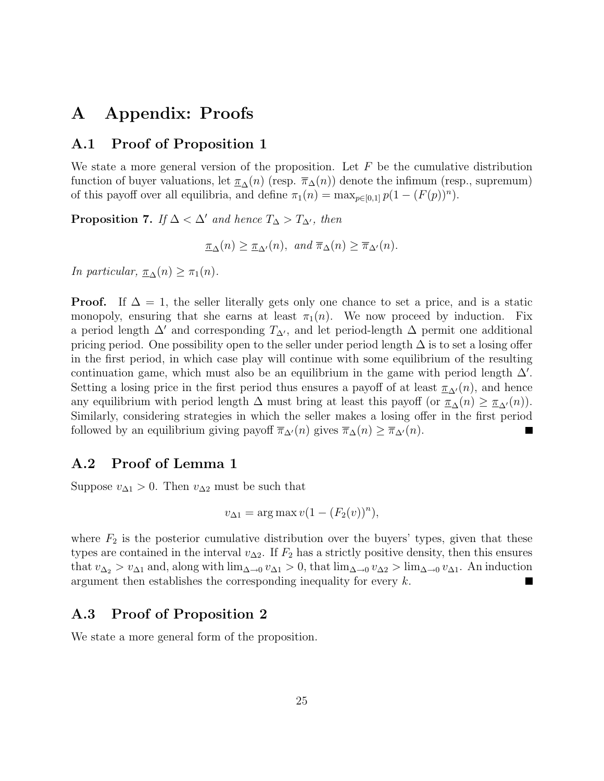# A Appendix: Proofs

### A.1 Proof of Proposition 1

We state a more general version of the proposition. Let  $F$  be the cumulative distribution function of buyer valuations, let  $\pi_{\Delta}(n)$  (resp.  $\pi_{\Delta}(n)$ ) denote the infimum (resp., supremum) of this payoff over all equilibria, and define  $\pi_1(n) = \max_{p \in [0,1]} p(1 - (F(p))^n)$ .

**Proposition 7.** If  $\Delta < \Delta'$  and hence  $T_{\Delta} > T_{\Delta'}$ , then

$$
\underline{\pi}_{\Delta}(n) \ge \underline{\pi}_{\Delta'}(n), \text{ and } \overline{\pi}_{\Delta}(n) \ge \overline{\pi}_{\Delta'}(n).
$$

In particular,  $\pi_{\Delta}(n) \geq \pi_1(n)$ .

**Proof.** If  $\Delta = 1$ , the seller literally gets only one chance to set a price, and is a static monopoly, ensuring that she earns at least  $\pi_1(n)$ . We now proceed by induction. Fix a period length  $\Delta'$  and corresponding  $T_{\Delta'}$ , and let period-length  $\Delta$  permit one additional pricing period. One possibility open to the seller under period length  $\Delta$  is to set a losing offer in the first period, in which case play will continue with some equilibrium of the resulting continuation game, which must also be an equilibrium in the game with period length  $\Delta'$ . Setting a losing price in the first period thus ensures a payoff of at least  $\pi_{\Lambda}(n)$ , and hence any equilibrium with period length  $\Delta$  must bring at least this payoff (or  $\pi_{\Delta}(n) \geq \pi_{\Delta}(n)$ ). Similarly, considering strategies in which the seller makes a losing offer in the first period followed by an equilibrium giving payoff  $\overline{\pi}_{\Delta}(n)$  gives  $\overline{\pi}_{\Delta}(n) \geq \overline{\pi}_{\Delta}(n)$ . L.

### A.2 Proof of Lemma 1

Suppose  $v_{\Delta 1} > 0$ . Then  $v_{\Delta 2}$  must be such that

$$
v_{\Delta 1} = \arg \max v (1 - (F_2(v))^n),
$$

where  $F_2$  is the posterior cumulative distribution over the buyers' types, given that these types are contained in the interval  $v_{\Delta 2}$ . If  $F_2$  has a strictly positive density, then this ensures that  $v_{\Delta_2} > v_{\Delta_1}$  and, along with  $\lim_{\Delta \to 0} v_{\Delta_1} > 0$ , that  $\lim_{\Delta \to 0} v_{\Delta_2} > \lim_{\Delta \to 0} v_{\Delta_1}$ . An induction argument then establishes the corresponding inequality for every k. ш

## A.3 Proof of Proposition 2

We state a more general form of the proposition.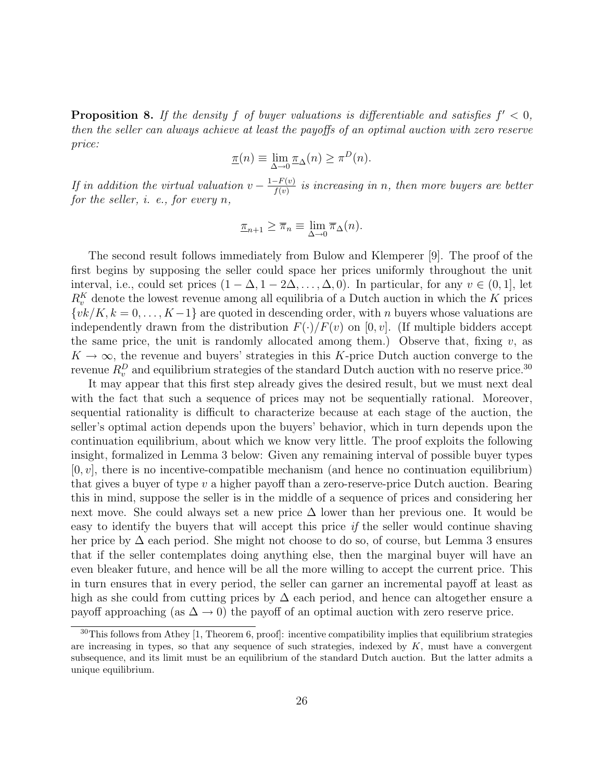**Proposition 8.** If the density f of buyer valuations is differentiable and satisfies  $f' < 0$ , then the seller can always achieve at least the payoffs of an optimal auction with zero reserve price:

$$
\underline{\pi}(n) \equiv \lim_{\Delta \to 0} \underline{\pi}_{\Delta}(n) \ge \pi^{D}(n).
$$

If in addition the virtual valuation  $v - \frac{1 - F(v)}{f(v)}$  $\frac{f^{-(F(v))}}{f(v)}$  is increasing in n, then more buyers are better for the seller, i. e., for every n,

$$
\underline{\pi}_{n+1} \ge \overline{\pi}_n \equiv \lim_{\Delta \to 0} \overline{\pi}_{\Delta}(n).
$$

The second result follows immediately from Bulow and Klemperer [9]. The proof of the first begins by supposing the seller could space her prices uniformly throughout the unit interval, i.e., could set prices  $(1 - \Delta, 1 - 2\Delta, \ldots, \Delta, 0)$ . In particular, for any  $v \in (0, 1]$ , let  $R_v^K$  denote the lowest revenue among all equilibria of a Dutch auction in which the K prices  $\{vk/K, k = 0, \ldots, K-1\}$  are quoted in descending order, with n buyers whose valuations are independently drawn from the distribution  $F(\cdot)/F(v)$  on [0, v]. (If multiple bidders accept the same price, the unit is randomly allocated among them.) Observe that, fixing  $v$ , as  $K \to \infty$ , the revenue and buyers' strategies in this K-price Dutch auction converge to the revenue  $R_v^D$  and equilibrium strategies of the standard Dutch auction with no reserve price.<sup>30</sup>

It may appear that this first step already gives the desired result, but we must next deal with the fact that such a sequence of prices may not be sequentially rational. Moreover, sequential rationality is difficult to characterize because at each stage of the auction, the seller's optimal action depends upon the buyers' behavior, which in turn depends upon the continuation equilibrium, about which we know very little. The proof exploits the following insight, formalized in Lemma 3 below: Given any remaining interval of possible buyer types  $[0, v]$ , there is no incentive-compatible mechanism (and hence no continuation equilibrium) that gives a buyer of type  $v$  a higher payoff than a zero-reserve-price Dutch auction. Bearing this in mind, suppose the seller is in the middle of a sequence of prices and considering her next move. She could always set a new price  $\Delta$  lower than her previous one. It would be easy to identify the buyers that will accept this price if the seller would continue shaving her price by  $\Delta$  each period. She might not choose to do so, of course, but Lemma 3 ensures that if the seller contemplates doing anything else, then the marginal buyer will have an even bleaker future, and hence will be all the more willing to accept the current price. This in turn ensures that in every period, the seller can garner an incremental payoff at least as high as she could from cutting prices by  $\Delta$  each period, and hence can altogether ensure a payoff approaching (as  $\Delta \rightarrow 0$ ) the payoff of an optimal auction with zero reserve price.

 $30$ This follows from Athey [1, Theorem 6, proof]: incentive compatibility implies that equilibrium strategies are increasing in types, so that any sequence of such strategies, indexed by  $K$ , must have a convergent subsequence, and its limit must be an equilibrium of the standard Dutch auction. But the latter admits a unique equilibrium.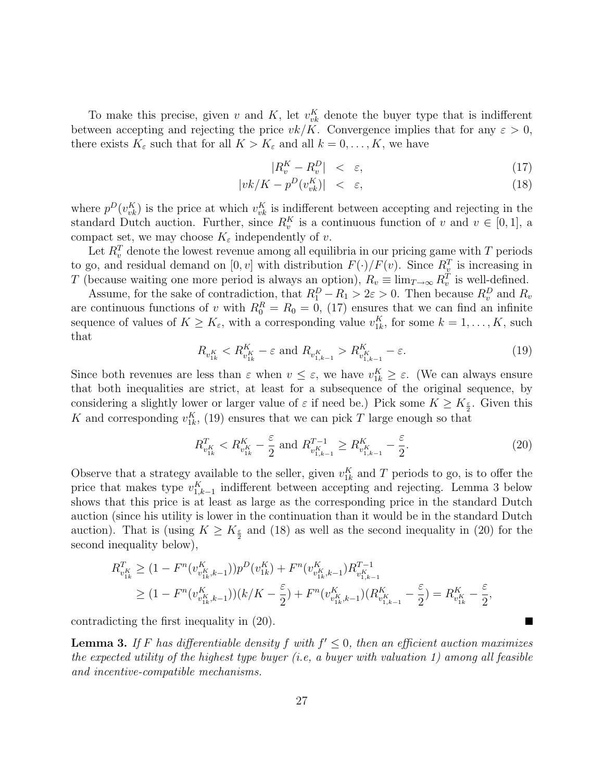To make this precise, given v and K, let  $v_{vk}^K$  denote the buyer type that is indifferent between accepting and rejecting the price  $vk/K$ . Convergence implies that for any  $\varepsilon > 0$ , there exists  $K_{\varepsilon}$  such that for all  $K > K_{\varepsilon}$  and all  $k = 0, \ldots, K$ , we have

$$
|R_v^K - R_v^D| < \varepsilon,\tag{17}
$$

$$
|vk/K - p^D(v_{vk}^K)| < \varepsilon,\tag{18}
$$

where  $p^{D}(v_{vk}^{K})$  is the price at which  $v_{vk}^{K}$  is indifferent between accepting and rejecting in the standard Dutch auction. Further, since  $R_v^K$  is a continuous function of v and  $v \in [0,1]$ , a compact set, we may choose  $K_{\varepsilon}$  independently of v.

Let  $R_v^T$  denote the lowest revenue among all equilibria in our pricing game with T periods to go, and residual demand on  $[0, v]$  with distribution  $F(\cdot)/F(v)$ . Since  $R_v^T$  is increasing in T (because waiting one more period is always an option),  $R_v \equiv \lim_{T \to \infty} R_v^T$  is well-defined.

Assume, for the sake of contradiction, that  $R_1^D - R_1 > 2\varepsilon > 0$ . Then because  $R_v^D$  and  $R_v$ are continuous functions of v with  $R_0^R = R_0 = 0$ , (17) ensures that we can find an infinite sequence of values of  $K \geq K_{\varepsilon}$ , with a corresponding value  $v_{1k}^K$ , for some  $k = 1, \ldots, K$ , such that

$$
R_{v_{1k}^{K}} < R_{v_{1k}^{K}}^{K} - \varepsilon \text{ and } R_{v_{1,k-1}^{K}} > R_{v_{1,k-1}^{K}}^{K} - \varepsilon.
$$
 (19)

Since both revenues are less than  $\varepsilon$  when  $v \leq \varepsilon$ , we have  $v_{1k}^K \geq \varepsilon$ . (We can always ensure that both inequalities are strict, at least for a subsequence of the original sequence, by considering a slightly lower or larger value of  $\varepsilon$  if need be.) Pick some  $K \geq K_{\frac{\varepsilon}{2}}$ . Given this K and corresponding  $v_{1k}^{K}$ , (19) ensures that we can pick T large enough so that

$$
R_{v_{1k}^{K}}^{T} < R_{v_{1k}^{K}}^{K} - \frac{\varepsilon}{2} \text{ and } R_{v_{1,k-1}^{K}}^{T-1} \ge R_{v_{1,k-1}^{K}}^{K} - \frac{\varepsilon}{2}.
$$
\n
$$
(20)
$$

L.

Observe that a strategy available to the seller, given  $v_{1k}^K$  and T periods to go, is to offer the price that makes type  $v_{1,k-1}^K$  indifferent between accepting and rejecting. Lemma 3 below shows that this price is at least as large as the corresponding price in the standard Dutch auction (since his utility is lower in the continuation than it would be in the standard Dutch auction). That is (using  $K \geq K_{\frac{\varepsilon}{2}}$  and (18) as well as the second inequality in (20) for the second inequality below),

$$
R_{v_{1k}^{K}}^{T} \geq (1 - F^{n}(v_{v_{1k}^{K},k-1}^{K}))p^{D}(v_{1k}^{K}) + F^{n}(v_{v_{1k}^{K},k-1}^{K})R_{v_{1k-1}^{K}}^{T-1}
$$
  
\n
$$
\geq (1 - F^{n}(v_{v_{1k}^{K},k-1}^{K}))\left(k/K - \frac{\varepsilon}{2}\right) + F^{n}(v_{v_{1k}^{K},k-1}^{K})\left(R_{v_{1k-1}^{K}}^{K} - \frac{\varepsilon}{2}\right) = R_{v_{1k}^{K}}^{K} - \frac{\varepsilon}{2},
$$

contradicting the first inequality in (20).

**Lemma 3.** If F has differentiable density f with  $f' \leq 0$ , then an efficient auction maximizes the expected utility of the highest type buyer (i.e., a buyer with valuation 1) among all feasible and incentive-compatible mechanisms.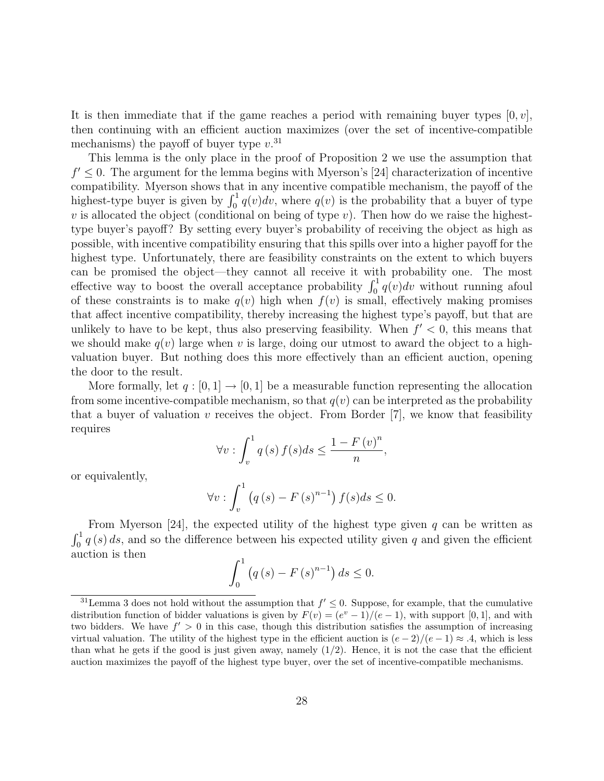It is then immediate that if the game reaches a period with remaining buyer types  $[0, v]$ , then continuing with an efficient auction maximizes (over the set of incentive-compatible mechanisms) the payoff of buyer type  $v^{31}$ 

This lemma is the only place in the proof of Proposition 2 we use the assumption that  $f' \leq 0$ . The argument for the lemma begins with Myerson's [24] characterization of incentive compatibility. Myerson shows that in any incentive compatible mechanism, the payoff of the highest-type buyer is given by  $\int_0^1 q(v)dv$ , where  $q(v)$  is the probability that a buyer of type  $v$  is allocated the object (conditional on being of type  $v$ ). Then how do we raise the highesttype buyer's payoff? By setting every buyer's probability of receiving the object as high as possible, with incentive compatibility ensuring that this spills over into a higher payoff for the highest type. Unfortunately, there are feasibility constraints on the extent to which buyers can be promised the object—they cannot all receive it with probability one. The most effective way to boost the overall acceptance probability  $\int_0^1 q(v)dv$  without running afoul of these constraints is to make  $q(v)$  high when  $f(v)$  is small, effectively making promises that affect incentive compatibility, thereby increasing the highest type's payoff, but that are unlikely to have to be kept, thus also preserving feasibility. When  $f' < 0$ , this means that we should make  $q(v)$  large when v is large, doing our utmost to award the object to a highvaluation buyer. But nothing does this more effectively than an efficient auction, opening the door to the result.

More formally, let  $q: [0, 1] \to [0, 1]$  be a measurable function representing the allocation from some incentive-compatible mechanism, so that  $q(v)$  can be interpreted as the probability that a buyer of valuation v receives the object. From Border  $[7]$ , we know that feasibility requires

$$
\forall v: \int_v^1 q(s) f(s) ds \leq \frac{1 - F(v)^n}{n},
$$

or equivalently,

$$
\forall v: \int_v^1 \left( q\left(s\right) - F\left(s\right)^{n-1} \right) f(s)ds \le 0.
$$

From Myerson [24], the expected utility of the highest type given q can be written as  $\int_0^1 q(s) ds$ , and so the difference between his expected utility given q and given the efficient auction is then

$$
\int_{0}^{1} (q(s) - F(s)^{n-1}) ds \leq 0.
$$

<sup>&</sup>lt;sup>31</sup> Lemma 3 does not hold without the assumption that  $f' \leq 0$ . Suppose, for example, that the cumulative distribution function of bidder valuations is given by  $F(v) = (e^v - 1)/(e - 1)$ , with support [0, 1], and with two bidders. We have  $f' > 0$  in this case, though this distribution satisfies the assumption of increasing virtual valuation. The utility of the highest type in the efficient auction is  $(e-2)/(e-1) \approx .4$ , which is less than what he gets if the good is just given away, namely  $(1/2)$ . Hence, it is not the case that the efficient auction maximizes the payoff of the highest type buyer, over the set of incentive-compatible mechanisms.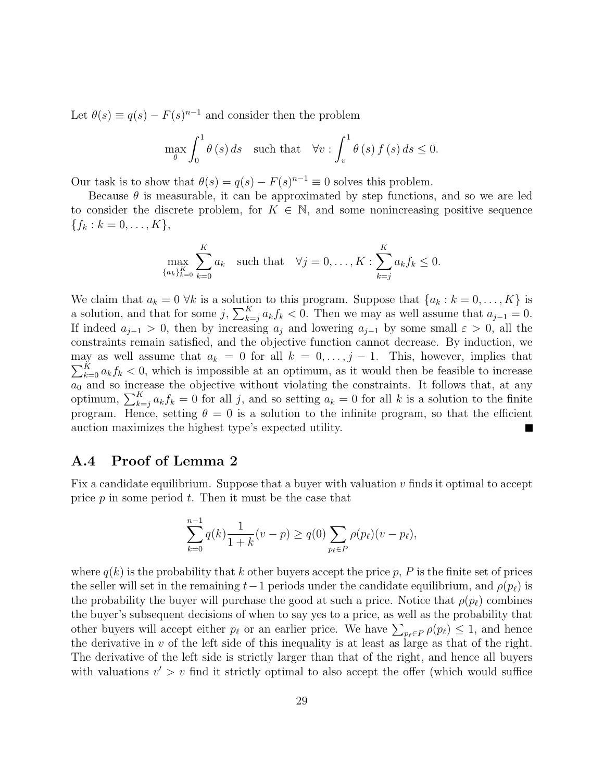Let  $\theta(s) \equiv q(s) - F(s)^{n-1}$  and consider then the problem

$$
\max_{\theta} \int_0^1 \theta(s) \, ds \quad \text{such that} \quad \forall v : \int_v^1 \theta(s) \, f(s) \, ds \le 0.
$$

Our task is to show that  $\theta(s) = q(s) - F(s)^{n-1} \equiv 0$  solves this problem.

Because  $\theta$  is measurable, it can be approximated by step functions, and so we are led to consider the discrete problem, for  $K \in \mathbb{N}$ , and some nonincreasing positive sequence  ${f_k : k = 0, \ldots, K},$ 

$$
\max_{\{a_k\}_{k=0}^K} \sum_{k=0}^K a_k \quad \text{such that} \quad \forall j = 0, \dots, K : \sum_{k=j}^K a_k f_k \le 0.
$$

We claim that  $a_k = 0 \forall k$  is a solution to this program. Suppose that  $\{a_k : k = 0, \ldots, K\}$  is a solution, and that for some j,  $\sum_{k=j}^{K} a_k f_k < 0$ . Then we may as well assume that  $a_{j-1} = 0$ . If indeed  $a_{j-1} > 0$ , then by increasing  $a_j$  and lowering  $a_{j-1}$  by some small  $\varepsilon > 0$ , all the constraints remain satisfied, and the objective function cannot decrease. By induction, we may as well assume that  $a_k = 0$  for all  $k = 0, \ldots, j - 1$ . This, however, implies that  $\sum_{k=0}^{K} a_k f_k < 0$ , which is impossible at an optimum, as it would then be feasible to increase  $a_0$  and so increase the objective without violating the constraints. It follows that, at any optimum,  $\sum_{k=j}^{K} a_k f_k = 0$  for all j, and so setting  $a_k = 0$  for all k is a solution to the finite program. Hence, setting  $\theta = 0$  is a solution to the infinite program, so that the efficient auction maximizes the highest type's expected utility.  $\blacksquare$ 

### A.4 Proof of Lemma 2

Fix a candidate equilibrium. Suppose that a buyer with valuation  $v$  finds it optimal to accept price  $p$  in some period  $t$ . Then it must be the case that

$$
\sum_{k=0}^{n-1} q(k) \frac{1}{1+k}(v-p) \ge q(0) \sum_{p_{\ell} \in P} \rho(p_{\ell})(v-p_{\ell}),
$$

where  $q(k)$  is the probability that k other buyers accept the price p, P is the finite set of prices the seller will set in the remaining  $t-1$  periods under the candidate equilibrium, and  $\rho(p_\ell)$  is the probability the buyer will purchase the good at such a price. Notice that  $\rho(p_\ell)$  combines the buyer's subsequent decisions of when to say yes to a price, as well as the probability that other buyers will accept either  $p_\ell$  or an earlier price. We have  $\sum_{p_\ell \in P} \rho(p_\ell) \leq 1$ , and hence the derivative in  $v$  of the left side of this inequality is at least as large as that of the right. The derivative of the left side is strictly larger than that of the right, and hence all buyers with valuations  $v' > v$  find it strictly optimal to also accept the offer (which would suffice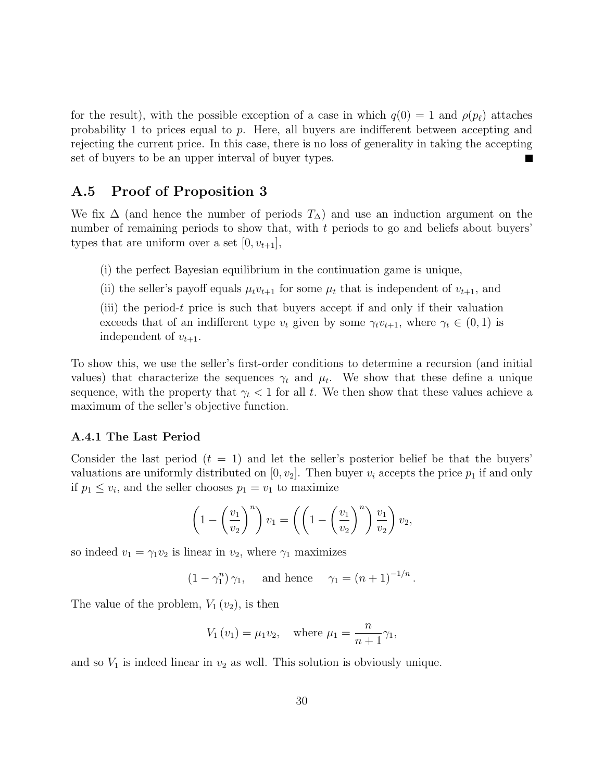for the result), with the possible exception of a case in which  $q(0) = 1$  and  $\rho(p_\ell)$  attaches probability 1 to prices equal to p. Here, all buyers are indifferent between accepting and rejecting the current price. In this case, there is no loss of generality in taking the accepting set of buyers to be an upper interval of buyer types. L.

# A.5 Proof of Proposition 3

We fix  $\Delta$  (and hence the number of periods  $T_{\Delta}$ ) and use an induction argument on the number of remaining periods to show that, with t periods to go and beliefs about buyers' types that are uniform over a set  $[0, v_{t+1}],$ 

(i) the perfect Bayesian equilibrium in the continuation game is unique,

(ii) the seller's payoff equals  $\mu_t v_{t+1}$  for some  $\mu_t$  that is independent of  $v_{t+1}$ , and

(iii) the period-t price is such that buyers accept if and only if their valuation exceeds that of an indifferent type  $v_t$  given by some  $\gamma_t v_{t+1}$ , where  $\gamma_t \in (0,1)$  is independent of  $v_{t+1}$ .

To show this, we use the seller's first-order conditions to determine a recursion (and initial values) that characterize the sequences  $\gamma_t$  and  $\mu_t$ . We show that these define a unique sequence, with the property that  $\gamma_t < 1$  for all t. We then show that these values achieve a maximum of the seller's objective function.

#### A.4.1 The Last Period

Consider the last period  $(t = 1)$  and let the seller's posterior belief be that the buyers' valuations are uniformly distributed on  $[0, v_2]$ . Then buyer  $v_i$  accepts the price  $p_1$  if and only if  $p_1 \leq v_i$ , and the seller chooses  $p_1 = v_1$  to maximize

$$
\left(1-\left(\frac{v_1}{v_2}\right)^n\right)v_1=\left(\left(1-\left(\frac{v_1}{v_2}\right)^n\right)\frac{v_1}{v_2}\right)v_2,
$$

so indeed  $v_1 = \gamma_1 v_2$  is linear in  $v_2$ , where  $\gamma_1$  maximizes

$$
(1 - \gamma_1^n) \gamma_1
$$
, and hence  $\gamma_1 = (n + 1)^{-1/n}$ .

The value of the problem,  $V_1(v_2)$ , is then

$$
V_1(v_1) = \mu_1 v_2
$$
, where  $\mu_1 = \frac{n}{n+1} \gamma_1$ ,

and so  $V_1$  is indeed linear in  $v_2$  as well. This solution is obviously unique.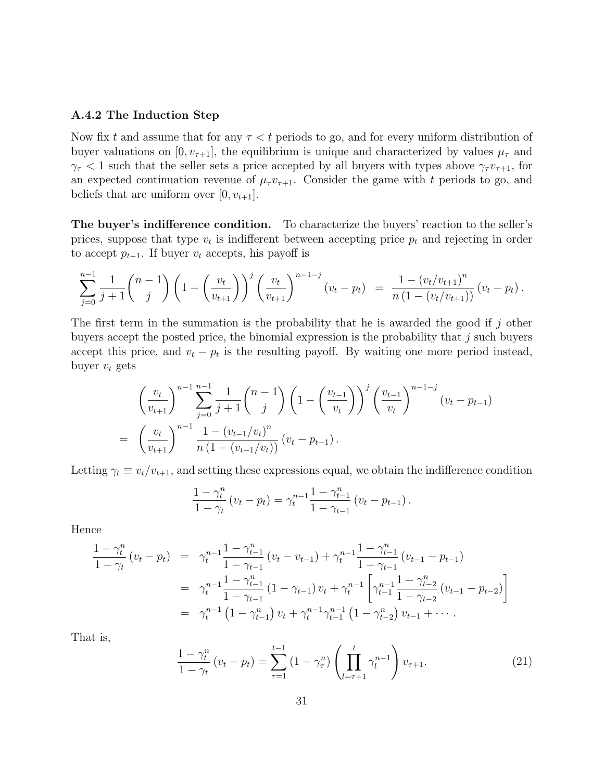#### A.4.2 The Induction Step

Now fix t and assume that for any  $\tau < t$  periods to go, and for every uniform distribution of buyer valuations on  $[0, v_{\tau+1}]$ , the equilibrium is unique and characterized by values  $\mu_{\tau}$  and  $\gamma_{\tau}$  < 1 such that the seller sets a price accepted by all buyers with types above  $\gamma_{\tau}v_{\tau+1}$ , for an expected continuation revenue of  $\mu_{\tau} v_{\tau+1}$ . Consider the game with t periods to go, and beliefs that are uniform over  $[0, v_{t+1}]$ .

The buyer's indifference condition. To characterize the buyers' reaction to the seller's prices, suppose that type  $v_t$  is indifferent between accepting price  $p_t$  and rejecting in order to accept  $p_{t-1}$ . If buyer  $v_t$  accepts, his payoff is

$$
\sum_{j=0}^{n-1} \frac{1}{j+1} \binom{n-1}{j} \left(1 - \left(\frac{v_t}{v_{t+1}}\right)\right)^j \left(\frac{v_t}{v_{t+1}}\right)^{n-1-j} (v_t - p_t) = \frac{1 - (v_t/v_{t+1})^n}{n\left(1 - (v_t/v_{t+1})\right)} (v_t - p_t).
$$

The first term in the summation is the probability that he is awarded the good if j other buyers accept the posted price, the binomial expression is the probability that  $j$  such buyers accept this price, and  $v_t - p_t$  is the resulting payoff. By waiting one more period instead, buyer  $v_t$  gets

$$
\left(\frac{v_t}{v_{t+1}}\right)^{n-1} \sum_{j=0}^{n-1} \frac{1}{j+1} {n-1 \choose j} \left(1 - \left(\frac{v_{t-1}}{v_t}\right)\right)^j \left(\frac{v_{t-1}}{v_t}\right)^{n-1-j} (v_t - p_{t-1})
$$
\n
$$
= \left(\frac{v_t}{v_{t+1}}\right)^{n-1} \frac{1 - (v_{t-1}/v_t)^n}{n(1 - (v_{t-1}/v_t))} (v_t - p_{t-1}).
$$

Letting  $\gamma_t \equiv v_t/v_{t+1}$ , and setting these expressions equal, we obtain the indifference condition

$$
\frac{1-\gamma_t^n}{1-\gamma_t} (v_t - p_t) = \gamma_t^{n-1} \frac{1-\gamma_{t-1}^n}{1-\gamma_{t-1}} (v_t - p_{t-1}).
$$

Hence

$$
\frac{1-\gamma_t^n}{1-\gamma_t} (v_t - p_t) = \gamma_t^{n-1} \frac{1-\gamma_{t-1}^n}{1-\gamma_{t-1}} (v_t - v_{t-1}) + \gamma_t^{n-1} \frac{1-\gamma_{t-1}^n}{1-\gamma_{t-1}} (v_{t-1} - p_{t-1})
$$
\n
$$
= \gamma_t^{n-1} \frac{1-\gamma_{t-1}^n}{1-\gamma_{t-1}} (1-\gamma_{t-1}) v_t + \gamma_t^{n-1} \left[ \gamma_{t-1}^{n-1} \frac{1-\gamma_{t-2}^n}{1-\gamma_{t-2}} (v_{t-1} - p_{t-2}) \right]
$$
\n
$$
= \gamma_t^{n-1} (1-\gamma_{t-1}^n) v_t + \gamma_t^{n-1} \gamma_{t-1}^{n-1} (1-\gamma_{t-2}^n) v_{t-1} + \cdots
$$

That is,

$$
\frac{1-\gamma_t^n}{1-\gamma_t} (v_t - p_t) = \sum_{\tau=1}^{t-1} (1-\gamma_\tau^n) \left( \prod_{l=\tau+1}^t \gamma_l^{n-1} \right) v_{\tau+1}.
$$
 (21)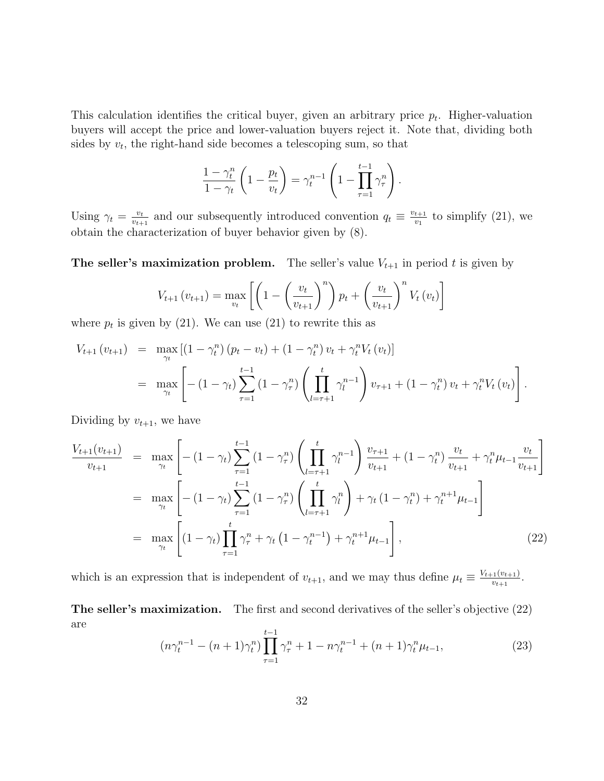This calculation identifies the critical buyer, given an arbitrary price  $p_t$ . Higher-valuation buyers will accept the price and lower-valuation buyers reject it. Note that, dividing both sides by  $v_t$ , the right-hand side becomes a telescoping sum, so that

$$
\frac{1-\gamma_t^n}{1-\gamma_t}\left(1-\frac{p_t}{v_t}\right) = \gamma_t^{n-1}\left(1-\prod_{\tau=1}^{t-1}\gamma_\tau^n\right).
$$

Using  $\gamma_t = \frac{v_t}{v_{t+1}}$  $\frac{v_t}{v_{t+1}}$  and our subsequently introduced convention  $q_t \equiv \frac{v_{t+1}}{v_1}$  $\frac{t+1}{v_1}$  to simplify (21), we obtain the characterization of buyer behavior given by (8).

**The seller's maximization problem.** The seller's value  $V_{t+1}$  in period t is given by

$$
V_{t+1}(v_{t+1}) = \max_{v_t} \left[ \left( 1 - \left(\frac{v_t}{v_{t+1}}\right)^n \right) p_t + \left(\frac{v_t}{v_{t+1}}\right)^n V_t(v_t) \right]
$$

where  $p_t$  is given by (21). We can use (21) to rewrite this as

$$
V_{t+1}(v_{t+1}) = \max_{\gamma_t} \left[ (1 - \gamma_t^n) (p_t - v_t) + (1 - \gamma_t^n) v_t + \gamma_t^n V_t(v_t) \right]
$$
  
= 
$$
\max_{\gamma_t} \left[ - (1 - \gamma_t) \sum_{\tau=1}^{t-1} (1 - \gamma_\tau^n) \left( \prod_{l=\tau+1}^t \gamma_l^{n-1} \right) v_{\tau+1} + (1 - \gamma_t^n) v_t + \gamma_t^n V_t(v_t) \right].
$$

Dividing by  $v_{t+1}$ , we have

$$
\frac{V_{t+1}(v_{t+1})}{v_{t+1}} = \max_{\gamma_t} \left[ -(1 - \gamma_t) \sum_{\tau=1}^{t-1} (1 - \gamma_\tau^n) \left( \prod_{l=\tau+1}^t \gamma_l^{n-1} \right) \frac{v_{\tau+1}}{v_{t+1}} + (1 - \gamma_t^n) \frac{v_t}{v_{t+1}} + \gamma_t^n \mu_{t-1} \frac{v_t}{v_{t+1}} \right]
$$
\n
$$
= \max_{\gamma_t} \left[ -(1 - \gamma_t) \sum_{\tau=1}^{t-1} (1 - \gamma_\tau^n) \left( \prod_{l=\tau+1}^t \gamma_l^n \right) + \gamma_t (1 - \gamma_t^n) + \gamma_t^{n+1} \mu_{t-1} \right]
$$
\n
$$
= \max_{\gamma_t} \left[ (1 - \gamma_t) \prod_{\tau=1}^t \gamma_\tau^n + \gamma_t (1 - \gamma_t^{n-1}) + \gamma_t^{n+1} \mu_{t-1} \right],
$$
\n(22)

which is an expression that is independent of  $v_{t+1}$ , and we may thus define  $\mu_t \equiv \frac{V_{t+1}(v_{t+1})}{v_{t+1}}$  $\frac{v_{t+1}}{v_{t+1}}$ .

The seller's maximization. The first and second derivatives of the seller's objective (22) are  $t-1$ 

$$
(n\gamma_t^{n-1} - (n+1)\gamma_t^n) \prod_{\tau=1}^{t-1} \gamma_\tau^n + 1 - n\gamma_t^{n-1} + (n+1)\gamma_t^n \mu_{t-1},
$$
\n(23)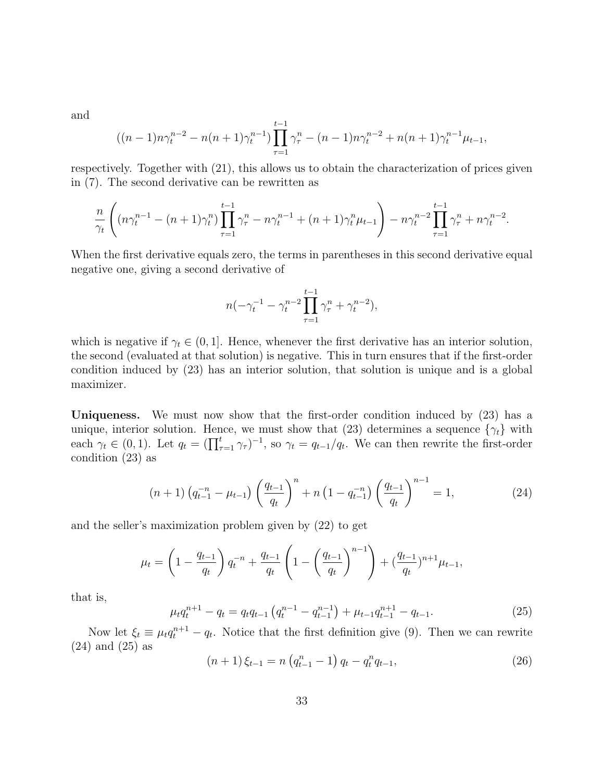and

$$
((n-1)n\gamma_t^{n-2} - n(n+1)\gamma_t^{n-1}) \prod_{\tau=1}^{t-1} \gamma_\tau^n - (n-1)n\gamma_t^{n-2} + n(n+1)\gamma_t^{n-1}\mu_{t-1},
$$

respectively. Together with (21), this allows us to obtain the characterization of prices given in (7). The second derivative can be rewritten as

$$
\frac{n}{\gamma_t} \left( (n\gamma_t^{n-1} - (n+1)\gamma_t^n) \prod_{\tau=1}^{t-1} \gamma_\tau^n - n\gamma_t^{n-1} + (n+1)\gamma_t^n \mu_{t-1} \right) - n\gamma_t^{n-2} \prod_{\tau=1}^{t-1} \gamma_\tau^n + n\gamma_t^{n-2}.
$$

When the first derivative equals zero, the terms in parentheses in this second derivative equal negative one, giving a second derivative of

$$
n(-\gamma_t^{-1} - \gamma_t^{n-2} \prod_{\tau=1}^{t-1} \gamma_\tau^n + \gamma_t^{n-2}),
$$

which is negative if  $\gamma_t \in (0, 1]$ . Hence, whenever the first derivative has an interior solution, the second (evaluated at that solution) is negative. This in turn ensures that if the first-order condition induced by (23) has an interior solution, that solution is unique and is a global maximizer.

Uniqueness. We must now show that the first-order condition induced by (23) has a unique, interior solution. Hence, we must show that (23) determines a sequence  $\{\gamma_t\}$  with each  $\gamma_t \in (0,1)$ . Let  $q_t = (\prod_{\tau=1}^t \gamma_\tau)^{-1}$ , so  $\gamma_t = q_{t-1}/q_t$ . We can then rewrite the first-order condition (23) as

$$
(n+1)\left(q_{t-1}^{-n} - \mu_{t-1}\right) \left(\frac{q_{t-1}}{q_t}\right)^n + n\left(1 - q_{t-1}^{-n}\right) \left(\frac{q_{t-1}}{q_t}\right)^{n-1} = 1,\tag{24}
$$

and the seller's maximization problem given by (22) to get

$$
\mu_t = \left(1 - \frac{q_{t-1}}{q_t}\right)q_t^{-n} + \frac{q_{t-1}}{q_t}\left(1 - \left(\frac{q_{t-1}}{q_t}\right)^{n-1}\right) + \left(\frac{q_{t-1}}{q_t}\right)^{n+1}\mu_{t-1},
$$

that is,

$$
\mu_t q_t^{n+1} - q_t = q_t q_{t-1} \left( q_t^{n-1} - q_{t-1}^{n-1} \right) + \mu_{t-1} q_{t-1}^{n+1} - q_{t-1}.
$$
\n(25)

Now let  $\xi_t \equiv \mu_t q_t^{n+1} - q_t$ . Notice that the first definition give (9). Then we can rewrite (24) and (25) as

$$
(n+1)\xi_{t-1} = n\left(q_{t-1}^n - 1\right)q_t - q_t^n q_{t-1},\tag{26}
$$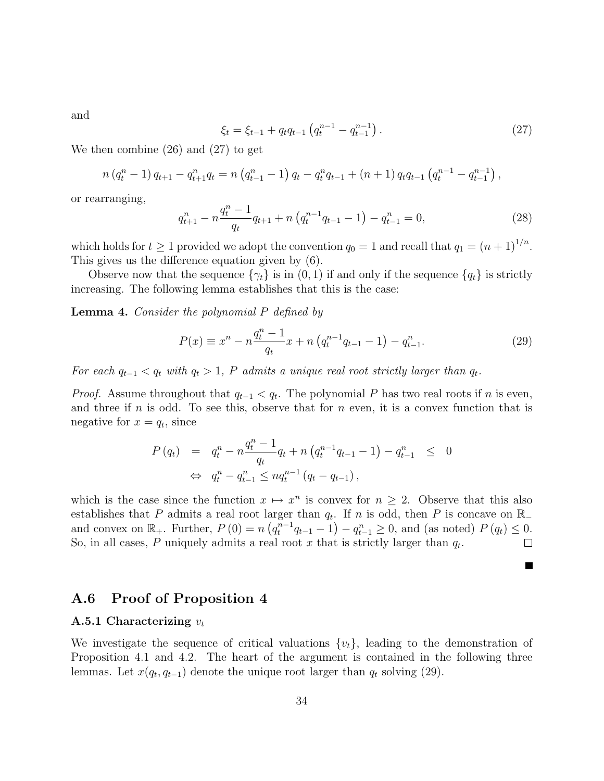and

$$
\xi_t = \xi_{t-1} + q_t q_{t-1} \left( q_t^{n-1} - q_{t-1}^{n-1} \right). \tag{27}
$$

We then combine (26) and (27) to get

$$
n (q_t^n - 1) q_{t+1} - q_{t+1}^n q_t = n (q_{t-1}^n - 1) q_t - q_t^n q_{t-1} + (n+1) q_t q_{t-1} (q_t^{n-1} - q_{t-1}^{n-1}),
$$

or rearranging,

$$
q_{t+1}^n - n \frac{q_t^n - 1}{q_t} q_{t+1} + n \left( q_t^{n-1} q_{t-1} - 1 \right) - q_{t-1}^n = 0, \tag{28}
$$

which holds for  $t \geq 1$  provided we adopt the convention  $q_0 = 1$  and recall that  $q_1 = (n+1)^{1/n}$ . This gives us the difference equation given by (6).

Observe now that the sequence  $\{\gamma_t\}$  is in  $(0, 1)$  if and only if the sequence  $\{q_t\}$  is strictly increasing. The following lemma establishes that this is the case:

Lemma 4. Consider the polynomial P defined by

$$
P(x) \equiv x^{n} - n \frac{q_{t}^{n} - 1}{q_{t}} x + n \left( q_{t}^{n-1} q_{t-1} - 1 \right) - q_{t-1}^{n}.
$$
 (29)

 $\blacksquare$ 

For each  $q_{t-1} < q_t$  with  $q_t > 1$ , P admits a unique real root strictly larger than  $q_t$ .

*Proof.* Assume throughout that  $q_{t-1} < q_t$ . The polynomial P has two real roots if n is even, and three if  $n$  is odd. To see this, observe that for  $n$  even, it is a convex function that is negative for  $x = q_t$ , since

$$
P(q_t) = q_t^n - n \frac{q_t^{n-1}}{q_t} q_t + n (q_t^{n-1} q_{t-1} - 1) - q_{t-1}^n \leq 0
$$
  
\n
$$
\Leftrightarrow q_t^n - q_{t-1}^n \leq n q_t^{n-1} (q_t - q_{t-1}),
$$

which is the case since the function  $x \mapsto x^n$  is convex for  $n \geq 2$ . Observe that this also establishes that P admits a real root larger than  $q_t$ . If n is odd, then P is concave on R<sub>−</sub> and convex on  $\mathbb{R}_+$ . Further,  $P(0) = n (q_t^{n-1}q_{t-1} - 1) - q_{t-1}^n \ge 0$ , and (as noted)  $P(q_t) \le 0$ . So, in all cases, P uniquely admits a real root x that is strictly larger than  $q_t$ .  $\Box$ 

## A.6 Proof of Proposition 4

#### A.5.1 Characterizing  $v_t$

We investigate the sequence of critical valuations  $\{v_t\}$ , leading to the demonstration of Proposition 4.1 and 4.2. The heart of the argument is contained in the following three lemmas. Let  $x(q_t, q_{t-1})$  denote the unique root larger than  $q_t$  solving (29).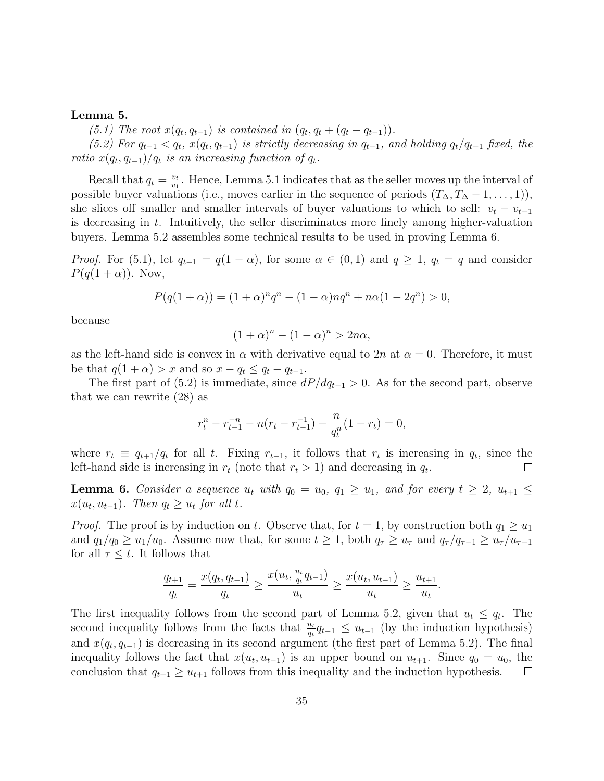#### Lemma 5.

(5.1) The root  $x(q_t, q_{t-1})$  is contained in  $(q_t, q_t + (q_t - q_{t-1}))$ .

(5.2) For  $q_{t-1} < q_t$ ,  $x(q_t, q_{t-1})$  is strictly decreasing in  $q_{t-1}$ , and holding  $q_t/q_{t-1}$  fixed, the ratio  $x(q_t, q_{t-1})/q_t$  is an increasing function of  $q_t$ .

Recall that  $q_t = \frac{v_t}{v_t}$  $\frac{v_t}{v_1}$ . Hence, Lemma 5.1 indicates that as the seller moves up the interval of possible buyer valuations (i.e., moves earlier in the sequence of periods  $(T_{\Delta}, T_{\Delta} - 1, \ldots, 1)$ ), she slices off smaller and smaller intervals of buyer valuations to which to sell:  $v_t - v_{t-1}$ is decreasing in  $t$ . Intuitively, the seller discriminates more finely among higher-valuation buyers. Lemma 5.2 assembles some technical results to be used in proving Lemma 6.

*Proof.* For (5.1), let  $q_{t-1} = q(1 - \alpha)$ , for some  $\alpha \in (0,1)$  and  $q \geq 1$ ,  $q_t = q$  and consider  $P(q(1+\alpha))$ . Now,

$$
P(q(1+\alpha)) = (1+\alpha)^n q^n - (1-\alpha)nq^n + n\alpha(1-2q^n) > 0,
$$

because

$$
(1+\alpha)^n - (1-\alpha)^n > 2n\alpha,
$$

as the left-hand side is convex in  $\alpha$  with derivative equal to 2n at  $\alpha = 0$ . Therefore, it must be that  $q(1 + \alpha) > x$  and so  $x - q_t \leq q_t - q_{t-1}$ .

The first part of (5.2) is immediate, since  $dP/dq_{t-1} > 0$ . As for the second part, observe that we can rewrite (28) as

$$
r_t^n - r_{t-1}^{-n} - n(r_t - r_{t-1}^{-1}) - \frac{n}{q_t^n}(1 - r_t) = 0,
$$

where  $r_t \equiv q_{t+1}/q_t$  for all t. Fixing  $r_{t-1}$ , it follows that  $r_t$  is increasing in  $q_t$ , since the left-hand side is increasing in  $r_t$  (note that  $r_t > 1$ ) and decreasing in  $q_t$ .  $\perp$ 

**Lemma 6.** Consider a sequence  $u_t$  with  $q_0 = u_0$ ,  $q_1 \geq u_1$ , and for every  $t \geq 2$ ,  $u_{t+1} \leq$  $x(u_t, u_{t-1})$ . Then  $q_t \ge u_t$  for all t.

*Proof.* The proof is by induction on t. Observe that, for  $t = 1$ , by construction both  $q_1 \geq u_1$ and  $q_1/q_0 \geq u_1/u_0$ . Assume now that, for some  $t \geq 1$ , both  $q_\tau \geq u_\tau$  and  $q_\tau/q_{\tau-1} \geq u_\tau/u_{\tau-1}$ for all  $\tau \leq t$ . It follows that

$$
\frac{q_{t+1}}{q_t} = \frac{x(q_t, q_{t-1})}{q_t} \ge \frac{x(u_t, \frac{u_t}{q_t}q_{t-1})}{u_t} \ge \frac{x(u_t, u_{t-1})}{u_t} \ge \frac{u_{t+1}}{u_t}.
$$

The first inequality follows from the second part of Lemma 5.2, given that  $u_t \leq q_t$ . The second inequality follows from the facts that  $\frac{u_t}{q_t}q_{t-1} \leq u_{t-1}$  (by the induction hypothesis) and  $x(q_t, q_{t-1})$  is decreasing in its second argument (the first part of Lemma 5.2). The final inequality follows the fact that  $x(u_t, u_{t-1})$  is an upper bound on  $u_{t+1}$ . Since  $q_0 = u_0$ , the conclusion that  $q_{t+1} \geq u_{t+1}$  follows from this inequality and the induction hypothesis.  $\Box$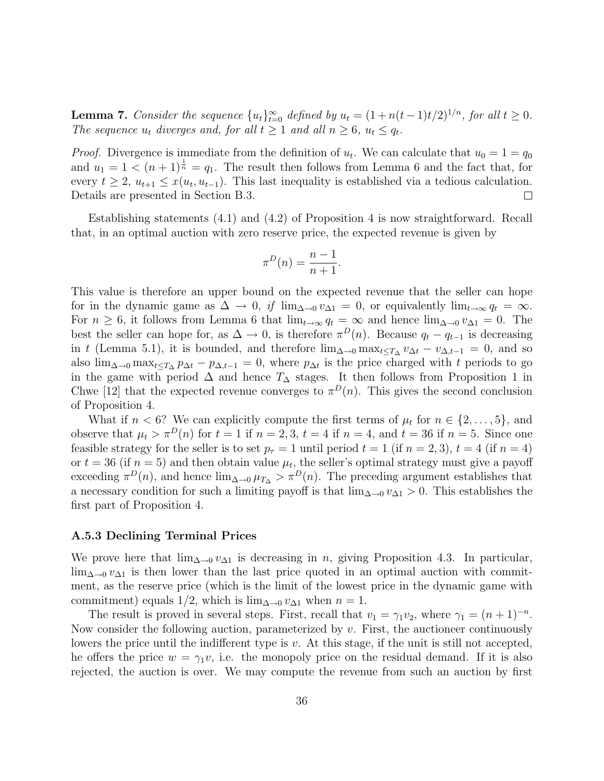**Lemma 7.** Consider the sequence  $\{u_t\}_{t=0}^{\infty}$  defined by  $u_t = (1 + n(t-1)t/2)^{1/n}$ , for all  $t \ge 0$ . The sequence  $u_t$  diverges and, for all  $t \geq 1$  and all  $n \geq 6$ ,  $u_t \leq q_t$ .

*Proof.* Divergence is immediate from the definition of  $u_t$ . We can calculate that  $u_0 = 1 = q_0$ and  $u_1 = 1 \leq (n+1)^{\frac{1}{n}} = q_1$ . The result then follows from Lemma 6 and the fact that, for every  $t \geq 2$ ,  $u_{t+1} \leq x(u_t, u_{t-1})$ . This last inequality is established via a tedious calculation. Details are presented in Section B.3.  $\Box$ 

Establishing statements (4.1) and (4.2) of Proposition 4 is now straightforward. Recall that, in an optimal auction with zero reserve price, the expected revenue is given by

$$
\pi^D(n) = \frac{n-1}{n+1}.
$$

This value is therefore an upper bound on the expected revenue that the seller can hope for in the dynamic game as  $\Delta \to 0$ , if  $\lim_{\Delta \to 0} v_{\Delta 1} = 0$ , or equivalently  $\lim_{t \to \infty} q_t = \infty$ . For  $n \geq 6$ , it follows from Lemma 6 that  $\lim_{t\to\infty} q_t = \infty$  and hence  $\lim_{\Delta\to 0} v_{\Delta1} = 0$ . The best the seller can hope for, as  $\Delta \to 0$ , is therefore  $\pi^D(n)$ . Because  $q_t - q_{t-1}$  is decreasing in t (Lemma 5.1), it is bounded, and therefore  $\lim_{\Delta\to 0} \max_{t\leq T_{\Delta}} v_{\Delta t} - v_{\Delta,t-1} = 0$ , and so also  $\lim_{\Delta\to 0} \max_{t\leq T_\Delta} p_{\Delta t} - p_{\Delta t-1} = 0$ , where  $p_{\Delta t}$  is the price charged with t periods to go in the game with period  $\Delta$  and hence  $T_{\Delta}$  stages. It then follows from Proposition 1 in Chwe [12] that the expected revenue converges to  $\pi^{D}(n)$ . This gives the second conclusion of Proposition 4.

What if  $n < 6$ ? We can explicitly compute the first terms of  $\mu_t$  for  $n \in \{2, \ldots, 5\}$ , and observe that  $\mu_t > \pi^D(n)$  for  $t = 1$  if  $n = 2, 3, t = 4$  if  $n = 4$ , and  $t = 36$  if  $n = 5$ . Since one feasible strategy for the seller is to set  $p<sub>\tau</sub> = 1$  until period  $t = 1$  (if  $n = 2, 3$ ),  $t = 4$  (if  $n = 4$ ) or  $t = 36$  (if  $n = 5$ ) and then obtain value  $\mu_t$ , the seller's optimal strategy must give a payoff exceeding  $\pi^{D}(n)$ , and hence  $\lim_{\Delta\to 0} \mu_{T_{\Delta}} > \pi^{D}(n)$ . The preceding argument establishes that a necessary condition for such a limiting payoff is that  $\lim_{\Delta\to 0} v_{\Delta1} > 0$ . This establishes the first part of Proposition 4.

#### A.5.3 Declining Terminal Prices

We prove here that  $\lim_{\Delta\to 0} v_{\Delta 1}$  is decreasing in n, giving Proposition 4.3. In particular,  $\lim_{\Delta\to 0} v_{\Delta1}$  is then lower than the last price quoted in an optimal auction with commitment, as the reserve price (which is the limit of the lowest price in the dynamic game with commitment) equals 1/2, which is  $\lim_{\Delta \to 0} v_{\Delta 1}$  when  $n = 1$ .

The result is proved in several steps. First, recall that  $v_1 = \gamma_1 v_2$ , where  $\gamma_1 = (n+1)^{-n}$ . Now consider the following auction, parameterized by  $v$ . First, the auctioneer continuously lowers the price until the indifferent type is v. At this stage, if the unit is still not accepted, he offers the price  $w = \gamma_1 v$ , i.e. the monopoly price on the residual demand. If it is also rejected, the auction is over. We may compute the revenue from such an auction by first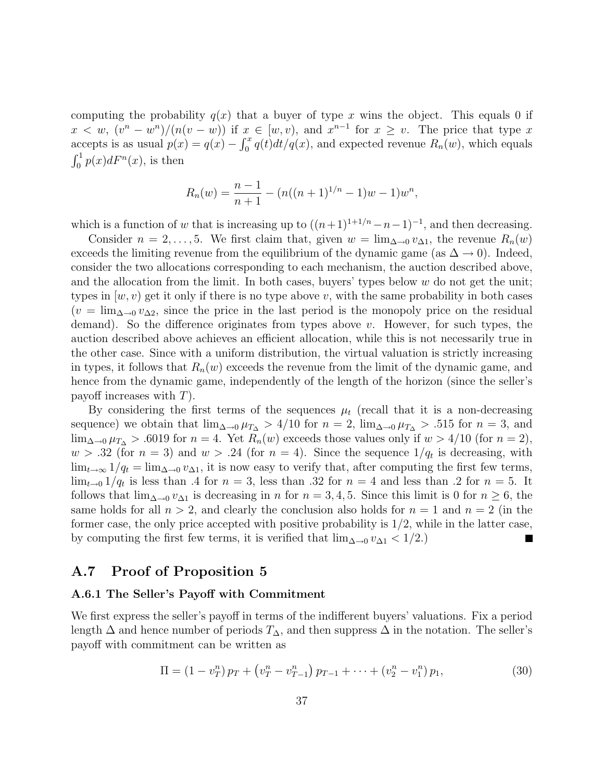computing the probability  $q(x)$  that a buyer of type x wins the object. This equals 0 if  $x < w$ ,  $(v<sup>n</sup> - w<sup>n</sup>)/(n(v - w))$  if  $x \in [w, v)$ , and  $x<sup>n-1</sup>$  for  $x \ge v$ . The price that type x accepts is as usual  $p(x) = q(x) - \int_0^x q(t)dt/q(x)$ , and expected revenue  $R_n(w)$ , which equals  $\int_0^1 p(x)dF^n(x)$ , is then

$$
R_n(w) = \frac{n-1}{n+1} - (n((n+1)^{1/n} - 1)w - 1)w^n,
$$

which is a function of w that is increasing up to  $((n+1)^{1+1/n}-n-1)^{-1}$ , and then decreasing.

Consider  $n = 2, \ldots, 5$ . We first claim that, given  $w = \lim_{\Delta \to 0} v_{\Delta 1}$ , the revenue  $R_n(w)$ exceeds the limiting revenue from the equilibrium of the dynamic game (as  $\Delta \rightarrow 0$ ). Indeed, consider the two allocations corresponding to each mechanism, the auction described above, and the allocation from the limit. In both cases, buyers' types below  $w$  do not get the unit; types in  $(w, v)$  get it only if there is no type above v, with the same probability in both cases  $(v = \lim_{\Delta \to 0} v_{\Delta 2}$ , since the price in the last period is the monopoly price on the residual demand). So the difference originates from types above  $v$ . However, for such types, the auction described above achieves an efficient allocation, while this is not necessarily true in the other case. Since with a uniform distribution, the virtual valuation is strictly increasing in types, it follows that  $R_n(w)$  exceeds the revenue from the limit of the dynamic game, and hence from the dynamic game, independently of the length of the horizon (since the seller's payoff increases with  $T$ ).

By considering the first terms of the sequences  $\mu_t$  (recall that it is a non-decreasing sequence) we obtain that  $\lim_{\Delta\to 0} \mu_{T_{\Delta}} > 4/10$  for  $n = 2$ ,  $\lim_{\Delta\to 0} \mu_{T_{\Delta}} > .515$  for  $n = 3$ , and  $\lim_{\Delta\to 0} \mu_{T_{\Delta}} > .6019$  for  $n = 4$ . Yet  $R_n(w)$  exceeds those values only if  $w > 4/10$  (for  $n = 2$ ),  $w > .32$  (for  $n = 3$ ) and  $w > .24$  (for  $n = 4$ ). Since the sequence  $1/q_t$  is decreasing, with  $\lim_{t\to\infty} 1/q_t = \lim_{\Delta\to 0} v_{\Delta 1}$ , it is now easy to verify that, after computing the first few terms,  $\lim_{t\to 0} 1/q_t$  is less than .4 for  $n=3$ , less than .32 for  $n=4$  and less than .2 for  $n=5$ . It follows that  $\lim_{\Delta\to 0} v_{\Delta 1}$  is decreasing in n for  $n = 3, 4, 5$ . Since this limit is 0 for  $n \ge 6$ , the same holds for all  $n > 2$ , and clearly the conclusion also holds for  $n = 1$  and  $n = 2$  (in the former case, the only price accepted with positive probability is  $1/2$ , while in the latter case, by computing the first few terms, it is verified that  $\lim_{\Delta \to 0} v_{\Delta 1} < 1/2$ .)

## A.7 Proof of Proposition 5

#### A.6.1 The Seller's Payoff with Commitment

We first express the seller's payoff in terms of the indifferent buyers' valuations. Fix a period length  $\Delta$  and hence number of periods  $T_{\Delta}$ , and then suppress  $\Delta$  in the notation. The seller's payoff with commitment can be written as

$$
\Pi = (1 - v_T^n) p_T + (v_T^n - v_{T-1}^n) p_{T-1} + \dots + (v_2^n - v_1^n) p_1, \tag{30}
$$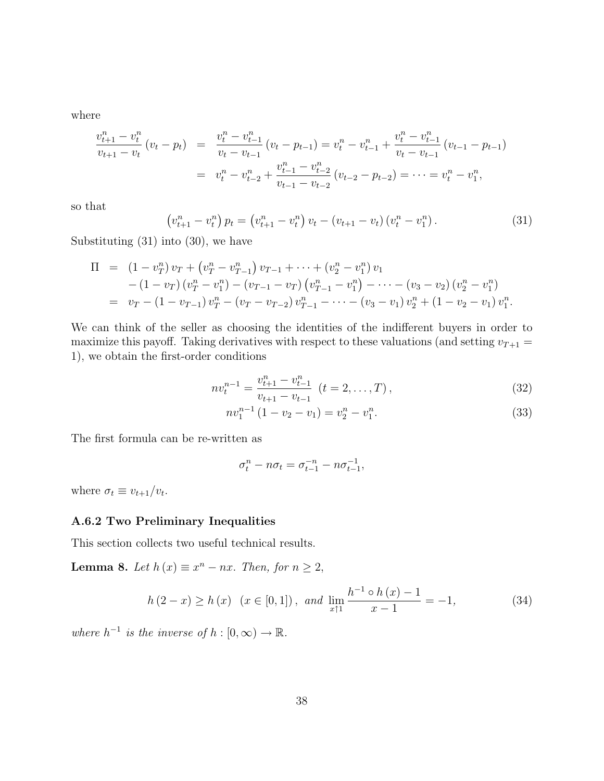where

$$
\frac{v_{t+1}^n - v_t^n}{v_{t+1} - v_t} (v_t - p_t) = \frac{v_t^n - v_{t-1}^n}{v_t - v_{t-1}} (v_t - p_{t-1}) = v_t^n - v_{t-1}^n + \frac{v_t^n - v_{t-1}^n}{v_t - v_{t-1}} (v_{t-1} - p_{t-1})
$$
  

$$
= v_t^n - v_{t-2}^n + \frac{v_{t-1}^n - v_{t-2}^n}{v_{t-1} - v_{t-2}} (v_{t-2} - p_{t-2}) = \dots = v_t^n - v_1^n,
$$

so that

$$
\left(v_{t+1}^n - v_t^n\right)p_t = \left(v_{t+1}^n - v_t^n\right)v_t - \left(v_{t+1} - v_t\right)\left(v_t^n - v_1^n\right). \tag{31}
$$

Substituting (31) into (30), we have

$$
\Pi = (1 - v_T^n) v_T + (v_T^n - v_{T-1}^n) v_{T-1} + \dots + (v_2^n - v_1^n) v_1 \n- (1 - v_T) (v_T^n - v_1^n) - (v_{T-1} - v_T) (v_{T-1}^n - v_1^n) - \dots - (v_3 - v_2) (v_2^n - v_1^n) \n= v_T - (1 - v_{T-1}) v_T^n - (v_T - v_{T-2}) v_{T-1}^n - \dots - (v_3 - v_1) v_2^n + (1 - v_2 - v_1) v_1^n.
$$

We can think of the seller as choosing the identities of the indifferent buyers in order to maximize this payoff. Taking derivatives with respect to these valuations (and setting  $v_{T+1} =$ 1), we obtain the first-order conditions

$$
nv_t^{n-1} = \frac{v_{t+1}^n - v_{t-1}^n}{v_{t+1} - v_{t-1}} \quad (t = 2, \dots, T),
$$
\n(32)

$$
nv_1^{n-1}(1-v_2-v_1) = v_2^n - v_1^n.
$$
\n(33)

The first formula can be re-written as

$$
\sigma_t^n - n\sigma_t = \sigma_{t-1}^{-n} - n\sigma_{t-1}^{-1},
$$

where  $\sigma_t \equiv v_{t+1}/v_t$ .

#### A.6.2 Two Preliminary Inequalities

This section collects two useful technical results.

**Lemma 8.** Let  $h(x) \equiv x^n - nx$ . Then, for  $n \geq 2$ ,

$$
h(2-x) \ge h(x) \quad (x \in [0,1]), \text{ and } \lim_{x \uparrow 1} \frac{h^{-1} \circ h(x) - 1}{x - 1} = -1,\tag{34}
$$

where  $h^{-1}$  is the inverse of  $h : [0, \infty) \to \mathbb{R}$ .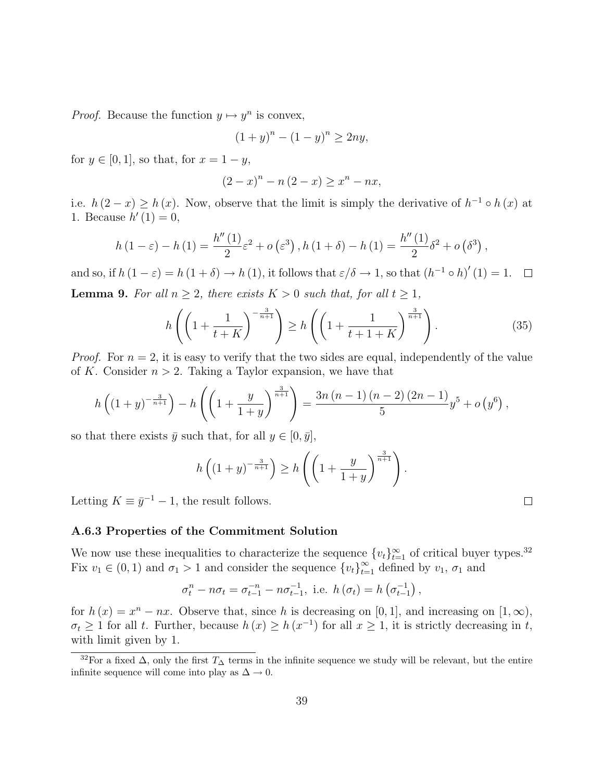*Proof.* Because the function  $y \mapsto y^n$  is convex,

$$
(1+y)^n - (1-y)^n \ge 2ny,
$$

for  $y \in [0, 1]$ , so that, for  $x = 1 - y$ ,

$$
(2 - x)^{n} - n(2 - x) \ge x^{n} - nx,
$$

i.e.  $h(2-x) \geq h(x)$ . Now, observe that the limit is simply the derivative of  $h^{-1} \circ h(x)$  at 1. Because  $h'(1) = 0$ ,

$$
h(1 - \varepsilon) - h(1) = \frac{h''(1)}{2}\varepsilon^{2} + o(\varepsilon^{3}), h(1 + \delta) - h(1) = \frac{h''(1)}{2}\delta^{2} + o(\delta^{3}),
$$

and so, if  $h(1-\varepsilon) = h(1+\delta) \rightarrow h(1)$ , it follows that  $\varepsilon/\delta \rightarrow 1$ , so that  $(h^{-1} \circ h)'(1) = 1$ . **Lemma 9.** For all  $n > 2$ , there exists  $K > 0$  such that, for all  $t > 1$ ,

$$
h\left(\left(1+\frac{1}{t+K}\right)^{-\frac{3}{n+1}}\right) \ge h\left(\left(1+\frac{1}{t+1+K}\right)^{\frac{3}{n+1}}\right). \tag{35}
$$

.

*Proof.* For  $n = 2$ , it is easy to verify that the two sides are equal, independently of the value of K. Consider  $n > 2$ . Taking a Taylor expansion, we have that

$$
h\left((1+y)^{-\frac{3}{n+1}}\right) - h\left(\left(1+\frac{y}{1+y}\right)^{\frac{3}{n+1}}\right) = \frac{3n(n-1)(n-2)(2n-1)}{5}y^5 + o\left(y^6\right),
$$

so that there exists  $\bar{y}$  such that, for all  $y \in [0, \bar{y}]$ ,

$$
h\left((1+y)^{-\frac{3}{n+1}}\right) \ge h\left(\left(1+\frac{y}{1+y}\right)^{\frac{3}{n+1}}\right)
$$

Letting  $K \equiv \bar{y}^{-1} - 1$ , the result follows.

#### A.6.3 Properties of the Commitment Solution

We now use these inequalities to characterize the sequence  $\{v_t\}_{t=1}^{\infty}$  of critical buyer types.<sup>32</sup> Fix  $v_1 \in (0,1)$  and  $\sigma_1 > 1$  and consider the sequence  $\{v_t\}_{t=1}^{\infty}$  defined by  $v_1$ ,  $\sigma_1$  and

$$
\sigma_t^n - n\sigma_t = \sigma_{t-1}^{-n} - n\sigma_{t-1}^{-1}
$$
, i.e.  $h(\sigma_t) = h(\sigma_{t-1}^{-1})$ ,

for  $h(x) = x<sup>n</sup> - nx$ . Observe that, since h is decreasing on [0, 1], and increasing on [1,  $\infty$ ),  $\sigma_t \geq 1$  for all t. Further, because  $h(x) \geq h(x^{-1})$  for all  $x \geq 1$ , it is strictly decreasing in t, with limit given by 1.

<sup>&</sup>lt;sup>32</sup>For a fixed  $\Delta$ , only the first  $T_{\Delta}$  terms in the infinite sequence we study will be relevant, but the entire infinite sequence will come into play as  $\Delta \to 0$ .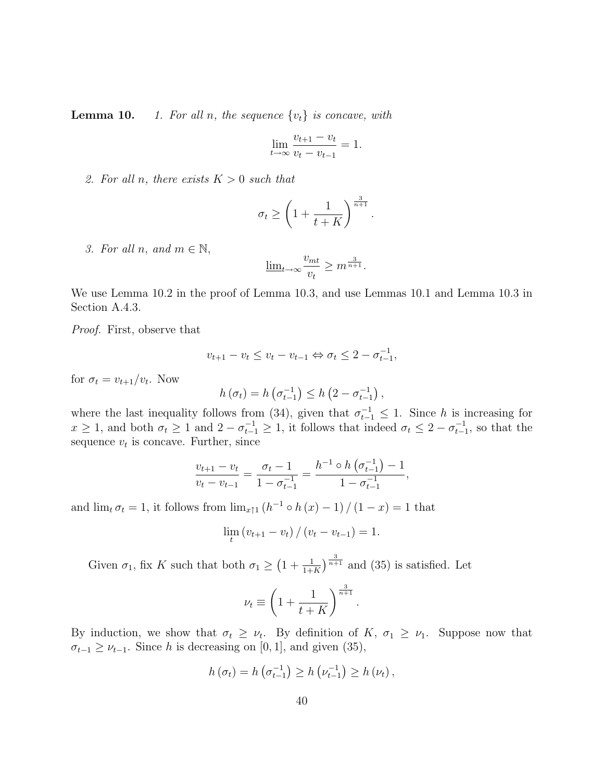**Lemma 10.** 1. For all n, the sequence  $\{v_t\}$  is concave, with

$$
\lim_{t \to \infty} \frac{v_{t+1} - v_t}{v_t - v_{t-1}} = 1.
$$

2. For all n, there exists  $K > 0$  such that

$$
\sigma_t \ge \left(1 + \frac{1}{t+K}\right)^{\frac{3}{n+1}}
$$

.

3. For all n, and  $m \in \mathbb{N}$ ,

$$
\underline{\lim}_{t \to \infty} \frac{v_{mt}}{v_t} \ge m^{\frac{3}{n+1}}.
$$

We use Lemma 10.2 in the proof of Lemma 10.3, and use Lemmas 10.1 and Lemma 10.3 in Section A.4.3.

Proof. First, observe that

$$
v_{t+1} - v_t \le v_t - v_{t-1} \Leftrightarrow \sigma_t \le 2 - \sigma_{t-1}^{-1},
$$

for  $\sigma_t = v_{t+1}/v_t$ . Now

$$
h(\sigma_t) = h\left(\sigma_{t-1}^{-1}\right) \leq h\left(2 - \sigma_{t-1}^{-1}\right),
$$

where the last inequality follows from (34), given that  $\sigma_{t-1}^{-1} \leq 1$ . Since h is increasing for  $x \geq 1$ , and both  $\sigma_t \geq 1$  and  $2 - \sigma_{t-1}^{-1} \geq 1$ , it follows that indeed  $\sigma_t \leq 2 - \sigma_{t-1}^{-1}$ , so that the sequence  $v_t$  is concave. Further, since

$$
\frac{v_{t+1} - v_t}{v_t - v_{t-1}} = \frac{\sigma_t - 1}{1 - \sigma_{t-1}^{-1}} = \frac{h^{-1} \circ h\left(\sigma_{t-1}^{-1}\right) - 1}{1 - \sigma_{t-1}^{-1}},
$$

and  $\lim_{t \to t} \sigma_t = 1$ , it follows from  $\lim_{x \uparrow 1} (h^{-1} \circ h(x) - 1) / (1 - x) = 1$  that

$$
\lim_{t} (v_{t+1} - v_t) / (v_t - v_{t-1}) = 1.
$$

Given  $\sigma_1$ , fix K such that both  $\sigma_1 \geq \left(1 + \frac{1}{1+K}\right)^{\frac{3}{n+1}}$  and (35) is satisfied. Let

$$
\nu_t \equiv \left(1 + \frac{1}{t+K}\right)^{\frac{3}{n+1}}.
$$

By induction, we show that  $\sigma_t \geq \nu_t$ . By definition of  $K$ ,  $\sigma_1 \geq \nu_1$ . Suppose now that  $\sigma_{t-1} \geq \nu_{t-1}$ . Since h is decreasing on [0, 1], and given (35),

$$
h(\sigma_t) = h(\sigma_{t-1}^{-1}) \ge h(\nu_{t-1}^{-1}) \ge h(\nu_t),
$$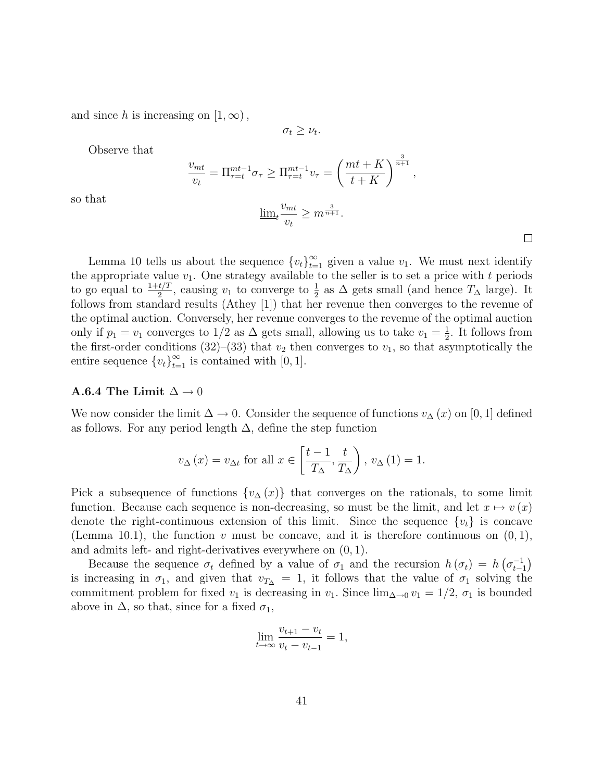and since h is increasing on  $[1,\infty)$ ,

 $\sigma_t \geq \nu_t$ .

Observe that

$$
\frac{v_{mt}}{v_t} = \Pi_{\tau=t}^{mt-1} \sigma_{\tau} \ge \Pi_{\tau=t}^{mt-1} v_{\tau} = \left(\frac{mt + K}{t + K}\right)^{\frac{3}{n+1}},
$$

so that

$$
\underline{\lim}_{t} \frac{v_{mt}}{v_t} \ge m^{\frac{3}{n+1}}.
$$

 $\Box$ 

Lemma 10 tells us about the sequence  ${v_t}_{t=1}^{\infty}$  given a value  $v_1$ . We must next identify the appropriate value  $v_1$ . One strategy available to the seller is to set a price with t periods to go equal to  $\frac{1+t/T}{2}$ , causing  $v_1$  to converge to  $\frac{1}{2}$  as  $\Delta$  gets small (and hence  $T_{\Delta}$  large). It follows from standard results (Athey [1]) that her revenue then converges to the revenue of the optimal auction. Conversely, her revenue converges to the revenue of the optimal auction only if  $p_1 = v_1$  converges to 1/2 as  $\Delta$  gets small, allowing us to take  $v_1 = \frac{1}{2}$  $\frac{1}{2}$ . It follows from the first-order conditions (32)–(33) that  $v_2$  then converges to  $v_1$ , so that asymptotically the entire sequence  $\{v_t\}_{t=1}^{\infty}$  is contained with [0, 1].

#### A.6.4 The Limit  $\Delta \rightarrow 0$

We now consider the limit  $\Delta \to 0$ . Consider the sequence of functions  $v_{\Delta}(x)$  on [0, 1] defined as follows. For any period length  $\Delta$ , define the step function

$$
v_{\Delta}(x) = v_{\Delta t}
$$
 for all  $x \in \left[\frac{t-1}{T_{\Delta}}, \frac{t}{T_{\Delta}}\right)$ ,  $v_{\Delta}(1) = 1$ .

Pick a subsequence of functions  $\{v_{\Delta}(x)\}\$  that converges on the rationals, to some limit function. Because each sequence is non-decreasing, so must be the limit, and let  $x \mapsto v(x)$ denote the right-continuous extension of this limit. Since the sequence  $\{v_t\}$  is concave (Lemma 10.1), the function v must be concave, and it is therefore continuous on  $(0, 1)$ , and admits left- and right-derivatives everywhere on (0, 1).

Because the sequence  $\sigma_t$  defined by a value of  $\sigma_1$  and the recursion  $h(\sigma_t) = h(\sigma_{t-1}^{-1})$ is increasing in  $\sigma_1$ , and given that  $v_{T\Delta} = 1$ , it follows that the value of  $\sigma_1$  solving the commitment problem for fixed  $v_1$  is decreasing in  $v_1$ . Since  $\lim_{\Delta\to 0} v_1 = 1/2$ ,  $\sigma_1$  is bounded above in  $\Delta$ , so that, since for a fixed  $\sigma_1$ ,

$$
\lim_{t \to \infty} \frac{v_{t+1} - v_t}{v_t - v_{t-1}} = 1,
$$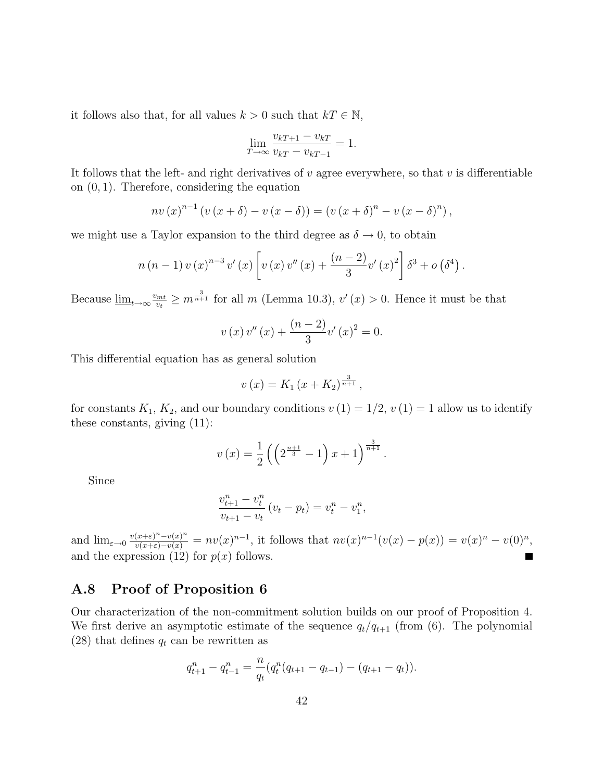it follows also that, for all values  $k > 0$  such that  $kT \in \mathbb{N}$ ,

$$
\lim_{T \to \infty} \frac{v_{kT+1} - v_{kT}}{v_{kT} - v_{kT-1}} = 1.
$$

It follows that the left- and right derivatives of  $v$  agree everywhere, so that  $v$  is differentiable on (0, 1). Therefore, considering the equation

$$
nv (x)^{n-1} (v (x + \delta) - v (x - \delta)) = (v (x + \delta)^{n} - v (x - \delta)^{n}),
$$

we might use a Taylor expansion to the third degree as  $\delta \to 0$ , to obtain

$$
n (n - 1) v (x)^{n-3} v' (x) \left[ v (x) v'' (x) + \frac{(n-2)}{3} v' (x)^2 \right] \delta^3 + o(\delta^4).
$$

Because  $\underline{\lim}_{t\to\infty}\frac{v_{mt}}{v_t}$  $v_{\frac{v_{\text{int}}}{v_t}} \geq m^{\frac{3}{n+1}}$  for all m (Lemma 10.3),  $v'(x) > 0$ . Hence it must be that

$$
v(x)v''(x) + \frac{(n-2)}{3}v'(x)^{2} = 0.
$$

This differential equation has as general solution

$$
v(x) = K_1 (x + K_2)^{\frac{3}{n+1}},
$$

for constants  $K_1, K_2$ , and our boundary conditions  $v(1) = 1/2, v(1) = 1$  allow us to identify these constants, giving (11):

$$
v(x) = \frac{1}{2} \left( \left( 2^{\frac{n+1}{3}} - 1 \right) x + 1 \right)^{\frac{3}{n+1}}.
$$

Since

$$
\frac{v_{t+1}^n - v_t^n}{v_{t+1} - v_t} (v_t - p_t) = v_t^n - v_1^n,
$$

and  $\lim_{\varepsilon \to 0} \frac{v(x+\varepsilon)^n - v(x)^n}{v(x+\varepsilon) - v(x)} = nv(x)^{n-1}$ , it follows that  $nv(x)^{n-1}(v(x) - p(x)) = v(x)^n - v(0)^n$ , and the expression (12) for  $p(x)$  follows.

### A.8 Proof of Proposition 6

Our characterization of the non-commitment solution builds on our proof of Proposition 4. We first derive an asymptotic estimate of the sequence  $q_t/q_{t+1}$  (from (6). The polynomial (28) that defines  $q_t$  can be rewritten as

$$
q_{t+1}^n - q_{t-1}^n = \frac{n}{q_t}(q_t^n(q_{t+1} - q_{t-1}) - (q_{t+1} - q_t)).
$$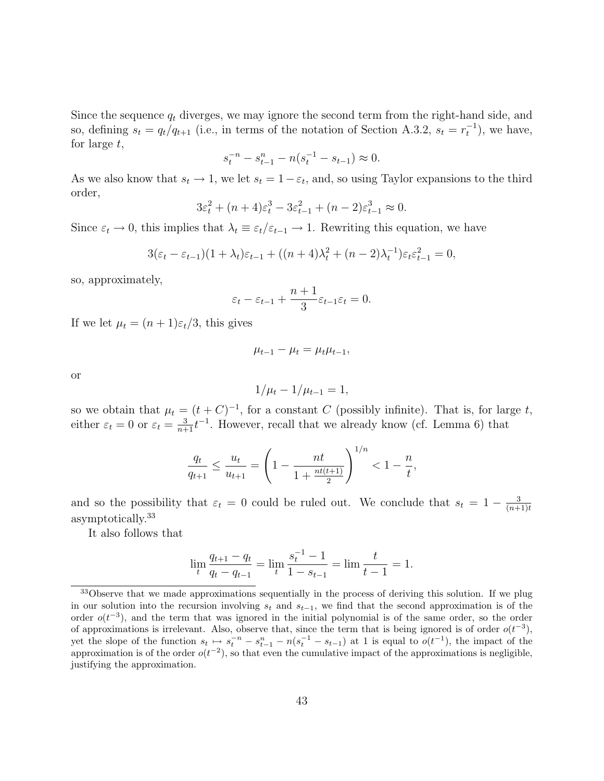Since the sequence  $q_t$  diverges, we may ignore the second term from the right-hand side, and so, defining  $s_t = q_t/q_{t+1}$  (i.e., in terms of the notation of Section A.3.2,  $s_t = r_t^{-1}$ ), we have, for large t,

$$
s_t^{-n} - s_{t-1}^n - n(s_t^{-1} - s_{t-1}) \approx 0.
$$

As we also know that  $s_t \to 1$ , we let  $s_t = 1 - \varepsilon_t$ , and, so using Taylor expansions to the third order,

$$
3\varepsilon_t^2 + (n+4)\varepsilon_t^3 - 3\varepsilon_{t-1}^2 + (n-2)\varepsilon_{t-1}^3 \approx 0.
$$

Since  $\varepsilon_t \to 0$ , this implies that  $\lambda_t \equiv \varepsilon_t/\varepsilon_{t-1} \to 1$ . Rewriting this equation, we have

$$
3(\varepsilon_t - \varepsilon_{t-1})(1 + \lambda_t)\varepsilon_{t-1} + ((n+4)\lambda_t^2 + (n-2)\lambda_t^{-1})\varepsilon_t \varepsilon_{t-1}^2 = 0,
$$

so, approximately,

$$
\varepsilon_t - \varepsilon_{t-1} + \frac{n+1}{3} \varepsilon_{t-1} \varepsilon_t = 0.
$$

If we let  $\mu_t = (n+1)\varepsilon_t/3$ , this gives

$$
\mu_{t-1} - \mu_t = \mu_t \mu_{t-1},
$$

or

$$
1/\mu_t - 1/\mu_{t-1} = 1,
$$

so we obtain that  $\mu_t = (t + C)^{-1}$ , for a constant C (possibly infinite). That is, for large t, either  $\varepsilon_t = 0$  or  $\varepsilon_t = \frac{3}{n+1} t^{-1}$ . However, recall that we already know (cf. Lemma 6) that

$$
\frac{q_t}{q_{t+1}} \le \frac{u_t}{u_{t+1}} = \left(1 - \frac{nt}{1 + \frac{nt(t+1)}{2}}\right)^{1/n} < 1 - \frac{n}{t},
$$

and so the possibility that  $\varepsilon_t = 0$  could be ruled out. We conclude that  $s_t = 1 - \frac{3}{(n+1)}$  $(n+1)t$ asymptotically.<sup>33</sup>

It also follows that

$$
\lim_{t} \frac{q_{t+1} - q_t}{q_t - q_{t-1}} = \lim_{t} \frac{s_t^{-1} - 1}{1 - s_{t-1}} = \lim_{t} \frac{t}{t - 1} = 1.
$$

<sup>&</sup>lt;sup>33</sup>Observe that we made approximations sequentially in the process of deriving this solution. If we plug in our solution into the recursion involving  $s_t$  and  $s_{t-1}$ , we find that the second approximation is of the order  $o(t^{-3})$ , and the term that was ignored in the initial polynomial is of the same order, so the order of approximations is irrelevant. Also, observe that, since the term that is being ignored is of order  $o(t^{-3})$ , yet the slope of the function  $s_t \mapsto s_t^{-n} - s_{t-1}^n - n(s_t^{-1} - s_{t-1})$  at 1 is equal to  $o(t^{-1})$ , the impact of the approximation is of the order  $o(t^{-2})$ , so that even the cumulative impact of the approximations is negligible, justifying the approximation.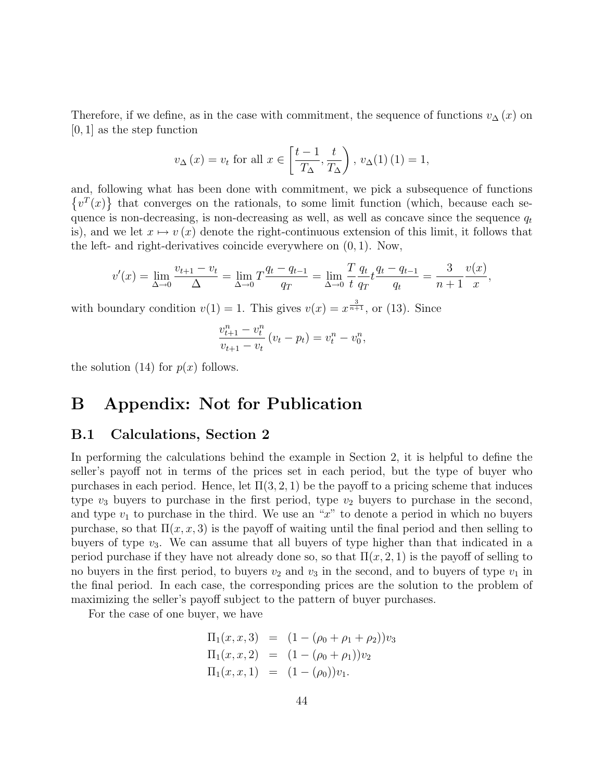Therefore, if we define, as in the case with commitment, the sequence of functions  $v_{\Delta}(x)$  on [0, 1] as the step function

$$
v_{\Delta}(x) = v_t
$$
 for all  $x \in \left[\frac{t-1}{T_{\Delta}}, \frac{t}{T_{\Delta}}\right)$ ,  $v_{\Delta}(1)(1) = 1$ ,

and, following what has been done with commitment, we pick a subsequence of functions  $\{v^T(x)\}\$  that converges on the rationals, to some limit function (which, because each sequence is non-decreasing, is non-decreasing as well, as well as concave since the sequence  $q_t$ is), and we let  $x \mapsto v(x)$  denote the right-continuous extension of this limit, it follows that the left- and right-derivatives coincide everywhere on  $(0, 1)$ . Now,

$$
v'(x) = \lim_{\Delta \to 0} \frac{v_{t+1} - v_t}{\Delta} = \lim_{\Delta \to 0} T \frac{q_t - q_{t-1}}{q_T} = \lim_{\Delta \to 0} \frac{T}{t} \frac{q_t}{q_T} t \frac{q_t - q_{t-1}}{q_t} = \frac{3}{n+1} \frac{v(x)}{x},
$$

with boundary condition  $v(1) = 1$ . This gives  $v(x) = x^{\frac{3}{n+1}}$ , or (13). Since

$$
\frac{v_{t+1}^n - v_t^n}{v_{t+1} - v_t} (v_t - p_t) = v_t^n - v_0^n,
$$

the solution (14) for  $p(x)$  follows.

# B Appendix: Not for Publication

### B.1 Calculations, Section 2

In performing the calculations behind the example in Section 2, it is helpful to define the seller's payoff not in terms of the prices set in each period, but the type of buyer who purchases in each period. Hence, let  $\Pi(3, 2, 1)$  be the payoff to a pricing scheme that induces type  $v_3$  buyers to purchase in the first period, type  $v_2$  buyers to purchase in the second, and type  $v_1$  to purchase in the third. We use an "x" to denote a period in which no buyers purchase, so that  $\Pi(x, x, 3)$  is the payoff of waiting until the final period and then selling to buyers of type  $v_3$ . We can assume that all buyers of type higher than that indicated in a period purchase if they have not already done so, so that  $\Pi(x, 2, 1)$  is the payoff of selling to no buyers in the first period, to buyers  $v_2$  and  $v_3$  in the second, and to buyers of type  $v_1$  in the final period. In each case, the corresponding prices are the solution to the problem of maximizing the seller's payoff subject to the pattern of buyer purchases.

For the case of one buyer, we have

$$
\Pi_1(x, x, 3) = (1 - (\rho_0 + \rho_1 + \rho_2))v_3 \n\Pi_1(x, x, 2) = (1 - (\rho_0 + \rho_1))v_2 \n\Pi_1(x, x, 1) = (1 - (\rho_0))v_1.
$$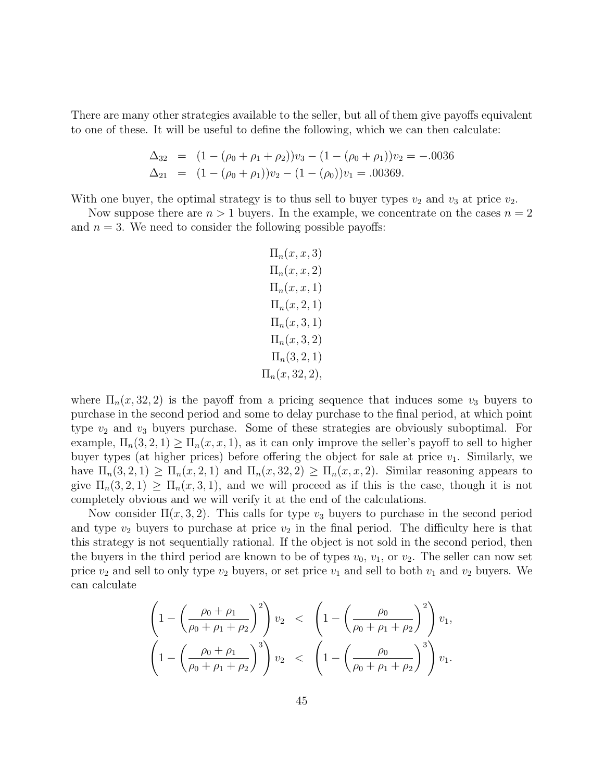There are many other strategies available to the seller, but all of them give payoffs equivalent to one of these. It will be useful to define the following, which we can then calculate:

$$
\Delta_{32} = (1 - (\rho_0 + \rho_1 + \rho_2))v_3 - (1 - (\rho_0 + \rho_1))v_2 = -.0036
$$
  
\n
$$
\Delta_{21} = (1 - (\rho_0 + \rho_1))v_2 - (1 - (\rho_0))v_1 = .00369.
$$

With one buyer, the optimal strategy is to thus sell to buyer types  $v_2$  and  $v_3$  at price  $v_2$ .

Now suppose there are  $n > 1$  buyers. In the example, we concentrate on the cases  $n = 2$ and  $n = 3$ . We need to consider the following possible payoffs:

$$
\Pi_n(x, x, 3)
$$
  
\n
$$
\Pi_n(x, x, 2)
$$
  
\n
$$
\Pi_n(x, x, 1)
$$
  
\n
$$
\Pi_n(x, 2, 1)
$$
  
\n
$$
\Pi_n(x, 3, 2)
$$
  
\n
$$
\Pi_n(3, 2, 1)
$$
  
\n
$$
\Pi_n(x, 32, 2),
$$

where  $\Pi_n(x, 32, 2)$  is the payoff from a pricing sequence that induces some  $v_3$  buyers to purchase in the second period and some to delay purchase to the final period, at which point type  $v_2$  and  $v_3$  buyers purchase. Some of these strategies are obviously suboptimal. For example,  $\Pi_n(3,2,1) \geq \Pi_n(x,x,1)$ , as it can only improve the seller's payoff to sell to higher buyer types (at higher prices) before offering the object for sale at price  $v_1$ . Similarly, we have  $\Pi_n(3,2,1) \geq \Pi_n(x,2,1)$  and  $\Pi_n(x,32,2) \geq \Pi_n(x,x,2)$ . Similar reasoning appears to give  $\Pi_n(3, 2, 1) \ge \Pi_n(x, 3, 1)$ , and we will proceed as if this is the case, though it is not completely obvious and we will verify it at the end of the calculations.

Now consider  $\Pi(x,3,2)$ . This calls for type  $v_3$  buyers to purchase in the second period and type  $v_2$  buyers to purchase at price  $v_2$  in the final period. The difficulty here is that this strategy is not sequentially rational. If the object is not sold in the second period, then the buyers in the third period are known to be of types  $v_0$ ,  $v_1$ , or  $v_2$ . The seller can now set price  $v_2$  and sell to only type  $v_2$  buyers, or set price  $v_1$  and sell to both  $v_1$  and  $v_2$  buyers. We can calculate

$$
\left(1 - \left(\frac{\rho_0 + \rho_1}{\rho_0 + \rho_1 + \rho_2}\right)^2\right)v_2 < \left(1 - \left(\frac{\rho_0}{\rho_0 + \rho_1 + \rho_2}\right)^2\right)v_1,
$$
\n
$$
\left(1 - \left(\frac{\rho_0 + \rho_1}{\rho_0 + \rho_1 + \rho_2}\right)^3\right)v_2 < \left(1 - \left(\frac{\rho_0}{\rho_0 + \rho_1 + \rho_2}\right)^3\right)v_1.
$$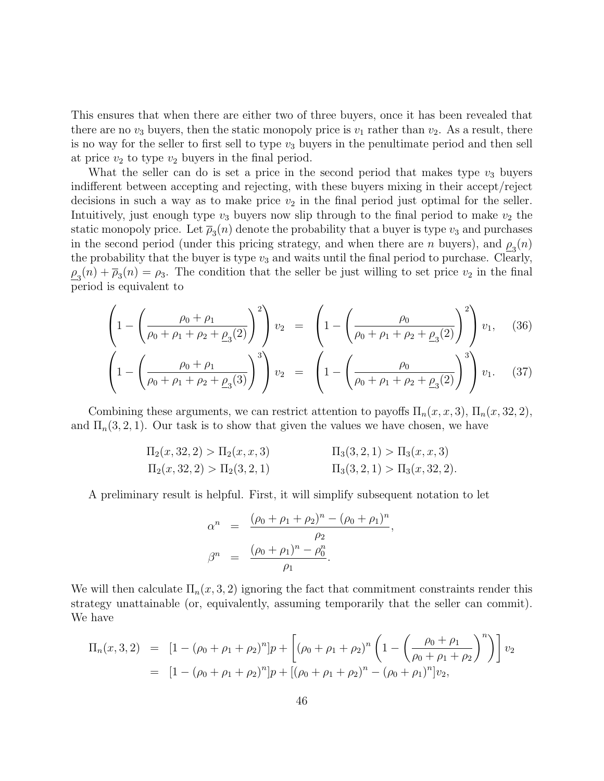This ensures that when there are either two of three buyers, once it has been revealed that there are no  $v_3$  buyers, then the static monopoly price is  $v_1$  rather than  $v_2$ . As a result, there is no way for the seller to first sell to type  $v_3$  buyers in the penultimate period and then sell at price  $v_2$  to type  $v_2$  buyers in the final period.

What the seller can do is set a price in the second period that makes type  $v_3$  buyers indifferent between accepting and rejecting, with these buyers mixing in their accept/reject decisions in such a way as to make price  $v_2$  in the final period just optimal for the seller. Intuitively, just enough type  $v_3$  buyers now slip through to the final period to make  $v_2$  the static monopoly price. Let  $\overline{\rho}_3(n)$  denote the probability that a buyer is type  $v_3$  and purchases in the second period (under this pricing strategy, and when there are n buyers), and  $\rho_3(n)$ the probability that the buyer is type  $v_3$  and waits until the final period to purchase. Clearly,  $\rho_3(n) + \overline{\rho}_3(n) = \rho_3$ . The condition that the seller be just willing to set price  $v_2$  in the final period is equivalent to

$$
\left(1 - \left(\frac{\rho_0 + \rho_1}{\rho_0 + \rho_1 + \rho_2 + \rho_3(2)}\right)^2\right)v_2 = \left(1 - \left(\frac{\rho_0}{\rho_0 + \rho_1 + \rho_2 + \rho_3(2)}\right)^2\right)v_1, (36)
$$

$$
\left(1 - \left(\frac{\rho_0 + \rho_1}{\rho_0 + \rho_1 + \rho_2 + \underline{\rho}_3(3)}\right)^3\right)v_2 = \left(1 - \left(\frac{\rho_0}{\rho_0 + \rho_1 + \rho_2 + \underline{\rho}_3(2)}\right)^3\right)v_1. \quad (37)
$$

Combining these arguments, we can restrict attention to payoffs  $\Pi_n(x, x, 3)$ ,  $\Pi_n(x, 32, 2)$ , and  $\Pi_n(3, 2, 1)$ . Our task is to show that given the values we have chosen, we have

$$
\Pi_2(x,32,2) > \Pi_2(x,x,3) \qquad \qquad \Pi_3(3,2,1) > \Pi_3(x,x,3)
$$
  
\n
$$
\Pi_2(x,32,2) > \Pi_2(3,2,1) \qquad \qquad \Pi_3(3,2,1) > \Pi_3(x,32,2).
$$

A preliminary result is helpful. First, it will simplify subsequent notation to let

$$
\alpha^{n} = \frac{(\rho_{0} + \rho_{1} + \rho_{2})^{n} - (\rho_{0} + \rho_{1})^{n}}{\rho_{2}},
$$

$$
\beta^{n} = \frac{(\rho_{0} + \rho_{1})^{n} - \rho_{0}^{n}}{\rho_{1}}.
$$

We will then calculate  $\Pi_n(x, 3, 2)$  ignoring the fact that commitment constraints render this strategy unattainable (or, equivalently, assuming temporarily that the seller can commit). We have

$$
\Pi_n(x,3,2) = [1 - (\rho_0 + \rho_1 + \rho_2)^n]p + [(\rho_0 + \rho_1 + \rho_2)^n \left(1 - \left(\frac{\rho_0 + \rho_1}{\rho_0 + \rho_1 + \rho_2}\right)^n\right)]v_2
$$
  
= 
$$
[1 - (\rho_0 + \rho_1 + \rho_2)^n]p + [(\rho_0 + \rho_1 + \rho_2)^n - (\rho_0 + \rho_1)^n]v_2,
$$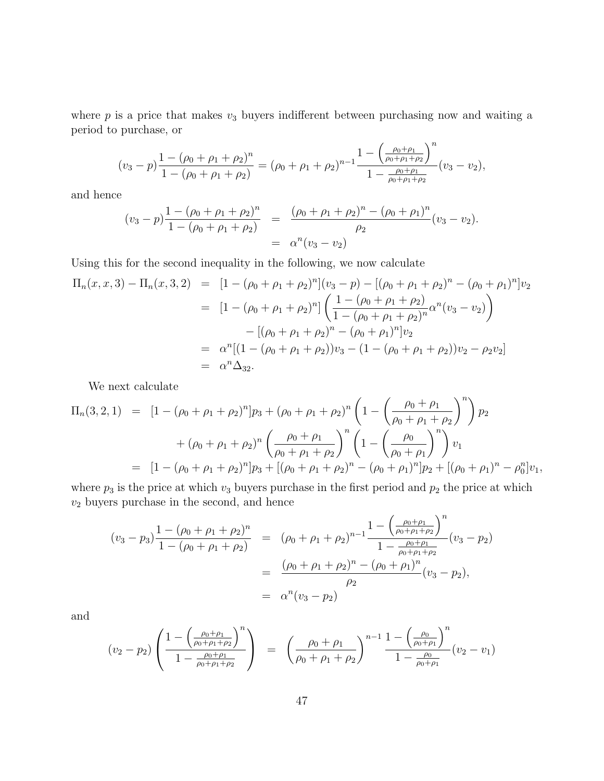where  $p$  is a price that makes  $v_3$  buyers indifferent between purchasing now and waiting a period to purchase, or

$$
(v_3 - p) \frac{1 - (\rho_0 + \rho_1 + \rho_2)^n}{1 - (\rho_0 + \rho_1 + \rho_2)} = (\rho_0 + \rho_1 + \rho_2)^{n-1} \frac{1 - \left(\frac{\rho_0 + \rho_1}{\rho_0 + \rho_1 + \rho_2}\right)^n}{1 - \frac{\rho_0 + \rho_1}{\rho_0 + \rho_1 + \rho_2}} (v_3 - v_2),
$$

and hence

$$
\begin{array}{rcl}\n(v_3 - p) \frac{1 - (\rho_0 + \rho_1 + \rho_2)^n}{1 - (\rho_0 + \rho_1 + \rho_2)} & = & \frac{(\rho_0 + \rho_1 + \rho_2)^n - (\rho_0 + \rho_1)^n}{\rho_2} (v_3 - v_2) \\
& = & \alpha^n (v_3 - v_2)\n\end{array}
$$

Using this for the second inequality in the following, we now calculate

$$
\Pi_n(x, x, 3) - \Pi_n(x, 3, 2) = [1 - (\rho_0 + \rho_1 + \rho_2)^n](v_3 - p) - [(\rho_0 + \rho_1 + \rho_2)^n - (\rho_0 + \rho_1)^n]v_2
$$
  
\n
$$
= [1 - (\rho_0 + \rho_1 + \rho_2)^n] \left(\frac{1 - (\rho_0 + \rho_1 + \rho_2)}{1 - (\rho_0 + \rho_1 + \rho_2)^n} \alpha^n (v_3 - v_2)\right)
$$
  
\n
$$
- [(\rho_0 + \rho_1 + \rho_2)^n - (\rho_0 + \rho_1)^n]v_2
$$
  
\n
$$
= \alpha^n [(1 - (\rho_0 + \rho_1 + \rho_2))v_3 - (1 - (\rho_0 + \rho_1 + \rho_2))v_2 - \rho_2 v_2]
$$
  
\n
$$
= \alpha^n \Delta_{32}.
$$

We next calculate

$$
\Pi_n(3,2,1) = [1 - (\rho_0 + \rho_1 + \rho_2)^n] p_3 + (\rho_0 + \rho_1 + \rho_2)^n \left( 1 - \left( \frac{\rho_0 + \rho_1}{\rho_0 + \rho_1 + \rho_2} \right)^n \right) p_2
$$
  
+ 
$$
(\rho_0 + \rho_1 + \rho_2)^n \left( \frac{\rho_0 + \rho_1}{\rho_0 + \rho_1 + \rho_2} \right)^n \left( 1 - \left( \frac{\rho_0}{\rho_0 + \rho_1} \right)^n \right) v_1
$$
  
= 
$$
[1 - (\rho_0 + \rho_1 + \rho_2)^n] p_3 + [(\rho_0 + \rho_1 + \rho_2)^n - (\rho_0 + \rho_1)^n] p_2 + [(\rho_0 + \rho_1)^n - \rho_0^n] v_1,
$$

where  $p_3$  is the price at which  $v_3$  buyers purchase in the first period and  $p_2$  the price at which  $v_2$  buyers purchase in the second, and hence

$$
(v_3 - p_3) \frac{1 - (\rho_0 + \rho_1 + \rho_2)^n}{1 - (\rho_0 + \rho_1 + \rho_2)} = (\rho_0 + \rho_1 + \rho_2)^{n-1} \frac{1 - \left(\frac{\rho_0 + \rho_1}{\rho_0 + \rho_1 + \rho_2}\right)^n}{1 - \frac{\rho_0 + \rho_1}{\rho_0 + \rho_1 + \rho_2}} (v_3 - p_2)
$$
  
= 
$$
\frac{(\rho_0 + \rho_1 + \rho_2)^n - (\rho_0 + \rho_1)^n}{\rho_2} (v_3 - p_2),
$$
  
= 
$$
\alpha^n (v_3 - p_2)
$$

and

$$
(v_2 - p_2) \left( \frac{1 - \left(\frac{\rho_0 + \rho_1}{\rho_0 + \rho_1 + \rho_2}\right)^n}{1 - \frac{\rho_0 + \rho_1}{\rho_0 + \rho_1 + \rho_2}} \right) = \left( \frac{\rho_0 + \rho_1}{\rho_0 + \rho_1 + \rho_2} \right)^{n-1} \frac{1 - \left(\frac{\rho_0}{\rho_0 + \rho_1}\right)^n}{1 - \frac{\rho_0}{\rho_0 + \rho_1}} (v_2 - v_1)
$$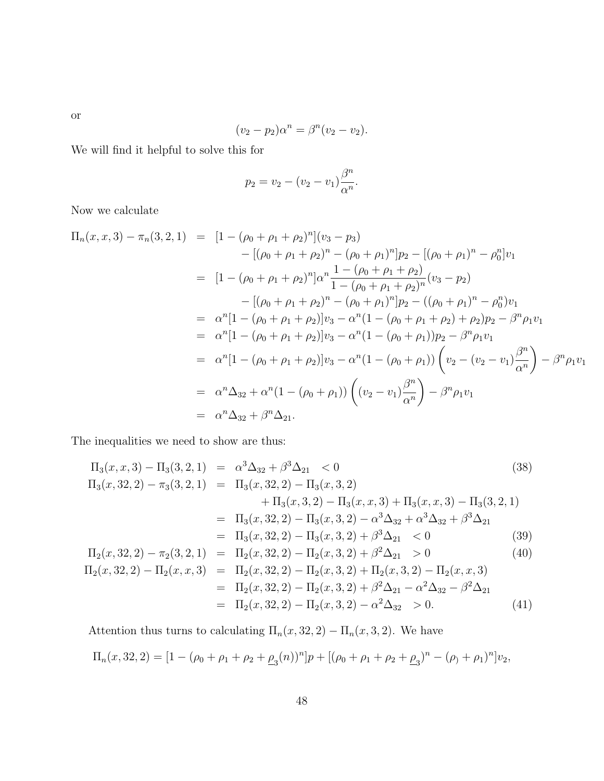$$
(v_2-p_2)\alpha^n = \beta^n(v_2-v_2).
$$

We will find it helpful to solve this for

$$
p_2 = v_2 - (v_2 - v_1) \frac{\beta^n}{\alpha^n}.
$$

Now we calculate

$$
\Pi_n(x, x, 3) - \pi_n(3, 2, 1) = [1 - (\rho_0 + \rho_1 + \rho_2)^n](v_3 - p_3)
$$
  
\n
$$
- [(\rho_0 + \rho_1 + \rho_2)^n - (\rho_0 + \rho_1)^n]p_2 - [(\rho_0 + \rho_1)^n - \rho_0^n]v_1
$$
  
\n
$$
= [1 - (\rho_0 + \rho_1 + \rho_2)^n] \alpha^n \frac{1 - (\rho_0 + \rho_1 + \rho_2)}{1 - (\rho_0 + \rho_1 + \rho_2)^n} (v_3 - p_2)
$$
  
\n
$$
- [(\rho_0 + \rho_1 + \rho_2)^n - (\rho_0 + \rho_1)^n]p_2 - ((\rho_0 + \rho_1)^n - \rho_0^n)v_1
$$
  
\n
$$
= \alpha^n [1 - (\rho_0 + \rho_1 + \rho_2)]v_3 - \alpha^n (1 - (\rho_0 + \rho_1 + \rho_2) + \rho_2)p_2 - \beta^n \rho_1 v_1
$$
  
\n
$$
= \alpha^n [1 - (\rho_0 + \rho_1 + \rho_2)]v_3 - \alpha^n (1 - (\rho_0 + \rho_1))p_2 - \beta^n \rho_1 v_1
$$
  
\n
$$
= \alpha^n [1 - (\rho_0 + \rho_1 + \rho_2)]v_3 - \alpha^n (1 - (\rho_0 + \rho_1)) \left( v_2 - (v_2 - v_1) \frac{\beta^n}{\alpha^n} \right) - \beta^n \rho_1 v_1
$$
  
\n
$$
= \alpha^n \Delta_{32} + \alpha^n (1 - (\rho_0 + \rho_1)) \left( (v_2 - v_1) \frac{\beta^n}{\alpha^n} \right) - \beta^n \rho_1 v_1
$$
  
\n
$$
= \alpha^n \Delta_{32} + \beta^n \Delta_{21}.
$$

The inequalities we need to show are thus:

$$
\Pi_{3}(x, x, 3) - \Pi_{3}(3, 2, 1) = \alpha^{3} \Delta_{32} + \beta^{3} \Delta_{21} < 0
$$
\n
$$
\Pi_{3}(x, 32, 2) - \pi_{3}(3, 2, 1) = \Pi_{3}(x, 32, 2) - \Pi_{3}(x, 3, 2)
$$
\n
$$
+ \Pi_{3}(x, 3, 2) - \Pi_{3}(x, x, 3) + \Pi_{3}(x, x, 3) - \Pi_{3}(3, 2, 1)
$$
\n
$$
= \Pi_{3}(x, 32, 2) - \Pi_{3}(x, 3, 2) - \alpha^{3} \Delta_{32} + \alpha^{3} \Delta_{32} + \beta^{3} \Delta_{21}
$$
\n
$$
= \Pi_{3}(x, 32, 2) - \Pi_{3}(x, 3, 2) + \beta^{3} \Delta_{21} < 0
$$
\n
$$
\Pi_{2}(x, 32, 2) - \pi_{2}(3, 2, 1) = \Pi_{2}(x, 32, 2) - \Pi_{2}(x, 3, 2) + \beta^{2} \Delta_{21} > 0
$$
\n
$$
\Pi_{2}(x, 32, 2) - \Pi_{2}(x, x, 3) = \Pi_{2}(x, 32, 2) - \Pi_{2}(x, 3, 2) + \Pi_{2}(x, 3, 2) - \Pi_{2}(x, x, 3)
$$
\n
$$
= \Pi_{3}(x, 32, 2) - \Pi_{2}(x, 3, 2) + \Pi_{2}(x, 3, 2) - \Pi_{2}(x, x, 3)
$$
\n
$$
= \Pi_{3}(x, 32, 2) - \Pi_{2}(x, 3, 2) + \Pi_{2}(x, 3, 2) - \Pi_{2}(x, x, 3)
$$
\n
$$
= \Pi_{3}(x, 32, 2) - \Pi_{2}(x, 3, 2) + \beta^{2} \Delta_{32} - \beta^{2} \Delta_{32} - \beta^{2} \Delta_{32}
$$
\n(40)

$$
= \Pi_2(x, 32, 2) - \Pi_2(x, 3, 2) + \beta^2 \Delta_{21} - \alpha^2 \Delta_{32} - \beta^2 \Delta_{21}
$$
  

$$
= \Pi_2(x, 32, 2) - \Pi_2(x, 3, 2) - \alpha^2 \Delta_{32} > 0.
$$
 (41)

Attention thus turns to calculating  $\Pi_n(x, 32, 2) - \Pi_n(x, 3, 2)$ . We have

$$
\Pi_n(x,32,2) = [1 - (\rho_0 + \rho_1 + \rho_2 + \underline{\rho}_3(n))^n]p + [(\rho_0 + \rho_1 + \rho_2 + \underline{\rho}_3)^n - (\rho_0 + \rho_1)^n]v_2,
$$

48

or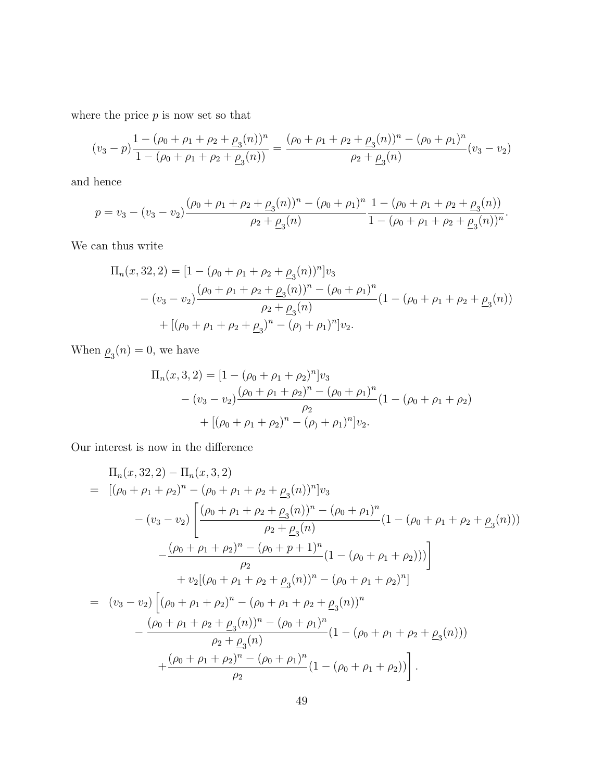where the price  $p$  is now set so that

$$
(v_3 - p)\frac{1 - (\rho_0 + \rho_1 + \rho_2 + \rho_3(n))^n}{1 - (\rho_0 + \rho_1 + \rho_2 + \rho_3(n))} = \frac{(\rho_0 + \rho_1 + \rho_2 + \rho_3(n))^n - (\rho_0 + \rho_1)^n}{\rho_2 + \rho_3(n)}(v_3 - v_2)
$$

and hence

$$
p = v_3 - (v_3 - v_2) \frac{(\rho_0 + \rho_1 + \rho_2 + \underline{\rho}_3(n))^n - (\rho_0 + \rho_1)^n}{\rho_2 + \underline{\rho}_3(n)} \frac{1 - (\rho_0 + \rho_1 + \rho_2 + \underline{\rho}_3(n))}{1 - (\rho_0 + \rho_1 + \rho_2 + \underline{\rho}_3(n))^n}.
$$

We can thus write

$$
\Pi_n(x,32,2) = [1 - (\rho_0 + \rho_1 + \rho_2 + \underline{\rho}_3(n))^n]v_3
$$
  
 
$$
- (v_3 - v_2) \frac{(\rho_0 + \rho_1 + \rho_2 + \underline{\rho}_3(n))^n - (\rho_0 + \rho_1)^n}{\rho_2 + \underline{\rho}_3(n)} (1 - (\rho_0 + \rho_1 + \rho_2 + \underline{\rho}_3(n))
$$
  
 
$$
+ [(\rho_0 + \rho_1 + \rho_2 + \underline{\rho}_3)^n - (\rho_0 + \rho_1)^n]v_2.
$$

When  $\rho_3(n) = 0$ , we have

$$
\Pi_n(x,3,2) = [1 - (\rho_0 + \rho_1 + \rho_2)^n]v_3
$$
  
 
$$
- (v_3 - v_2) \frac{(\rho_0 + \rho_1 + \rho_2)^n - (\rho_0 + \rho_1)^n}{\rho_2} (1 - (\rho_0 + \rho_1 + \rho_2))
$$
  
 
$$
+ [(\rho_0 + \rho_1 + \rho_2)^n - (\rho_0 + \rho_1)^n]v_2.
$$

Our interest is now in the difference

$$
\Pi_n(x,32,2) - \Pi_n(x,3,2)
$$
\n
$$
= [(\rho_0 + \rho_1 + \rho_2)^n - (\rho_0 + \rho_1 + \rho_2 + \rho_3(n))^n]v_3
$$
\n
$$
- (v_3 - v_2) \left[ \frac{(\rho_0 + \rho_1 + \rho_2 + \rho_3(n))^n - (\rho_0 + \rho_1)^n}{\rho_2 + \rho_3(n)} (1 - (\rho_0 + \rho_1 + \rho_2 + \rho_3(n))) - \frac{(\rho_0 + \rho_1 + \rho_2)^n - (\rho_0 + p_1 + 1)^n}{\rho_2} (1 - (\rho_0 + \rho_1 + \rho_2))) \right]
$$
\n
$$
+ v_2 [(\rho_0 + \rho_1 + \rho_2 + \rho_3(n))^n - (\rho_0 + \rho_1 + \rho_2)^n]
$$
\n
$$
= (v_3 - v_2) \left[ (\rho_0 + \rho_1 + \rho_2)^n - (\rho_0 + \rho_1 + \rho_2 + \rho_3(n))^n - \frac{(\rho_0 + \rho_1 + \rho_2 + \rho_3(n))^n - (\rho_0 + \rho_1)^n}{\rho_2 + \rho_3(n)} (1 - (\rho_0 + \rho_1 + \rho_2 + \rho_3(n))) + \frac{(\rho_0 + \rho_1 + \rho_2)^n - (\rho_0 + \rho_1)^n}{\rho_2} (1 - (\rho_0 + \rho_1 + \rho_2)) \right].
$$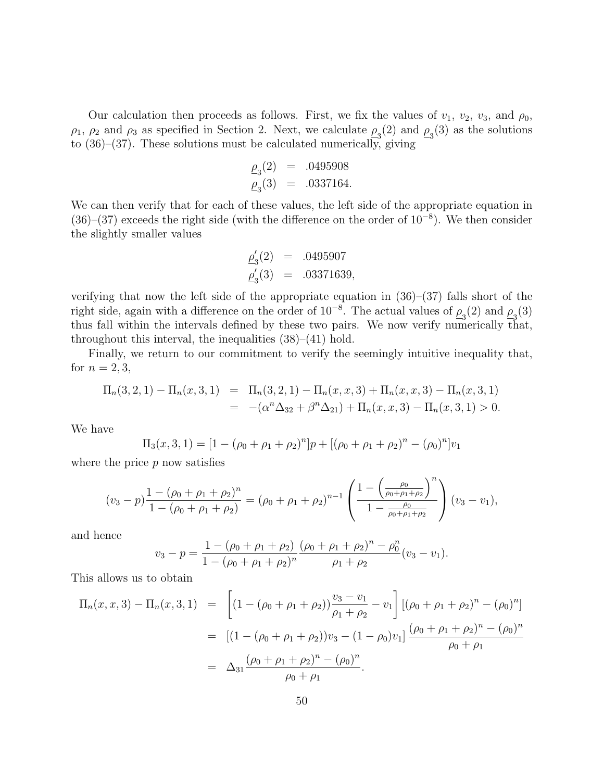Our calculation then proceeds as follows. First, we fix the values of  $v_1$ ,  $v_2$ ,  $v_3$ , and  $\rho_0$ ,  $\rho_1$ ,  $\rho_2$  and  $\rho_3$  as specified in Section 2. Next, we calculate  $\rho_3(2)$  and  $\rho_3(3)$  as the solutions to (36)–(37). These solutions must be calculated numerically, giving

$$
\underline{\rho}_3(2) = .0495908
$$
  

$$
\underline{\rho}_3(3) = .0337164.
$$

We can then verify that for each of these values, the left side of the appropriate equation in  $(36)$ – $(37)$  exceeds the right side (with the difference on the order of  $10^{-8}$ ). We then consider the slightly smaller values

$$
\begin{array}{rcl}\n\underline{\rho}'_3(2) & = & .0495907 \\
\underline{\rho}'_3(3) & = & .03371639,\n\end{array}
$$

verifying that now the left side of the appropriate equation in (36)–(37) falls short of the right side, again with a difference on the order of  $10^{-8}$ . The actual values of  $\rho_3(2)$  and  $\rho_3(3)$ thus fall within the intervals defined by these two pairs. We now verify numerically that, throughout this interval, the inequalities  $(38)–(41)$  hold.

Finally, we return to our commitment to verify the seemingly intuitive inequality that, for  $n = 2, 3$ ,

$$
\Pi_n(3,2,1) - \Pi_n(x,3,1) = \Pi_n(3,2,1) - \Pi_n(x,x,3) + \Pi_n(x,x,3) - \Pi_n(x,3,1)
$$
  
= 
$$
-(\alpha^n \Delta_{32} + \beta^n \Delta_{21}) + \Pi_n(x,x,3) - \Pi_n(x,3,1) > 0.
$$

We have

$$
\Pi_3(x,3,1) = [1 - (\rho_0 + \rho_1 + \rho_2)^n]p + [(\rho_0 + \rho_1 + \rho_2)^n - (\rho_0)^n]v_1
$$

where the price  $p$  now satisfies

$$
(v_3 - p) \frac{1 - (\rho_0 + \rho_1 + \rho_2)^n}{1 - (\rho_0 + \rho_1 + \rho_2)} = (\rho_0 + \rho_1 + \rho_2)^{n-1} \left( \frac{1 - \left(\frac{\rho_0}{\rho_0 + \rho_1 + \rho_2}\right)^n}{1 - \frac{\rho_0}{\rho_0 + \rho_1 + \rho_2}} \right) (v_3 - v_1),
$$

and hence

$$
v_3 - p = \frac{1 - (\rho_0 + \rho_1 + \rho_2)}{1 - (\rho_0 + \rho_1 + \rho_2)^n} \frac{(\rho_0 + \rho_1 + \rho_2)^n - \rho_0^n}{\rho_1 + \rho_2} (v_3 - v_1).
$$

This allows us to obtain

$$
\Pi_n(x, x, 3) - \Pi_n(x, 3, 1) = \left[ (1 - (\rho_0 + \rho_1 + \rho_2)) \frac{v_3 - v_1}{\rho_1 + \rho_2} - v_1 \right] \left[ (\rho_0 + \rho_1 + \rho_2)^n - (\rho_0)^n \right]
$$
  
\n
$$
= \left[ (1 - (\rho_0 + \rho_1 + \rho_2)) v_3 - (1 - \rho_0) v_1 \right] \frac{(\rho_0 + \rho_1 + \rho_2)^n - (\rho_0)^n}{\rho_0 + \rho_1}
$$
  
\n
$$
= \Delta_{31} \frac{(\rho_0 + \rho_1 + \rho_2)^n - (\rho_0)^n}{\rho_0 + \rho_1}.
$$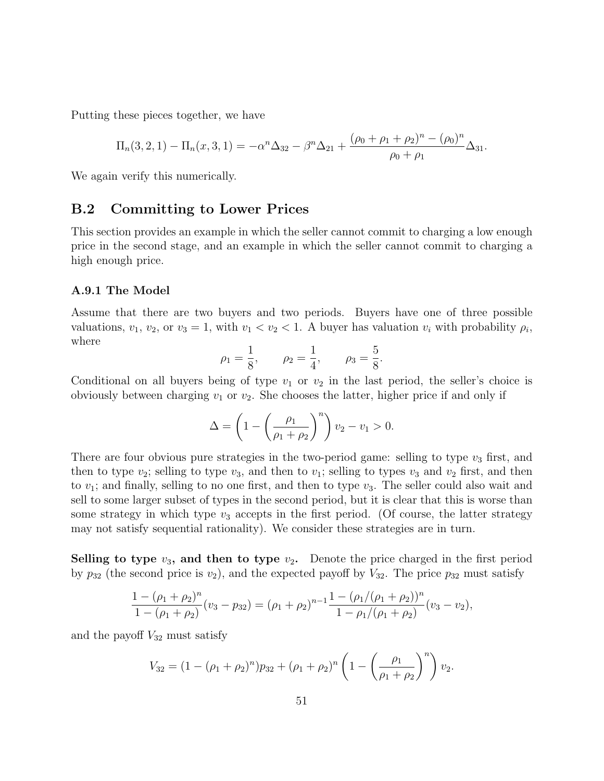Putting these pieces together, we have

$$
\Pi_n(3,2,1) - \Pi_n(x,3,1) = -\alpha^n \Delta_{32} - \beta^n \Delta_{21} + \frac{(\rho_0 + \rho_1 + \rho_2)^n - (\rho_0)^n}{\rho_0 + \rho_1} \Delta_{31}.
$$

We again verify this numerically.

### B.2 Committing to Lower Prices

This section provides an example in which the seller cannot commit to charging a low enough price in the second stage, and an example in which the seller cannot commit to charging a high enough price.

#### A.9.1 The Model

Assume that there are two buyers and two periods. Buyers have one of three possible valuations,  $v_1, v_2, \text{ or } v_3 = 1$ , with  $v_1 < v_2 < 1$ . A buyer has valuation  $v_i$  with probability  $\rho_i$ , where

$$
\rho_1 = \frac{1}{8}
$$
,  $\rho_2 = \frac{1}{4}$ ,  $\rho_3 = \frac{5}{8}$ .

Conditional on all buyers being of type  $v_1$  or  $v_2$  in the last period, the seller's choice is obviously between charging  $v_1$  or  $v_2$ . She chooses the latter, higher price if and only if

$$
\Delta = \left(1 - \left(\frac{\rho_1}{\rho_1 + \rho_2}\right)^n\right) v_2 - v_1 > 0.
$$

There are four obvious pure strategies in the two-period game: selling to type  $v_3$  first, and then to type  $v_2$ ; selling to type  $v_3$ , and then to  $v_1$ ; selling to types  $v_3$  and  $v_2$  first, and then to  $v_1$ ; and finally, selling to no one first, and then to type  $v_3$ . The seller could also wait and sell to some larger subset of types in the second period, but it is clear that this is worse than some strategy in which type  $v_3$  accepts in the first period. (Of course, the latter strategy may not satisfy sequential rationality). We consider these strategies are in turn.

Selling to type  $v_3$ , and then to type  $v_2$ . Denote the price charged in the first period by  $p_{32}$  (the second price is  $v_2$ ), and the expected payoff by  $V_{32}$ . The price  $p_{32}$  must satisfy

$$
\frac{1-(\rho_1+\rho_2)^n}{1-(\rho_1+\rho_2)}(v_3-p_{32})=(\rho_1+\rho_2)^{n-1}\frac{1-(\rho_1/(\rho_1+\rho_2))^n}{1-\rho_1/(\rho_1+\rho_2)}(v_3-v_2),
$$

and the payoff  $V_{32}$  must satisfy

$$
V_{32} = (1 - (\rho_1 + \rho_2)^n)p_{32} + (\rho_1 + \rho_2)^n \left(1 - \left(\frac{\rho_1}{\rho_1 + \rho_2}\right)^n\right)v_2.
$$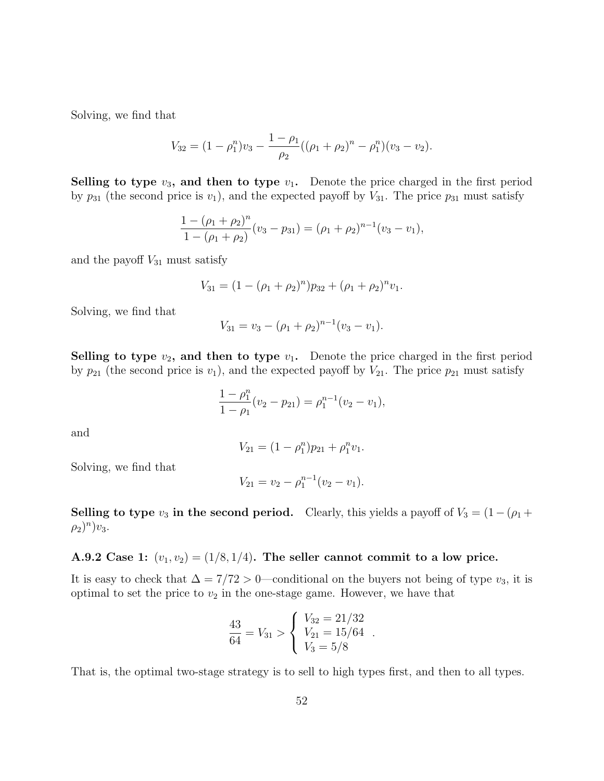Solving, we find that

$$
V_{32} = (1 - \rho_1^n)v_3 - \frac{1 - \rho_1}{\rho_2}((\rho_1 + \rho_2)^n - \rho_1^n)(v_3 - v_2).
$$

Selling to type  $v_3$ , and then to type  $v_1$ . Denote the price charged in the first period by  $p_{31}$  (the second price is  $v_1$ ), and the expected payoff by  $V_{31}$ . The price  $p_{31}$  must satisfy

$$
\frac{1 - (\rho_1 + \rho_2)^n}{1 - (\rho_1 + \rho_2)} (v_3 - p_{31}) = (\rho_1 + \rho_2)^{n-1} (v_3 - v_1),
$$

and the payoff  $V_{31}$  must satisfy

$$
V_{31} = (1 - (\rho_1 + \rho_2)^n)p_{32} + (\rho_1 + \rho_2)^n v_1.
$$

Solving, we find that

$$
V_{31} = v_3 - (\rho_1 + \rho_2)^{n-1} (v_3 - v_1).
$$

Selling to type  $v_2$ , and then to type  $v_1$ . Denote the price charged in the first period by  $p_{21}$  (the second price is  $v_1$ ), and the expected payoff by  $V_{21}$ . The price  $p_{21}$  must satisfy

$$
\frac{1-\rho_1^n}{1-\rho_1}(v_2-p_{21})=\rho_1^{n-1}(v_2-v_1),
$$

and

$$
V_{21} = (1 - \rho_1^n)p_{21} + \rho_1^n v_1.
$$

Solving, we find that

$$
V_{21} = v_2 - \rho_1^{n-1}(v_2 - v_1).
$$

Selling to type  $v_3$  in the second period. Clearly, this yields a payoff of  $V_3 = (1-(\rho_1 +$  $(\rho_2)^n)v_3.$ 

#### A.9.2 Case 1:  $(v_1, v_2) = (1/8, 1/4)$ . The seller cannot commit to a low price.

It is easy to check that  $\Delta = 7/72 > 0$ —conditional on the buyers not being of type  $v_3$ , it is optimal to set the price to  $v_2$  in the one-stage game. However, we have that

$$
\frac{43}{64} = V_{31} > \begin{cases} V_{32} = 21/32 \\ V_{21} = 15/64 \\ V_3 = 5/8 \end{cases}.
$$

That is, the optimal two-stage strategy is to sell to high types first, and then to all types.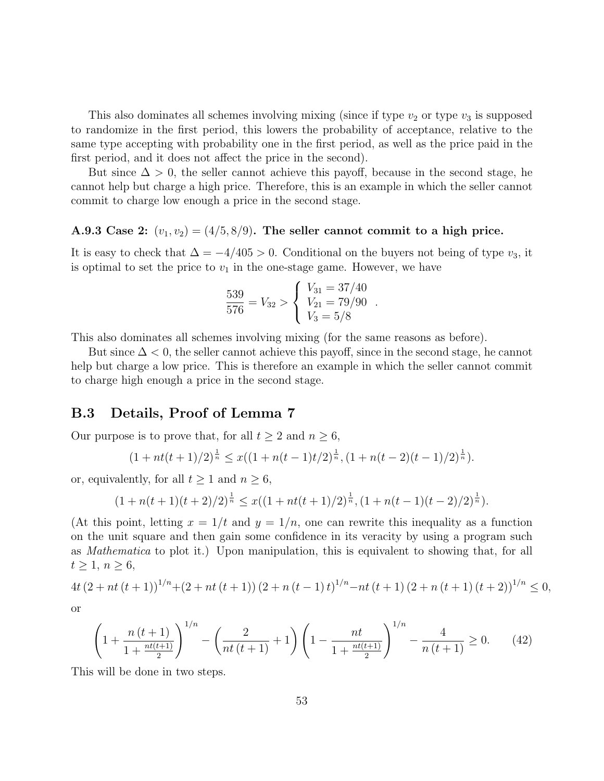This also dominates all schemes involving mixing (since if type  $v_2$  or type  $v_3$  is supposed to randomize in the first period, this lowers the probability of acceptance, relative to the same type accepting with probability one in the first period, as well as the price paid in the first period, and it does not affect the price in the second).

But since  $\Delta > 0$ , the seller cannot achieve this payoff, because in the second stage, he cannot help but charge a high price. Therefore, this is an example in which the seller cannot commit to charge low enough a price in the second stage.

# A.9.3 Case 2:  $(v_1, v_2) = (4/5, 8/9)$ . The seller cannot commit to a high price.

It is easy to check that  $\Delta = -4/405 > 0$ . Conditional on the buyers not being of type  $v_3$ , it is optimal to set the price to  $v_1$  in the one-stage game. However, we have

$$
\frac{539}{576} = V_{32} > \begin{cases} V_{31} = 37/40 \\ V_{21} = 79/90 \\ V_3 = 5/8 \end{cases}.
$$

This also dominates all schemes involving mixing (for the same reasons as before).

But since  $\Delta < 0$ , the seller cannot achieve this payoff, since in the second stage, he cannot help but charge a low price. This is therefore an example in which the seller cannot commit to charge high enough a price in the second stage.

### B.3 Details, Proof of Lemma 7

Our purpose is to prove that, for all  $t \geq 2$  and  $n \geq 6$ ,

$$
(1 + nt(t+1)/2)^{\frac{1}{n}} \leq x((1 + n(t-1)t/2)^{\frac{1}{n}}, (1 + n(t-2)(t-1)/2)^{\frac{1}{n}}).
$$

or, equivalently, for all  $t \geq 1$  and  $n \geq 6$ ,

$$
(1 + n(t+1)(t+2)/2)^{\frac{1}{n}} \leq x((1 + nt(t+1)/2)^{\frac{1}{n}}, (1 + n(t-1)(t-2)/2)^{\frac{1}{n}}).
$$

(At this point, letting  $x = 1/t$  and  $y = 1/n$ , one can rewrite this inequality as a function on the unit square and then gain some confidence in its veracity by using a program such as Mathematica to plot it.) Upon manipulation, this is equivalent to showing that, for all  $t \geq 1, n \geq 6,$ 

$$
4t\left(2+nt\left(t+1\right)\right)^{1/n}+(2+nt\left(t+1\right)\left(2+n\left(t-1\right)t\right)^{1/n}-nt\left(t+1\right)\left(2+n\left(t+1\right)\left(t+2\right)\right)^{1/n}\leq 0,
$$

or

$$
\left(1 + \frac{n(t+1)}{1 + \frac{nt(t+1)}{2}}\right)^{1/n} - \left(\frac{2}{nt(t+1)} + 1\right)\left(1 - \frac{nt}{1 + \frac{nt(t+1)}{2}}\right)^{1/n} - \frac{4}{n(t+1)} \ge 0.
$$
 (42)

This will be done in two steps.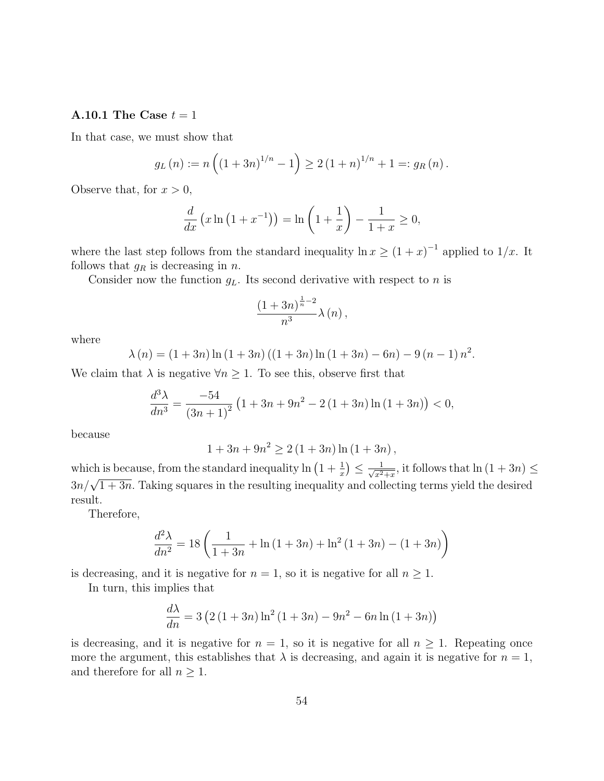#### A.10.1 The Case  $t = 1$

In that case, we must show that

$$
g_L(n) := n\left((1+3n)^{1/n} - 1\right) \ge 2\left(1+n\right)^{1/n} + 1 =: g_R(n).
$$

Observe that, for  $x > 0$ ,

$$
\frac{d}{dx}\left(x\ln\left(1+x^{-1}\right)\right) = \ln\left(1+\frac{1}{x}\right) - \frac{1}{1+x} \ge 0,
$$

where the last step follows from the standard inequality  $\ln x \ge (1+x)^{-1}$  applied to  $1/x$ . It follows that  $g_R$  is decreasing in n.

Consider now the function  $g_L$ . Its second derivative with respect to n is

$$
\frac{(1+3n)^{\frac{1}{n}-2}}{n^3}\lambda\left(n\right),\,
$$

where

$$
\lambda(n) = (1+3n)\ln(1+3n) ((1+3n)\ln(1+3n) - 6n) - 9(n-1)n^{2}.
$$

We claim that  $\lambda$  is negative  $\forall n \geq 1$ . To see this, observe first that

$$
\frac{d^3\lambda}{dn^3} = \frac{-54}{\left(3n+1\right)^2} \left(1 + 3n + 9n^2 - 2\left(1 + 3n\right)\ln\left(1 + 3n\right)\right) < 0,
$$

because

$$
1 + 3n + 9n^{2} \ge 2(1 + 3n) \ln (1 + 3n),
$$

which is because, from the standard inequality  $\ln\left(1+\frac{1}{x}\right) \leq \frac{1}{\sqrt{x^2}}$  $\frac{1}{x^2+x}$ , it follows that  $\ln(1+3n) \le$ 3n/ $\sqrt{1+3n}$ . Taking squares in the resulting inequality and collecting terms yield the desired result.

Therefore,

$$
\frac{d^2\lambda}{dn^2} = 18\left(\frac{1}{1+3n} + \ln(1+3n) + \ln^2(1+3n) - (1+3n)\right)
$$

is decreasing, and it is negative for  $n = 1$ , so it is negative for all  $n \geq 1$ .

In turn, this implies that

$$
\frac{d\lambda}{dn} = 3\left(2\left(1+3n\right)\ln^2\left(1+3n\right) - 9n^2 - 6n\ln\left(1+3n\right)\right)
$$

is decreasing, and it is negative for  $n = 1$ , so it is negative for all  $n \geq 1$ . Repeating once more the argument, this establishes that  $\lambda$  is decreasing, and again it is negative for  $n = 1$ , and therefore for all  $n \geq 1$ .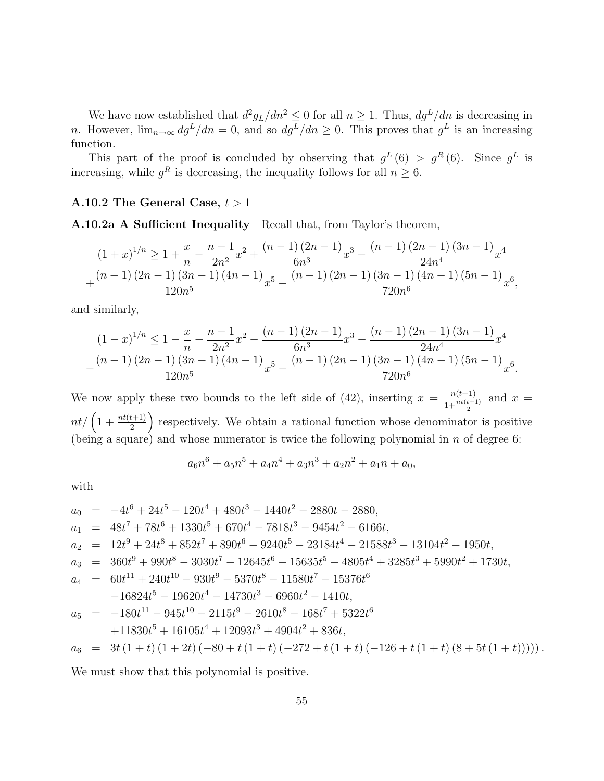We have now established that  $d^2 g_L/dn^2 \leq 0$  for all  $n \geq 1$ . Thus,  $dg^L/dn$  is decreasing in n. However,  $\lim_{n\to\infty} dg^L/dn = 0$ , and so  $dg^L/dn \geq 0$ . This proves that  $g^L$  is an increasing function.

This part of the proof is concluded by observing that  $g^L(6) > g^R(6)$ . Since  $g^L$  is increasing, while  $g<sup>R</sup>$  is decreasing, the inequality follows for all  $n \geq 6$ .

#### A.10.2 The General Case,  $t > 1$

A.10.2a A Sufficient Inequality Recall that, from Taylor's theorem,

$$
(1+x)^{1/n} \ge 1 + \frac{x}{n} - \frac{n-1}{2n^2}x^2 + \frac{(n-1)(2n-1)}{6n^3}x^3 - \frac{(n-1)(2n-1)(3n-1)}{24n^4}x^4 + \frac{(n-1)(2n-1)(3n-1)(4n-1)}{120n^5}x^5 - \frac{(n-1)(2n-1)(3n-1)(4n-1)(5n-1)}{720n^6}x^6,
$$

and similarly,

$$
(1-x)^{1/n} \le 1 - \frac{x}{n} - \frac{n-1}{2n^2}x^2 - \frac{(n-1)(2n-1)}{6n^3}x^3 - \frac{(n-1)(2n-1)(3n-1)}{24n^4}x^4 - \frac{(n-1)(2n-1)(3n-1)(4n-1)}{120n^5}x^5 - \frac{(n-1)(2n-1)(3n-1)(4n-1)(5n-1)}{720n^6}x^6
$$

.

We now apply these two bounds to the left side of (42), inserting  $x = \frac{n(t+1)}{1+n^{t(t+1)}}$  $\frac{n(t+1)}{1+\frac{nt(t+1)}{2}}$  and  $x =$  $nt/\left(1+\frac{nt(t+1)}{2}\right)$  respectively. We obtain a rational function whose denominator is positive (being a square) and whose numerator is twice the following polynomial in n of degree 6:

$$
a_6n^6 + a_5n^5 + a_4n^4 + a_3n^3 + a_2n^2 + a_1n + a_0,
$$

with

$$
a_0 = -4t^6 + 24t^5 - 120t^4 + 480t^3 - 1440t^2 - 2880t - 2880,
$$
  
\n
$$
a_1 = 48t^7 + 78t^6 + 1330t^5 + 670t^4 - 7818t^3 - 9454t^2 - 6166t,
$$
  
\n
$$
a_2 = 12t^9 + 24t^8 + 852t^7 + 890t^6 - 9240t^5 - 23184t^4 - 21588t^3 - 13104t^2 - 1950t,
$$
  
\n
$$
a_3 = 360t^9 + 990t^8 - 3030t^7 - 12645t^6 - 15635t^5 - 4805t^4 + 3285t^3 + 5990t^2 + 1730t,
$$
  
\n
$$
a_4 = 60t^{11} + 240t^{10} - 930t^9 - 5370t^8 - 11580t^7 - 15376t^6
$$
  
\n
$$
-16824t^5 - 19620t^4 - 14730t^3 - 6960t^2 - 1410t,
$$
  
\n
$$
a_5 = -180t^{11} - 945t^{10} - 2115t^9 - 2610t^8 - 168t^7 + 5322t^6
$$
  
\n
$$
+11830t^5 + 16105t^4 + 12093t^3 + 4904t^2 + 836t,
$$
  
\n
$$
a_6 = 3t(1 + t)(1 + 2t)(-80 + t(1 + t)(-272 + t(1 + t)(-126 + t(1 + t)(8 + 5t(1 + t)))))
$$

We must show that this polynomial is positive.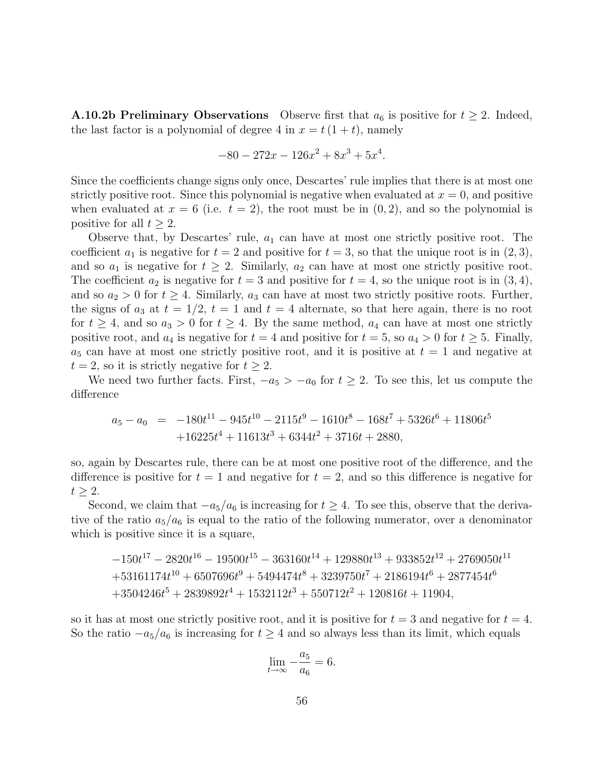**A.10.2b Preliminary Observations** Observe first that  $a_6$  is positive for  $t \geq 2$ . Indeed, the last factor is a polynomial of degree 4 in  $x = t(1 + t)$ , namely

$$
-80 - 272x - 126x^2 + 8x^3 + 5x^4.
$$

Since the coefficients change signs only once, Descartes' rule implies that there is at most one strictly positive root. Since this polynomial is negative when evaluated at  $x = 0$ , and positive when evaluated at  $x = 6$  (i.e.  $t = 2$ ), the root must be in  $(0, 2)$ , and so the polynomial is positive for all  $t \geq 2$ .

Observe that, by Descartes' rule,  $a_1$  can have at most one strictly positive root. The coefficient  $a_1$  is negative for  $t = 2$  and positive for  $t = 3$ , so that the unique root is in  $(2, 3)$ , and so  $a_1$  is negative for  $t \geq 2$ . Similarly,  $a_2$  can have at most one strictly positive root. The coefficient  $a_2$  is negative for  $t = 3$  and positive for  $t = 4$ , so the unique root is in  $(3, 4)$ , and so  $a_2 > 0$  for  $t \geq 4$ . Similarly,  $a_3$  can have at most two strictly positive roots. Further, the signs of  $a_3$  at  $t = 1/2$ ,  $t = 1$  and  $t = 4$  alternate, so that here again, there is no root for  $t \geq 4$ , and so  $a_3 > 0$  for  $t \geq 4$ . By the same method,  $a_4$  can have at most one strictly positive root, and  $a_4$  is negative for  $t = 4$  and positive for  $t = 5$ , so  $a_4 > 0$  for  $t \geq 5$ . Finally,  $a_5$  can have at most one strictly positive root, and it is positive at  $t = 1$  and negative at  $t = 2$ , so it is strictly negative for  $t \geq 2$ .

We need two further facts. First,  $-a_5 > -a_0$  for  $t \geq 2$ . To see this, let us compute the difference

$$
a_5 - a_0 = -180t^{11} - 945t^{10} - 2115t^9 - 1610t^8 - 168t^7 + 5326t^6 + 11806t^5
$$
  
+16225t<sup>4</sup> + 11613t<sup>3</sup> + 6344t<sup>2</sup> + 3716t + 2880,

so, again by Descartes rule, there can be at most one positive root of the difference, and the difference is positive for  $t = 1$  and negative for  $t = 2$ , and so this difference is negative for  $t \geq 2$ .

Second, we claim that  $-a_5/a_6$  is increasing for  $t \geq 4$ . To see this, observe that the derivative of the ratio  $a_5/a_6$  is equal to the ratio of the following numerator, over a denominator which is positive since it is a square,

$$
-150t^{17} - 2820t^{16} - 19500t^{15} - 363160t^{14} + 129880t^{13} + 933852t^{12} + 2769050t^{11} + 53161174t^{10} + 6507696t^9 + 5494474t^8 + 3239750t^7 + 2186194t^6 + 2877454t^6 + 3504246t^5 + 2839892t^4 + 1532112t^3 + 550712t^2 + 120816t + 11904,
$$

so it has at most one strictly positive root, and it is positive for  $t = 3$  and negative for  $t = 4$ . So the ratio  $-a_5/a_6$  is increasing for  $t \geq 4$  and so always less than its limit, which equals

$$
\lim_{t \to \infty} -\frac{a_5}{a_6} = 6.
$$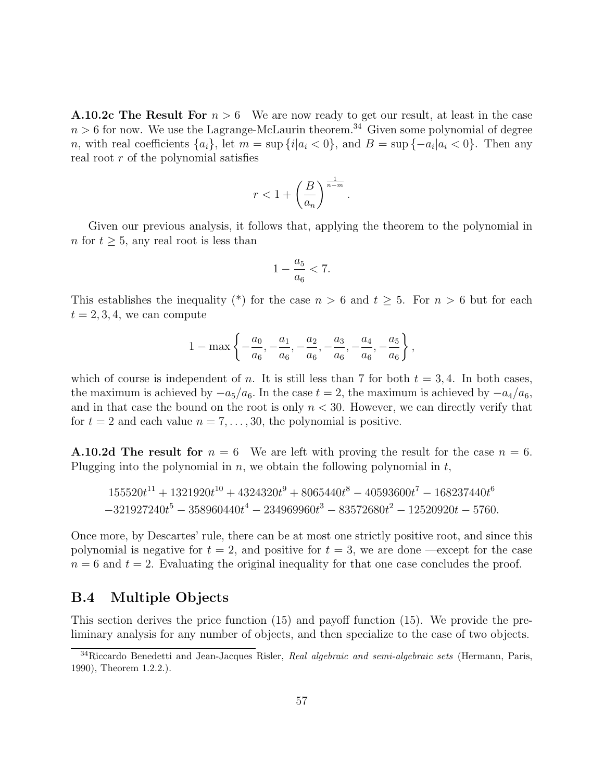**A.10.2c The Result For**  $n > 6$  We are now ready to get our result, at least in the case  $n > 6$  for now. We use the Lagrange-McLaurin theorem.<sup>34</sup> Given some polynomial of degree n, with real coefficients  $\{a_i\}$ , let  $m = \sup \{i | a_i < 0\}$ , and  $B = \sup \{-a_i | a_i < 0\}$ . Then any real root r of the polynomial satisfies

$$
r<1+\left(\frac{B}{a_n}\right)^{\frac{1}{n-m}}
$$

.

Given our previous analysis, it follows that, applying the theorem to the polynomial in n for  $t > 5$ , any real root is less than

$$
1 - \frac{a_5}{a_6} < 7.
$$

This establishes the inequality (\*) for the case  $n > 6$  and  $t \geq 5$ . For  $n > 6$  but for each  $t = 2, 3, 4$ , we can compute

$$
1 - \max\left\{-\frac{a_0}{a_6}, -\frac{a_1}{a_6}, -\frac{a_2}{a_6}, -\frac{a_3}{a_6}, -\frac{a_4}{a_6}, -\frac{a_5}{a_6}\right\},\,
$$

which of course is independent of n. It is still less than 7 for both  $t = 3, 4$ . In both cases, the maximum is achieved by  $-a_5/a_6$ . In the case  $t = 2$ , the maximum is achieved by  $-a_4/a_6$ , and in that case the bound on the root is only  $n < 30$ . However, we can directly verify that for  $t = 2$  and each value  $n = 7, \ldots, 30$ , the polynomial is positive.

**A.10.2d The result for**  $n = 6$  We are left with proving the result for the case  $n = 6$ . Plugging into the polynomial in  $n$ , we obtain the following polynomial in  $t$ ,

$$
155520t^{11} + 1321920t^{10} + 4324320t^9 + 8065440t^8 - 40593600t^7 - 168237440t^6
$$
  

$$
-321927240t^5 - 358960440t^4 - 234969960t^3 - 83572680t^2 - 12520920t - 5760.
$$

Once more, by Descartes' rule, there can be at most one strictly positive root, and since this polynomial is negative for  $t = 2$ , and positive for  $t = 3$ , we are done —except for the case  $n = 6$  and  $t = 2$ . Evaluating the original inequality for that one case concludes the proof.

### B.4 Multiple Objects

This section derives the price function (15) and payoff function (15). We provide the preliminary analysis for any number of objects, and then specialize to the case of two objects.

<sup>&</sup>lt;sup>34</sup>Riccardo Benedetti and Jean-Jacques Risler, Real algebraic and semi-algebraic sets (Hermann, Paris, 1990), Theorem 1.2.2.).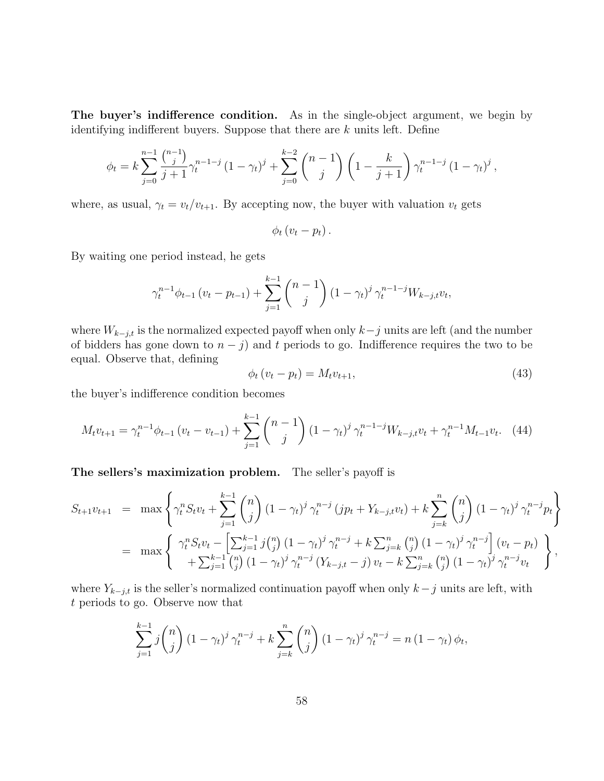The buyer's indifference condition. As in the single-object argument, we begin by identifying indifferent buyers. Suppose that there are  $k$  units left. Define

$$
\phi_t = k \sum_{j=0}^{n-1} \frac{\binom{n-1}{j}}{j+1} \gamma_t^{n-1-j} \left(1 - \gamma_t\right)^j + \sum_{j=0}^{k-2} \binom{n-1}{j} \left(1 - \frac{k}{j+1}\right) \gamma_t^{n-1-j} \left(1 - \gamma_t\right)^j,
$$

where, as usual,  $\gamma_t = v_t/v_{t+1}$ . By accepting now, the buyer with valuation  $v_t$  gets

$$
\phi_t\left(v_t-p_t\right).
$$

By waiting one period instead, he gets

$$
\gamma_t^{n-1} \phi_{t-1} (v_t - p_{t-1}) + \sum_{j=1}^{k-1} \binom{n-1}{j} (1 - \gamma_t)^j \gamma_t^{n-1-j} W_{k-j,t} v_t,
$$

where  $W_{k-j,t}$  is the normalized expected payoff when only  $k-j$  units are left (and the number of bidders has gone down to  $n - j$ ) and t periods to go. Indifference requires the two to be equal. Observe that, defining

$$
\phi_t \left( v_t - p_t \right) = M_t v_{t+1},\tag{43}
$$

the buyer's indifference condition becomes

$$
M_t v_{t+1} = \gamma_t^{n-1} \phi_{t-1} \left( v_t - v_{t-1} \right) + \sum_{j=1}^{k-1} {n-1 \choose j} \left( 1 - \gamma_t \right)^j \gamma_t^{n-1-j} W_{k-j,t} v_t + \gamma_t^{n-1} M_{t-1} v_t. \tag{44}
$$

The sellers's maximization problem. The seller's payoff is

$$
S_{t+1}v_{t+1} = \max \left\{ \gamma_t^n S_t v_t + \sum_{j=1}^{k-1} {n \choose j} (1 - \gamma_t)^j \gamma_t^{n-j} (jp_t + Y_{k-j,t}v_t) + k \sum_{j=k}^n {n \choose j} (1 - \gamma_t)^j \gamma_t^{n-j} p_t \right\}
$$
  
= 
$$
\max \left\{ \begin{array}{l} \gamma_t^n S_t v_t - \left[ \sum_{j=1}^{k-1} j {n \choose j} (1 - \gamma_t)^j \gamma_t^{n-j} + k \sum_{j=k}^n {n \choose j} (1 - \gamma_t)^j \gamma_t^{n-j} \right] (v_t - p_t) \\ + \sum_{j=1}^{k-1} {n \choose j} (1 - \gamma_t)^j \gamma_t^{n-j} (Y_{k-j,t} - j) v_t - k \sum_{j=k}^n {n \choose j} (1 - \gamma_t)^j \gamma_t^{n-j} v_t \end{array} \right\},
$$

where  $Y_{k-j,t}$  is the seller's normalized continuation payoff when only  $k-j$  units are left, with t periods to go. Observe now that

$$
\sum_{j=1}^{k-1} j \binom{n}{j} (1 - \gamma_t)^j \gamma_t^{n-j} + k \sum_{j=k}^n \binom{n}{j} (1 - \gamma_t)^j \gamma_t^{n-j} = n (1 - \gamma_t) \phi_t,
$$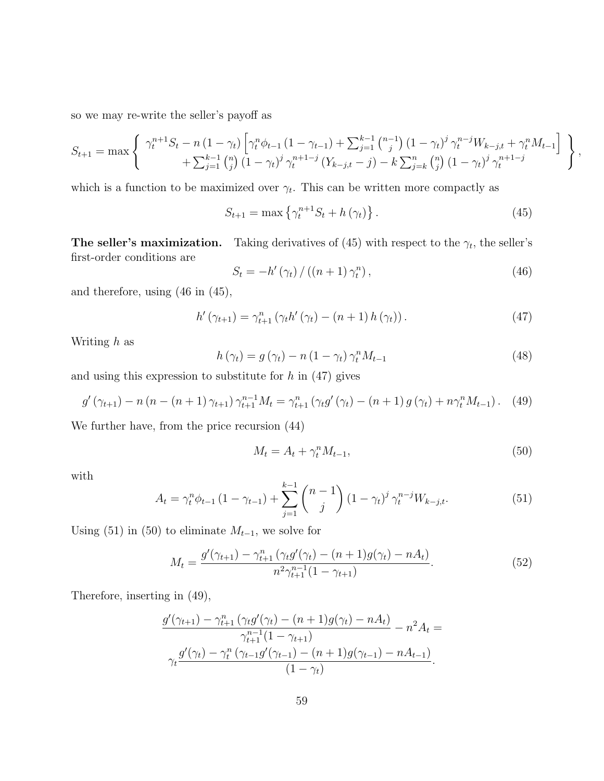so we may re-write the seller's payoff as

$$
S_{t+1} = \max \left\{ \begin{array}{c} \gamma_t^{n+1} S_t - n (1 - \gamma_t) \left[ \gamma_t^n \phi_{t-1} (1 - \gamma_{t-1}) + \sum_{j=1}^{k-1} {n-1 \choose j} (1 - \gamma_t)^j \gamma_t^{n-j} W_{k-j,t} + \gamma_t^n M_{t-1} \right] \\ + \sum_{j=1}^{k-1} {n \choose j} (1 - \gamma_t)^j \gamma_t^{n+1-j} (Y_{k-j,t} - j) - k \sum_{j=k}^{n} {n \choose j} (1 - \gamma_t)^j \gamma_t^{n+1-j} \end{array} \right\}
$$

which is a function to be maximized over  $\gamma_t$ . This can be written more compactly as

$$
S_{t+1} = \max \left\{ \gamma_t^{n+1} S_t + h(\gamma_t) \right\}.
$$
 (45)

,

**The seller's maximization.** Taking derivatives of (45) with respect to the  $\gamma_t$ , the seller's first-order conditions are

$$
S_t = -h'(\gamma_t) / ((n+1)\gamma_t^n), \qquad (46)
$$

and therefore, using (46 in (45),

$$
h'(\gamma_{t+1}) = \gamma_{t+1}^{n} (\gamma_t h'(\gamma_t) - (n+1) h(\gamma_t)). \qquad (47)
$$

Writing h as

$$
h(\gamma_t) = g(\gamma_t) - n(1 - \gamma_t) \gamma_t^n M_{t-1}
$$
\n(48)

and using this expression to substitute for  $h$  in  $(47)$  gives

$$
g'(\gamma_{t+1}) - n (n - (n+1)\gamma_{t+1}) \gamma_{t+1}^{n-1} M_t = \gamma_{t+1}^n (\gamma_t g'(\gamma_t) - (n+1) g(\gamma_t) + n \gamma_t^n M_{t-1}). \tag{49}
$$

We further have, from the price recursion (44)

$$
M_t = A_t + \gamma_t^n M_{t-1},\tag{50}
$$

with

$$
A_{t} = \gamma_{t}^{n} \phi_{t-1} \left( 1 - \gamma_{t-1} \right) + \sum_{j=1}^{k-1} {n-1 \choose j} \left( 1 - \gamma_{t} \right)^{j} \gamma_{t}^{n-j} W_{k-j,t}.
$$
 (51)

Using (51) in (50) to eliminate  $M_{t-1}$ , we solve for

$$
M_t = \frac{g'(\gamma_{t+1}) - \gamma_{t+1}^n (\gamma_t g'(\gamma_t) - (n+1)g(\gamma_t) - nA_t)}{n^2 \gamma_{t+1}^{n-1} (1 - \gamma_{t+1})}.
$$
 (52)

Therefore, inserting in (49),

$$
\frac{g'(\gamma_{t+1}) - \gamma_{t+1}^n (\gamma_t g'(\gamma_t) - (n+1)g(\gamma_t) - nA_t)}{\gamma_{t+1}^{n-1}(1 - \gamma_{t+1})} - n^2 A_t =
$$
  

$$
\gamma_t \frac{g'(\gamma_t) - \gamma_t^n (\gamma_{t-1} g'(\gamma_{t-1}) - (n+1)g(\gamma_{t-1}) - nA_{t-1})}{(1 - \gamma_t)}.
$$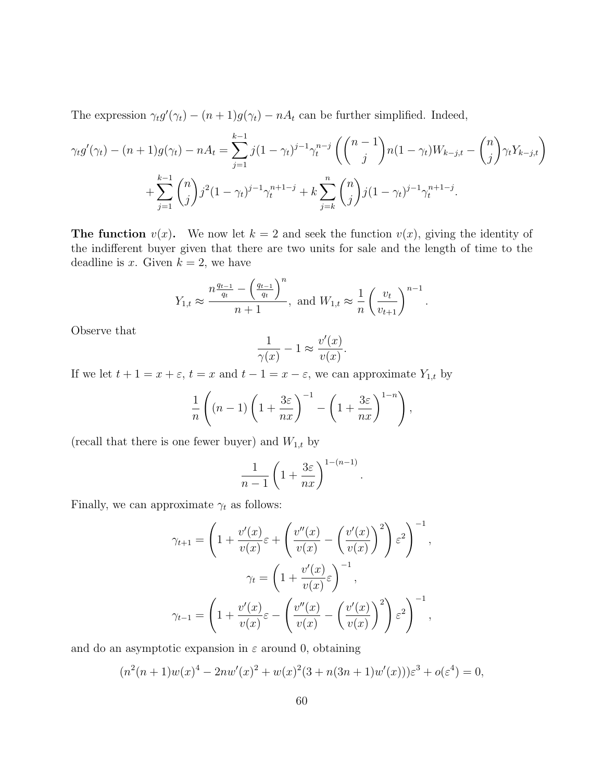The expression  $\gamma_t g'(\gamma_t) - (n+1)g(\gamma_t) - nA_t$  can be further simplified. Indeed,

$$
\gamma_t g'(\gamma_t) - (n+1)g(\gamma_t) - nA_t = \sum_{j=1}^{k-1} j(1-\gamma_t)^{j-1} \gamma_t^{n-j} \left( \binom{n-1}{j} n(1-\gamma_t) W_{k-j,t} - \binom{n}{j} \gamma_t Y_{k-j,t} \right) + \sum_{j=1}^{k-1} \binom{n}{j} j^2 (1-\gamma_t)^{j-1} \gamma_t^{n+1-j} + k \sum_{j=k}^n \binom{n}{j} j(1-\gamma_t)^{j-1} \gamma_t^{n+1-j}.
$$

**The function**  $v(x)$ . We now let  $k = 2$  and seek the function  $v(x)$ , giving the identity of the indifferent buyer given that there are two units for sale and the length of time to the deadline is x. Given  $k = 2$ , we have

$$
Y_{1,t} \approx \frac{n \frac{q_{t-1}}{q_t} - \left(\frac{q_{t-1}}{q_t}\right)^n}{n+1}
$$
, and  $W_{1,t} \approx \frac{1}{n} \left(\frac{v_t}{v_{t+1}}\right)^{n-1}$ .

Observe that

$$
\frac{1}{\gamma(x)} - 1 \approx \frac{v'(x)}{v(x)}.
$$

If we let  $t + 1 = x + \varepsilon$ ,  $t = x$  and  $t - 1 = x - \varepsilon$ , we can approximate  $Y_{1,t}$  by

$$
\frac{1}{n}\left((n-1)\left(1+\frac{3\varepsilon}{nx}\right)^{-1}-\left(1+\frac{3\varepsilon}{nx}\right)^{1-n}\right),\right
$$

(recall that there is one fewer buyer) and  $W_{1,t}$  by

$$
\frac{1}{n-1}\left(1+\frac{3\varepsilon}{nx}\right)^{1-(n-1)}
$$

.

Finally, we can approximate  $\gamma_t$  as follows:

$$
\gamma_{t+1} = \left(1 + \frac{v'(x)}{v(x)} \varepsilon + \left(\frac{v''(x)}{v(x)} - \left(\frac{v'(x)}{v(x)}\right)^2\right) \varepsilon^2\right)^{-1},
$$

$$
\gamma_t = \left(1 + \frac{v'(x)}{v(x)} \varepsilon\right)^{-1},
$$

$$
\gamma_{t-1} = \left(1 + \frac{v'(x)}{v(x)} \varepsilon - \left(\frac{v''(x)}{v(x)} - \left(\frac{v'(x)}{v(x)}\right)^2\right) \varepsilon^2\right)^{-1},
$$

and do an asymptotic expansion in  $\varepsilon$  around 0, obtaining

$$
(n2(n+1)w(x)4 - 2nw'(x)2 + w(x)2(3 + n(3n + 1)w'(x)))\varepsilon3 + o(\varepsilon4) = 0,
$$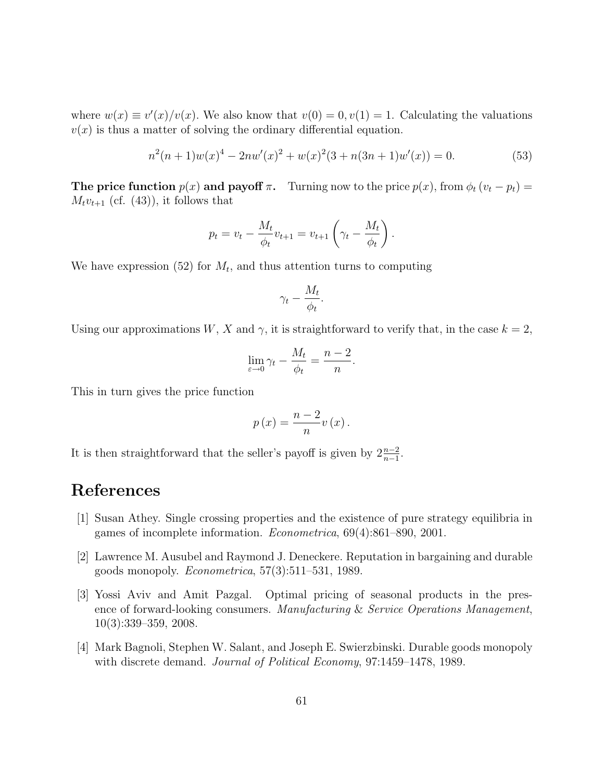where  $w(x) \equiv v'(x)/v(x)$ . We also know that  $v(0) = 0, v(1) = 1$ . Calculating the valuations  $v(x)$  is thus a matter of solving the ordinary differential equation.

$$
n^{2}(n+1)w(x)^{4} - 2nw'(x)^{2} + w(x)^{2}(3+n(3n+1)w'(x)) = 0.
$$
\n(53)

**The price function**  $p(x)$  and payoff  $\pi$ . Turning now to the price  $p(x)$ , from  $\phi_t$   $(v_t - p_t)$  =  $M_t v_{t+1}$  (cf. (43)), it follows that

$$
p_t = v_t - \frac{M_t}{\phi_t} v_{t+1} = v_{t+1} \left( \gamma_t - \frac{M_t}{\phi_t} \right).
$$

We have expression (52) for  $M_t$ , and thus attention turns to computing

$$
\gamma_t - \frac{M_t}{\phi_t}.
$$

Using our approximations W, X and  $\gamma$ , it is straightforward to verify that, in the case  $k = 2$ ,

$$
\lim_{\varepsilon \to 0} \gamma_t - \frac{M_t}{\phi_t} = \frac{n-2}{n}.
$$

This in turn gives the price function

$$
p(x) = \frac{n-2}{n}v(x).
$$

It is then straightforward that the seller's payoff is given by  $2\frac{n-2}{n-1}$ .

# References

- [1] Susan Athey. Single crossing properties and the existence of pure strategy equilibria in games of incomplete information. Econometrica, 69(4):861–890, 2001.
- [2] Lawrence M. Ausubel and Raymond J. Deneckere. Reputation in bargaining and durable goods monopoly. *Econometrica*,  $57(3):511-531$ , 1989.
- [3] Yossi Aviv and Amit Pazgal. Optimal pricing of seasonal products in the presence of forward-looking consumers. Manufacturing & Service Operations Management, 10(3):339–359, 2008.
- [4] Mark Bagnoli, Stephen W. Salant, and Joseph E. Swierzbinski. Durable goods monopoly with discrete demand. *Journal of Political Economy*, 97:1459–1478, 1989.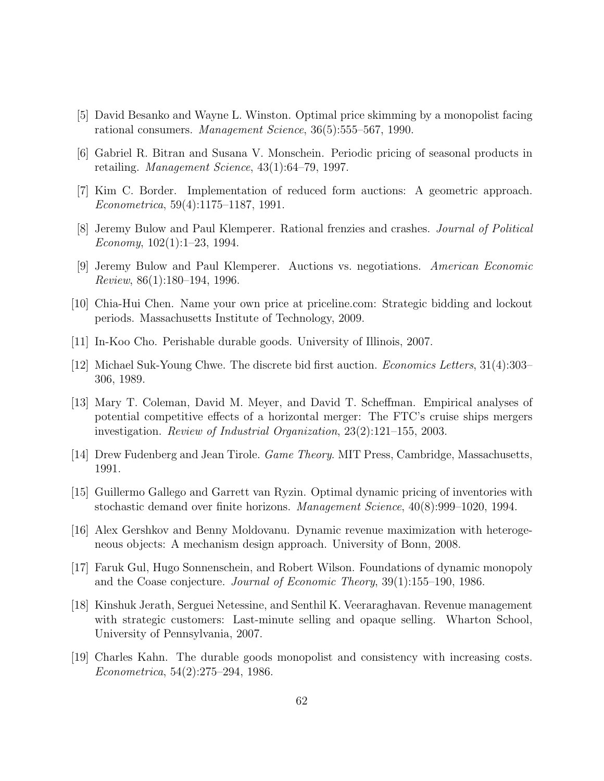- [5] David Besanko and Wayne L. Winston. Optimal price skimming by a monopolist facing rational consumers. Management Science, 36(5):555–567, 1990.
- [6] Gabriel R. Bitran and Susana V. Monschein. Periodic pricing of seasonal products in retailing. *Management Science*,  $43(1):64-79$ , 1997.
- [7] Kim C. Border. Implementation of reduced form auctions: A geometric approach. Econometrica, 59(4):1175–1187, 1991.
- [8] Jeremy Bulow and Paul Klemperer. Rational frenzies and crashes. Journal of Political Economy, 102(1):1–23, 1994.
- [9] Jeremy Bulow and Paul Klemperer. Auctions vs. negotiations. American Economic Review, 86(1):180–194, 1996.
- [10] Chia-Hui Chen. Name your own price at priceline.com: Strategic bidding and lockout periods. Massachusetts Institute of Technology, 2009.
- [11] In-Koo Cho. Perishable durable goods. University of Illinois, 2007.
- [12] Michael Suk-Young Chwe. The discrete bid first auction. Economics Letters, 31(4):303– 306, 1989.
- [13] Mary T. Coleman, David M. Meyer, and David T. Scheffman. Empirical analyses of potential competitive effects of a horizontal merger: The FTC's cruise ships mergers investigation. Review of Industrial Organization, 23(2):121–155, 2003.
- [14] Drew Fudenberg and Jean Tirole. Game Theory. MIT Press, Cambridge, Massachusetts, 1991.
- [15] Guillermo Gallego and Garrett van Ryzin. Optimal dynamic pricing of inventories with stochastic demand over finite horizons. Management Science, 40(8):999–1020, 1994.
- [16] Alex Gershkov and Benny Moldovanu. Dynamic revenue maximization with heterogeneous objects: A mechanism design approach. University of Bonn, 2008.
- [17] Faruk Gul, Hugo Sonnenschein, and Robert Wilson. Foundations of dynamic monopoly and the Coase conjecture. Journal of Economic Theory, 39(1):155–190, 1986.
- [18] Kinshuk Jerath, Serguei Netessine, and Senthil K. Veeraraghavan. Revenue management with strategic customers: Last-minute selling and opaque selling. Wharton School, University of Pennsylvania, 2007.
- [19] Charles Kahn. The durable goods monopolist and consistency with increasing costs. Econometrica, 54(2):275–294, 1986.